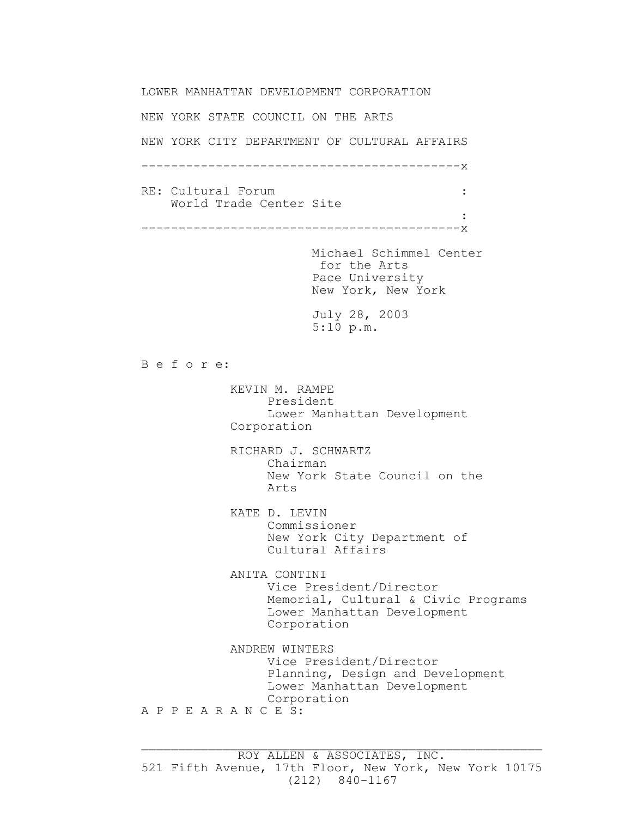LOWER MANHATTAN DEVELOPMENT CORPORATION NEW YORK STATE COUNCIL ON THE ARTS NEW YORK CITY DEPARTMENT OF CULTURAL AFFAIRS -------------------------------------------x RE: Cultural Forum : the set of the set of the set of the set of the set of the set of the set of the set of the set of the set of the set of the set of the set of the set of the set of the set of the set of the set of the World Trade Center Site the control of the control of the control of the control of the control of the control of -------------------------------------------x Michael Schimmel Center for the Arts Pace University New York, New York July 28, 2003 5:10 p.m. B e f o r e: KEVIN M. RAMPE President Lower Manhattan Development Corporation RICHARD J. SCHWARTZ Chairman New York State Council on the Arts KATE D. LEVIN Commissioner New York City Department of Cultural Affairs ANITA CONTINI Vice President/Director Memorial, Cultural & Civic Programs Lower Manhattan Development Corporation ANDREW WINTERS Vice President/Director Planning, Design and Development Lower Manhattan Development Corporation A P P E A R A N C E S:

 $\_$  , and the contribution of the contribution of  $\mathcal{L}_\mathcal{A}$  , and the contribution of  $\mathcal{L}_\mathcal{A}$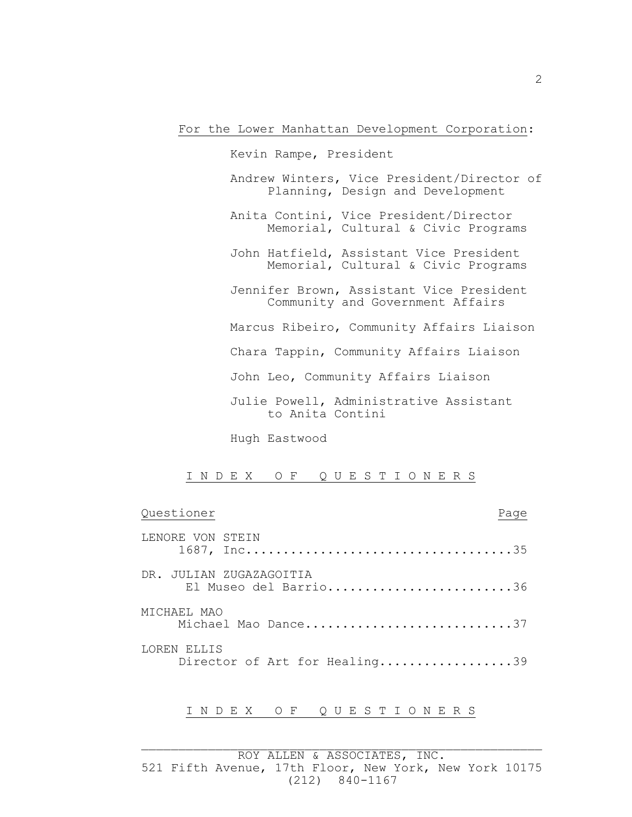For the Lower Manhattan Development Corporation:

 Kevin Rampe, President Andrew Winters, Vice President/Director of Planning, Design and Development Anita Contini, Vice President/Director Memorial, Cultural & Civic Programs John Hatfield, Assistant Vice President Memorial, Cultural & Civic Programs Jennifer Brown, Assistant Vice President Community and Government Affairs Marcus Ribeiro, Community Affairs Liaison Chara Tappin, Community Affairs Liaison John Leo, Community Affairs Liaison Julie Powell, Administrative Assistant to Anita Contini

Hugh Eastwood

I N D E X O F Q U E S T I O N E R S

| Questioner                                       | Page |
|--------------------------------------------------|------|
| LENORE VON STEIN                                 |      |
| DR. JULIAN ZUGAZAGOITIA<br>El Museo del Barrio36 |      |
| MICHAEL MAO<br>Michael Mao Dance37               |      |
| LOREN ELLIS<br>Director of Art for Healing39     |      |

## I N D E X O F Q U E S T I O N E R S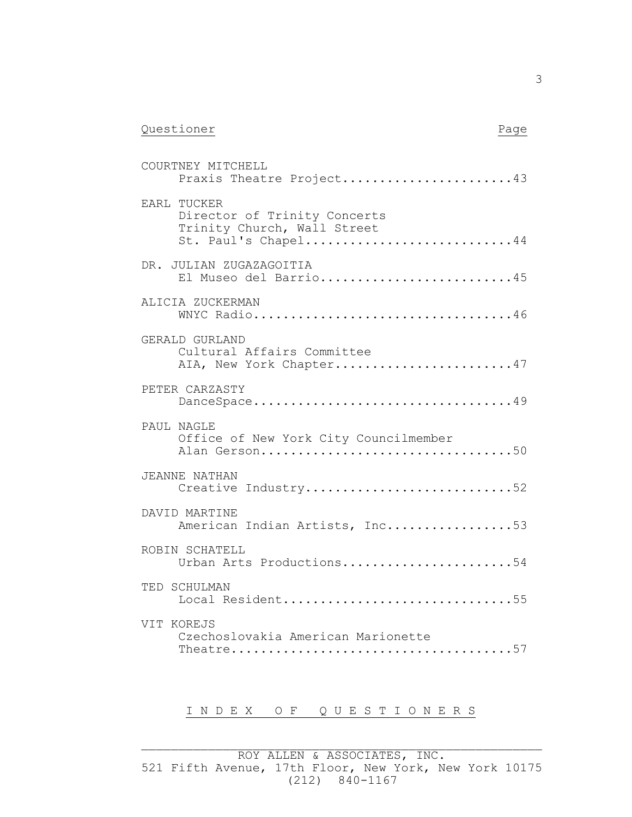| Questioner | Page |
|------------|------|
|            |      |

COURTNEY MITCHELL

| Praxis Theatre Project43                                                                          |
|---------------------------------------------------------------------------------------------------|
| EARL TUCKER<br>Director of Trinity Concerts<br>Trinity Church, Wall Street<br>St. Paul's Chapel44 |
| DR. JULIAN ZUGAZAGOITIA<br>El Museo del Barrio45                                                  |
| ALICIA ZUCKERMAN<br>WNYC Radio46                                                                  |
| GERALD GURLAND<br>Cultural Affairs Committee<br>AIA, New York Chapter47                           |
| PETER CARZASTY<br>DanceSpace49                                                                    |
| PAUL NAGLE<br>Office of New York City Councilmember<br>Alan Gerson50                              |
| <b>JEANNE NATHAN</b><br>Creative Industry52                                                       |
| DAVID MARTINE<br>American Indian Artists, Inc53                                                   |
| ROBIN SCHATELL<br>Urban Arts Productions54                                                        |
| TED SCHULMAN<br>Local Resident55                                                                  |
| VIT KOREJS<br>Czechoslovakia American Marionette                                                  |

## I N D E X O F Q U E S T I O N E R S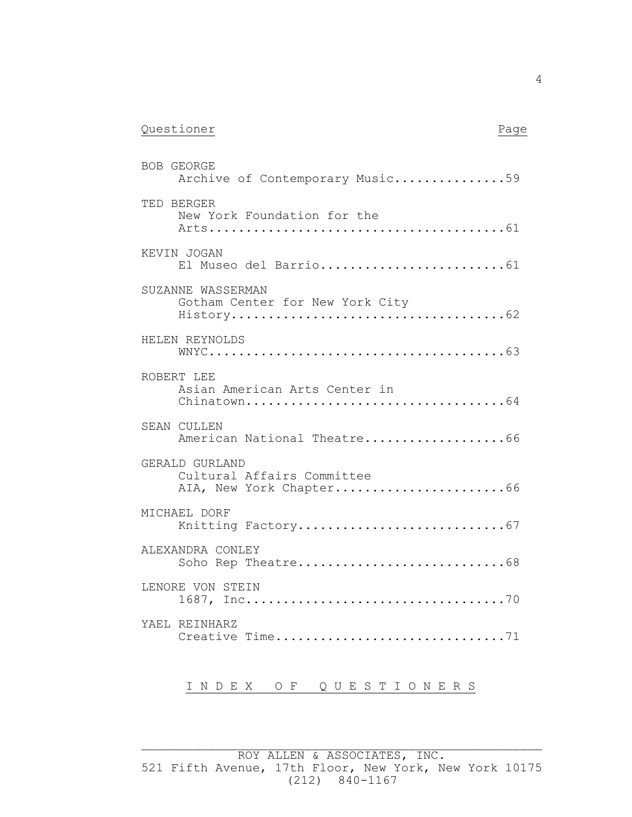| Questioner |  |
|------------|--|
|            |  |

| ł |  |
|---|--|
|---|--|

| BOB GEORGE<br>Archive of Contemporary Music59                           |
|-------------------------------------------------------------------------|
| TED BERGER<br>New York Foundation for the                               |
| KEVIN JOGAN<br>El Museo del Barrio61                                    |
| SUZANNE WASSERMAN<br>Gotham Center for New York City                    |
| HELEN REYNOLDS                                                          |
| ROBERT LEE<br>Asian American Arts Center in                             |
| SEAN CULLEN<br>American National Theatre66                              |
| GERALD GURLAND<br>Cultural Affairs Committee<br>AIA, New York Chapter66 |
| MICHAEL DORF                                                            |
| ALEXANDRA CONLEY<br>Soho Rep Theatre68                                  |
| LENORE VON STEIN                                                        |
| YAEL REINHARZ<br>Creative Time71                                        |

## I N D E X O F Q U E S T I O N E R S

 $\_$  , and the contribution of the contribution of  $\mathcal{L}_\mathcal{A}$  , and the contribution of  $\mathcal{L}_\mathcal{A}$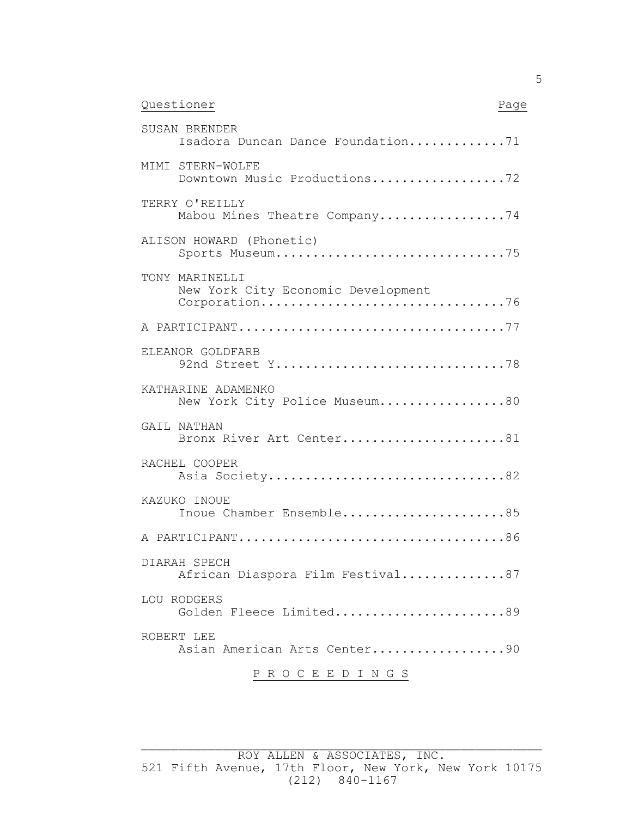| Questioner | Page |
|------------|------|
|            |      |

| SUSAN BRENDER<br>Isadora Duncan Dance Foundation71                    |
|-----------------------------------------------------------------------|
| MIMI STERN-WOLFE<br>Downtown Music Productions72                      |
| TERRY O'REILLY<br>Mabou Mines Theatre Company74                       |
| ALISON HOWARD (Phonetic)<br>Sports Museum75                           |
| TONY MARINELLI<br>New York City Economic Development<br>Corporation76 |
|                                                                       |
| ELEANOR GOLDFARB<br>92nd Street Y78                                   |
| KATHARINE ADAMENKO<br>New York City Police Museum80                   |
| GAIL NATHAN<br>Bronx River Art Center81                               |
| RACHEL COOPER<br>Asia Society82                                       |
| KAZUKO INOUE<br>Inoue Chamber Ensemble85                              |
|                                                                       |
| DIARAH SPECH<br>African Diaspora Film Festival87                      |
| LOU RODGERS<br>Golden Fleece Limited89                                |
| ROBERT LEE<br>Asian American Arts Center90                            |

P R O C E E D I N G S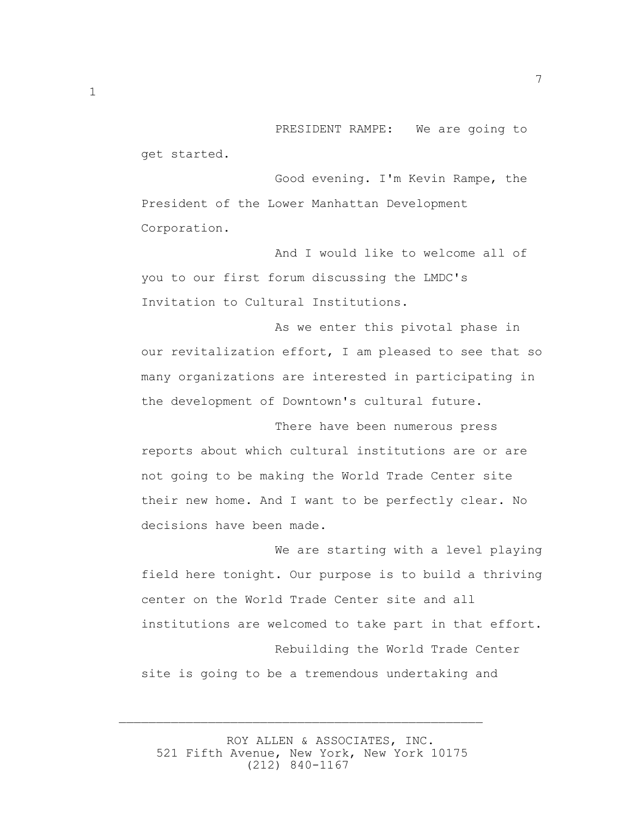PRESIDENT RAMPE: We are going to get started.

 Good evening. I'm Kevin Rampe, the President of the Lower Manhattan Development Corporation.

 And I would like to welcome all of you to our first forum discussing the LMDC's Invitation to Cultural Institutions.

 As we enter this pivotal phase in our revitalization effort, I am pleased to see that so many organizations are interested in participating in the development of Downtown's cultural future.

 There have been numerous press reports about which cultural institutions are or are not going to be making the World Trade Center site their new home. And I want to be perfectly clear. No decisions have been made.

 We are starting with a level playing field here tonight. Our purpose is to build a thriving center on the World Trade Center site and all institutions are welcomed to take part in that effort. Rebuilding the World Trade Center site is going to be a tremendous undertaking and

 ROY ALLEN & ASSOCIATES, INC. 521 Fifth Avenue, New York, New York 10175 (212) 840-1167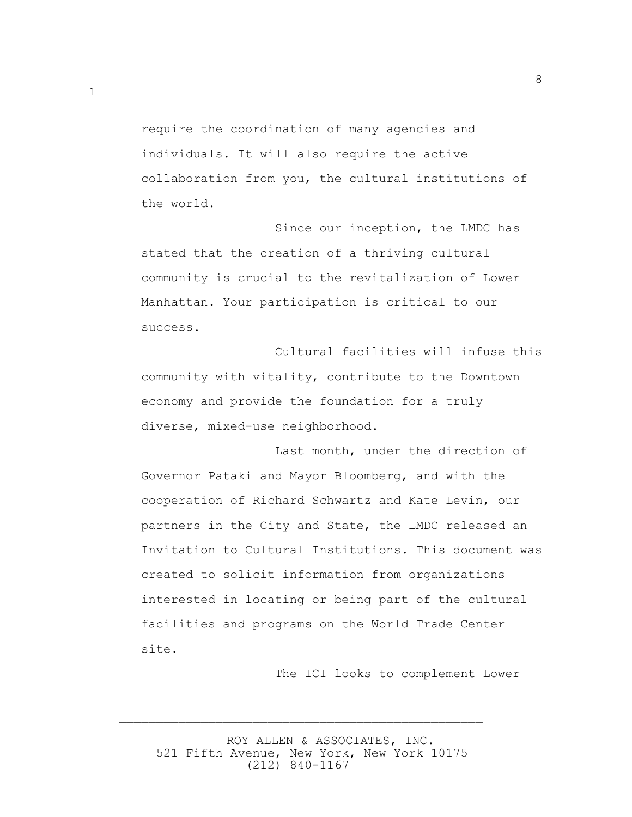require the coordination of many agencies and individuals. It will also require the active collaboration from you, the cultural institutions of the world.

8

 Since our inception, the LMDC has stated that the creation of a thriving cultural community is crucial to the revitalization of Lower Manhattan. Your participation is critical to our success.

 Cultural facilities will infuse this community with vitality, contribute to the Downtown economy and provide the foundation for a truly diverse, mixed-use neighborhood.

 Last month, under the direction of Governor Pataki and Mayor Bloomberg, and with the cooperation of Richard Schwartz and Kate Levin, our partners in the City and State, the LMDC released an Invitation to Cultural Institutions. This document was created to solicit information from organizations interested in locating or being part of the cultural facilities and programs on the World Trade Center site.

The ICI looks to complement Lower

 ROY ALLEN & ASSOCIATES, INC. 521 Fifth Avenue, New York, New York 10175 (212) 840-1167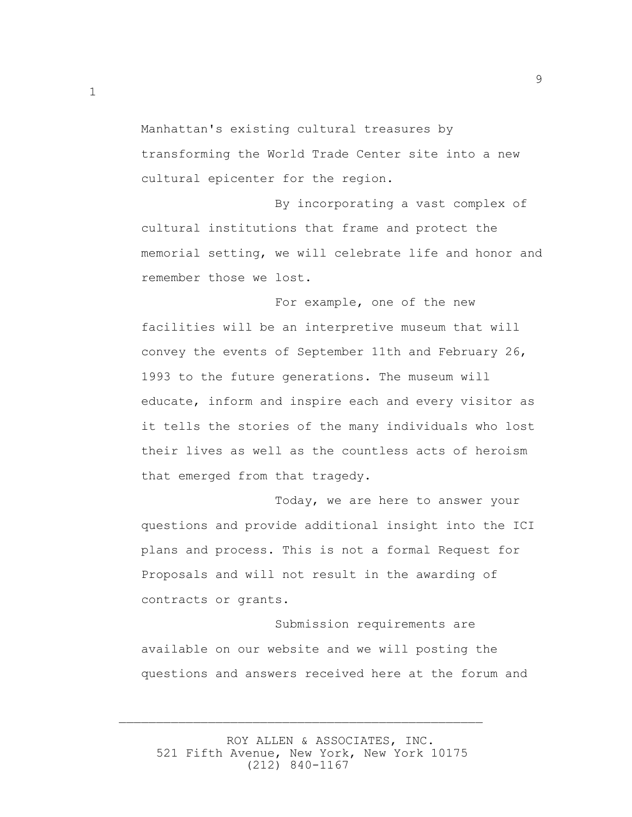Manhattan's existing cultural treasures by transforming the World Trade Center site into a new cultural epicenter for the region.

 By incorporating a vast complex of cultural institutions that frame and protect the memorial setting, we will celebrate life and honor and remember those we lost.

 For example, one of the new facilities will be an interpretive museum that will convey the events of September 11th and February 26, 1993 to the future generations. The museum will educate, inform and inspire each and every visitor as it tells the stories of the many individuals who lost their lives as well as the countless acts of heroism that emerged from that tragedy.

 Today, we are here to answer your questions and provide additional insight into the ICI plans and process. This is not a formal Request for Proposals and will not result in the awarding of contracts or grants.

 Submission requirements are available on our website and we will posting the questions and answers received here at the forum and

 ROY ALLEN & ASSOCIATES, INC. 521 Fifth Avenue, New York, New York 10175 (212) 840-1167

 $\overline{\phantom{a}}$  , and the contract of the contract of the contract of the contract of the contract of the contract of the contract of the contract of the contract of the contract of the contract of the contract of the contrac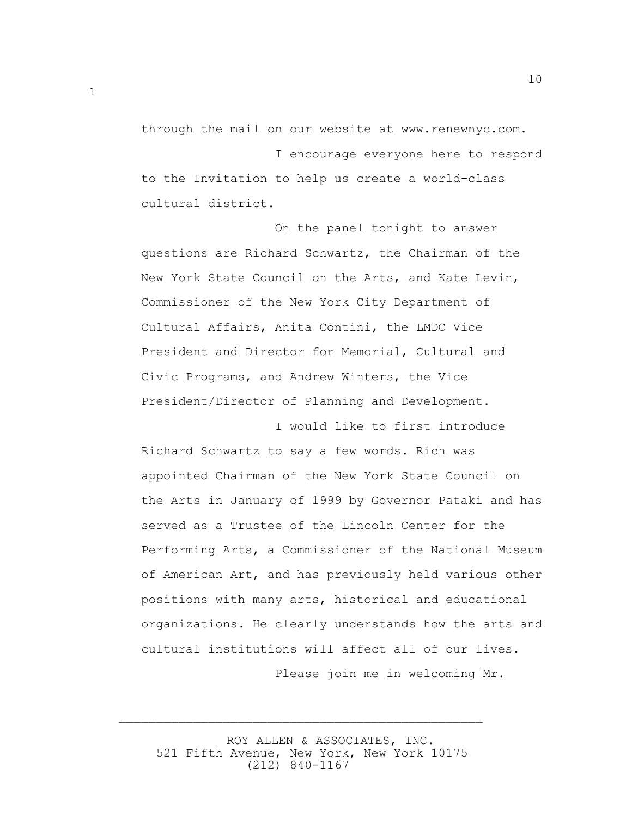through the mail on our website at www.renewnyc.com. I encourage everyone here to respond to the Invitation to help us create a world-class cultural district.

10

 On the panel tonight to answer questions are Richard Schwartz, the Chairman of the New York State Council on the Arts, and Kate Levin, Commissioner of the New York City Department of Cultural Affairs, Anita Contini, the LMDC Vice President and Director for Memorial, Cultural and Civic Programs, and Andrew Winters, the Vice President/Director of Planning and Development.

 I would like to first introduce Richard Schwartz to say a few words. Rich was appointed Chairman of the New York State Council on the Arts in January of 1999 by Governor Pataki and has served as a Trustee of the Lincoln Center for the Performing Arts, a Commissioner of the National Museum of American Art, and has previously held various other positions with many arts, historical and educational organizations. He clearly understands how the arts and cultural institutions will affect all of our lives.

Please join me in welcoming Mr.

 ROY ALLEN & ASSOCIATES, INC. 521 Fifth Avenue, New York, New York 10175 (212) 840-1167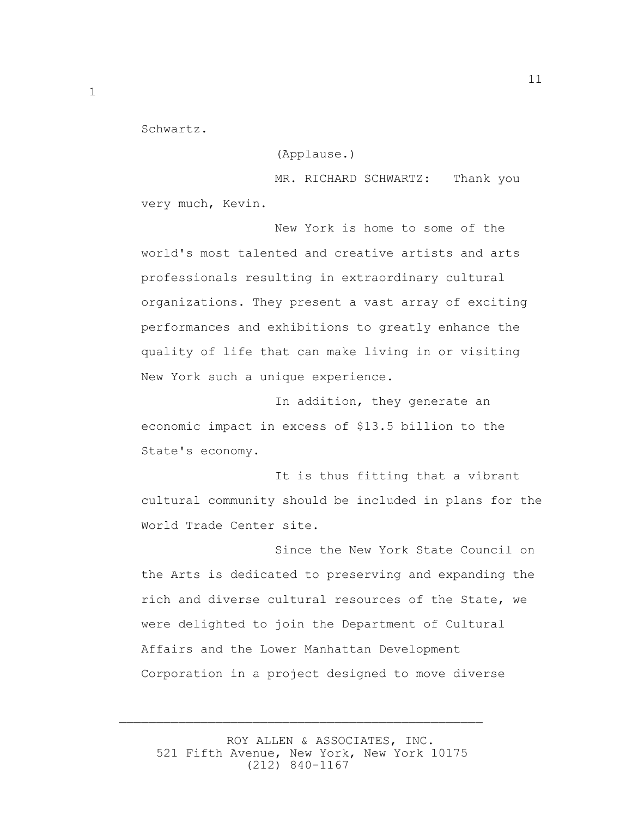Schwartz.

(Applause.)

MR. RICHARD SCHWARTZ: Thank you very much, Kevin.

 New York is home to some of the world's most talented and creative artists and arts professionals resulting in extraordinary cultural organizations. They present a vast array of exciting performances and exhibitions to greatly enhance the quality of life that can make living in or visiting New York such a unique experience.

 In addition, they generate an economic impact in excess of \$13.5 billion to the State's economy.

 It is thus fitting that a vibrant cultural community should be included in plans for the World Trade Center site.

 Since the New York State Council on the Arts is dedicated to preserving and expanding the rich and diverse cultural resources of the State, we were delighted to join the Department of Cultural Affairs and the Lower Manhattan Development Corporation in a project designed to move diverse

 ROY ALLEN & ASSOCIATES, INC. 521 Fifth Avenue, New York, New York 10175 (212) 840-1167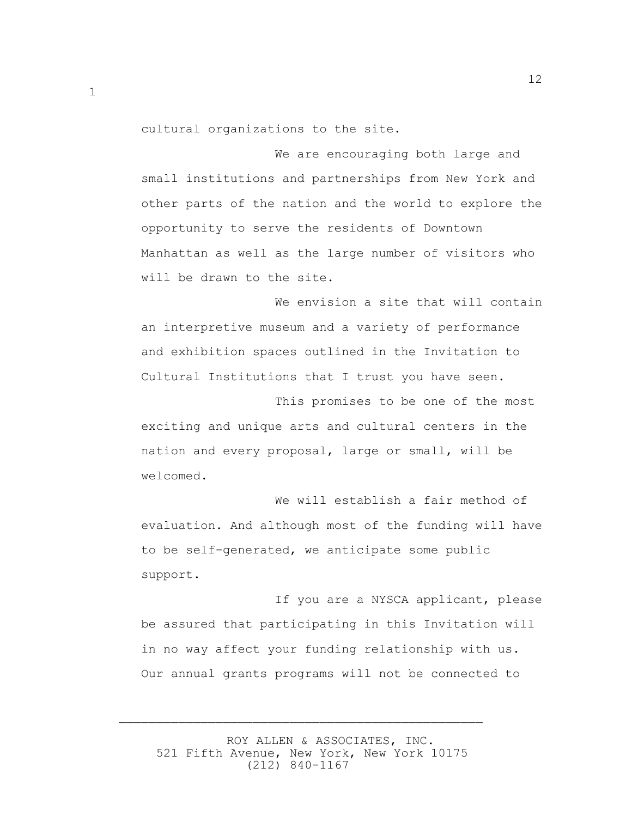cultural organizations to the site.

 We are encouraging both large and small institutions and partnerships from New York and other parts of the nation and the world to explore the opportunity to serve the residents of Downtown Manhattan as well as the large number of visitors who will be drawn to the site.

We envision a site that will contain an interpretive museum and a variety of performance and exhibition spaces outlined in the Invitation to Cultural Institutions that I trust you have seen.

 This promises to be one of the most exciting and unique arts and cultural centers in the nation and every proposal, large or small, will be welcomed.

 We will establish a fair method of evaluation. And although most of the funding will have to be self-generated, we anticipate some public support.

 If you are a NYSCA applicant, please be assured that participating in this Invitation will in no way affect your funding relationship with us. Our annual grants programs will not be connected to

 ROY ALLEN & ASSOCIATES, INC. 521 Fifth Avenue, New York, New York 10175 (212) 840-1167

 $\overline{\phantom{a}}$  , and the contract of the contract of the contract of the contract of the contract of the contract of the contract of the contract of the contract of the contract of the contract of the contract of the contrac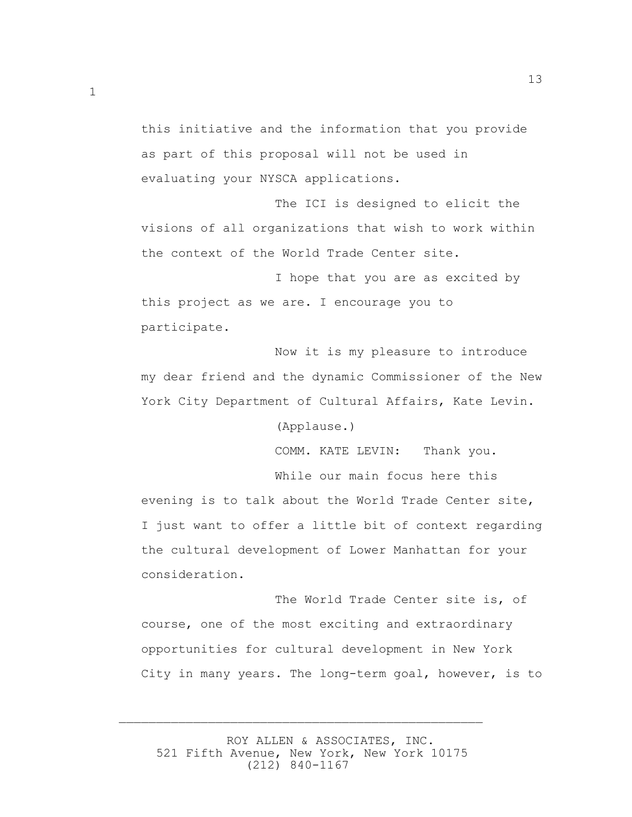this initiative and the information that you provide as part of this proposal will not be used in evaluating your NYSCA applications.

1

 The ICI is designed to elicit the visions of all organizations that wish to work within the context of the World Trade Center site.

 I hope that you are as excited by this project as we are. I encourage you to participate.

 Now it is my pleasure to introduce my dear friend and the dynamic Commissioner of the New York City Department of Cultural Affairs, Kate Levin.

(Applause.)

COMM. KATE LEVIN: Thank you.

 While our main focus here this evening is to talk about the World Trade Center site, I just want to offer a little bit of context regarding the cultural development of Lower Manhattan for your consideration.

 The World Trade Center site is, of course, one of the most exciting and extraordinary opportunities for cultural development in New York City in many years. The long-term goal, however, is to

 ROY ALLEN & ASSOCIATES, INC. 521 Fifth Avenue, New York, New York 10175 (212) 840-1167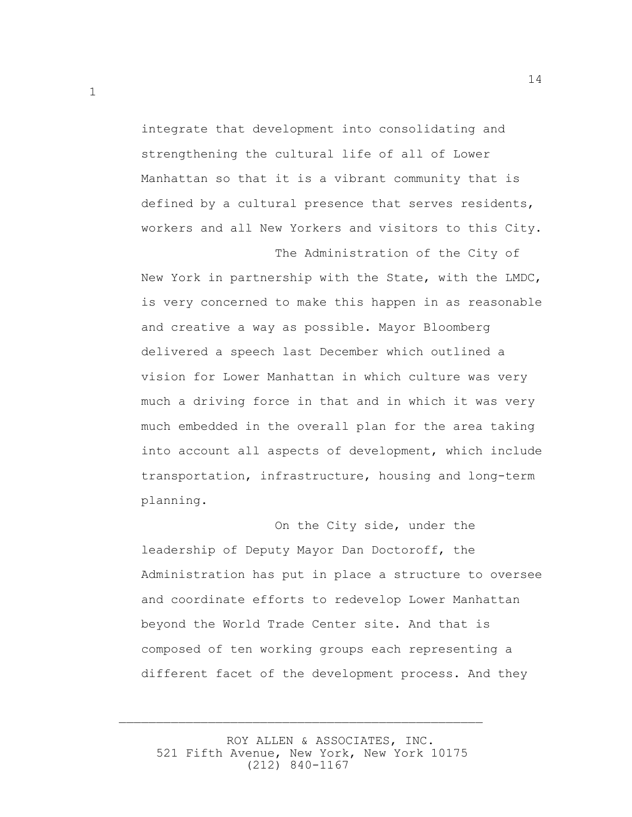integrate that development into consolidating and strengthening the cultural life of all of Lower Manhattan so that it is a vibrant community that is defined by a cultural presence that serves residents, workers and all New Yorkers and visitors to this City.

The Administration of the City of

New York in partnership with the State, with the LMDC, is very concerned to make this happen in as reasonable and creative a way as possible. Mayor Bloomberg delivered a speech last December which outlined a vision for Lower Manhattan in which culture was very much a driving force in that and in which it was very much embedded in the overall plan for the area taking into account all aspects of development, which include transportation, infrastructure, housing and long-term planning.

 On the City side, under the leadership of Deputy Mayor Dan Doctoroff, the Administration has put in place a structure to oversee and coordinate efforts to redevelop Lower Manhattan beyond the World Trade Center site. And that is composed of ten working groups each representing a different facet of the development process. And they

 ROY ALLEN & ASSOCIATES, INC. 521 Fifth Avenue, New York, New York 10175 (212) 840-1167

 $\overline{\phantom{a}}$  , and the contract of the contract of the contract of the contract of the contract of the contract of the contract of the contract of the contract of the contract of the contract of the contract of the contrac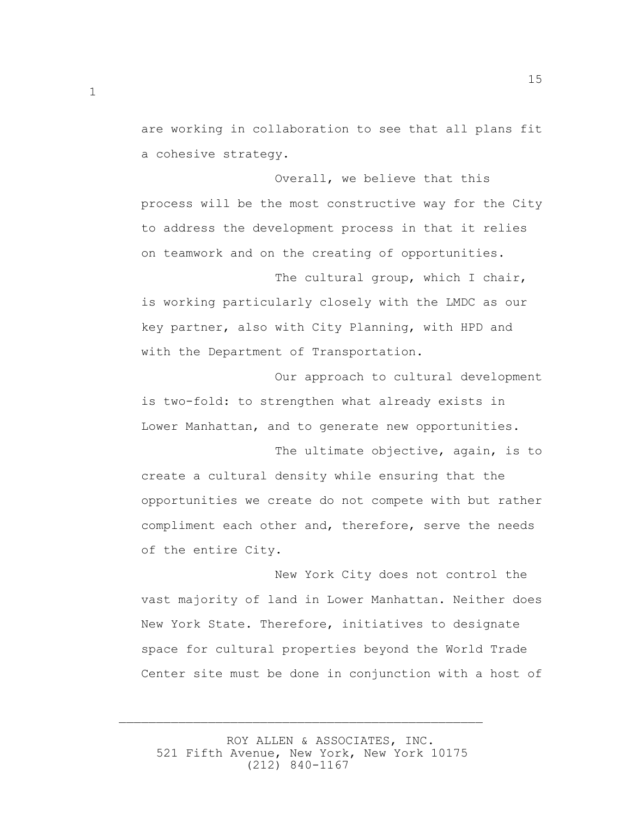are working in collaboration to see that all plans fit a cohesive strategy.

15

 Overall, we believe that this process will be the most constructive way for the City to address the development process in that it relies on teamwork and on the creating of opportunities.

The cultural group, which I chair, is working particularly closely with the LMDC as our key partner, also with City Planning, with HPD and with the Department of Transportation.

 Our approach to cultural development is two-fold: to strengthen what already exists in Lower Manhattan, and to generate new opportunities.

 The ultimate objective, again, is to create a cultural density while ensuring that the opportunities we create do not compete with but rather compliment each other and, therefore, serve the needs of the entire City.

 New York City does not control the vast majority of land in Lower Manhattan. Neither does New York State. Therefore, initiatives to designate space for cultural properties beyond the World Trade Center site must be done in conjunction with a host of

 ROY ALLEN & ASSOCIATES, INC. 521 Fifth Avenue, New York, New York 10175 (212) 840-1167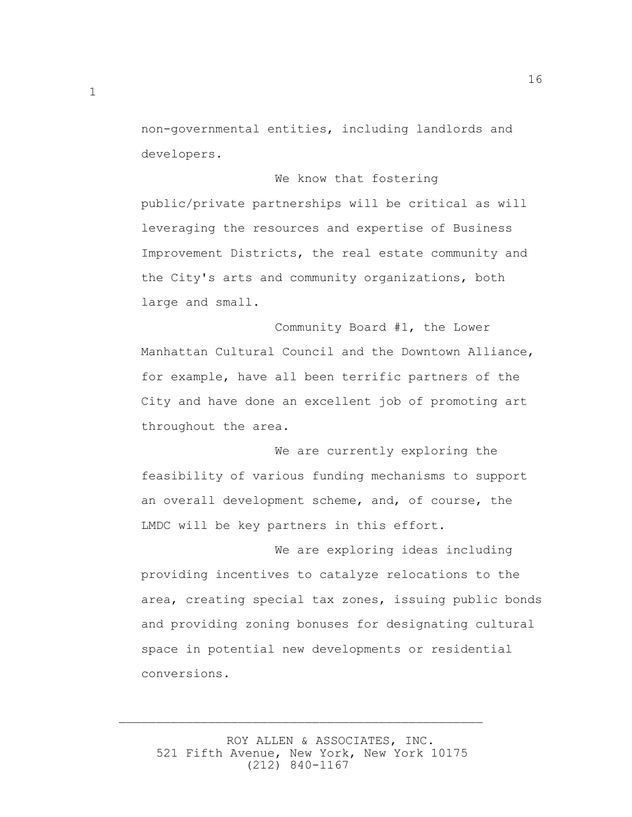non-governmental entities, including landlords and developers.

We know that fostering

public/private partnerships will be critical as will leveraging the resources and expertise of Business Improvement Districts, the real estate community and the City's arts and community organizations, both large and small.

 Community Board #1, the Lower Manhattan Cultural Council and the Downtown Alliance, for example, have all been terrific partners of the City and have done an excellent job of promoting art throughout the area.

 We are currently exploring the feasibility of various funding mechanisms to support an overall development scheme, and, of course, the LMDC will be key partners in this effort.

 We are exploring ideas including providing incentives to catalyze relocations to the area, creating special tax zones, issuing public bonds and providing zoning bonuses for designating cultural space in potential new developments or residential conversions.

 ROY ALLEN & ASSOCIATES, INC. 521 Fifth Avenue, New York, New York 10175 (212) 840-1167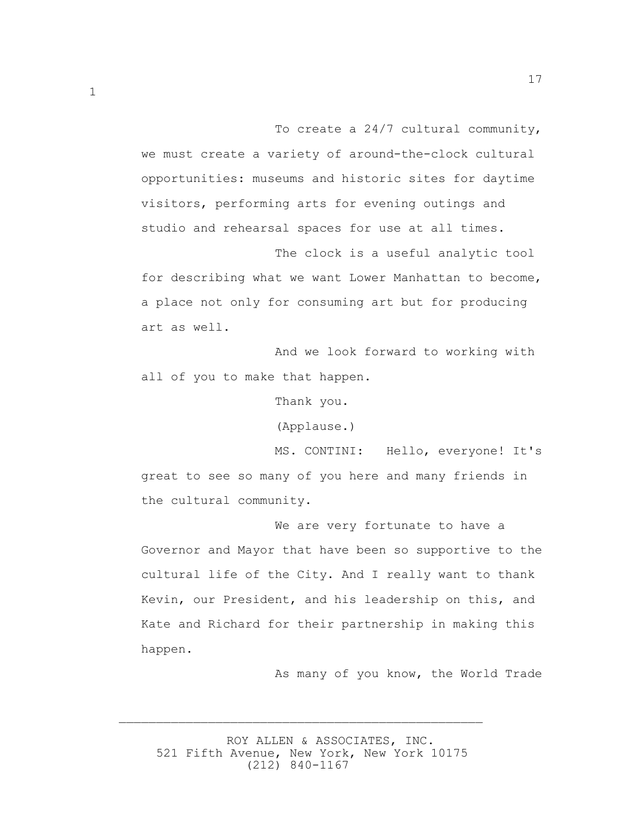To create a 24/7 cultural community, we must create a variety of around-the-clock cultural opportunities: museums and historic sites for daytime visitors, performing arts for evening outings and studio and rehearsal spaces for use at all times.

 The clock is a useful analytic tool for describing what we want Lower Manhattan to become, a place not only for consuming art but for producing art as well.

 And we look forward to working with all of you to make that happen.

Thank you.

(Applause.)

 MS. CONTINI: Hello, everyone! It's great to see so many of you here and many friends in the cultural community.

 We are very fortunate to have a Governor and Mayor that have been so supportive to the cultural life of the City. And I really want to thank Kevin, our President, and his leadership on this, and Kate and Richard for their partnership in making this happen.

As many of you know, the World Trade

 ROY ALLEN & ASSOCIATES, INC. 521 Fifth Avenue, New York, New York 10175 (212) 840-1167

 $\overline{\phantom{a}}$  , and the contract of the contract of the contract of the contract of the contract of the contract of the contract of the contract of the contract of the contract of the contract of the contract of the contrac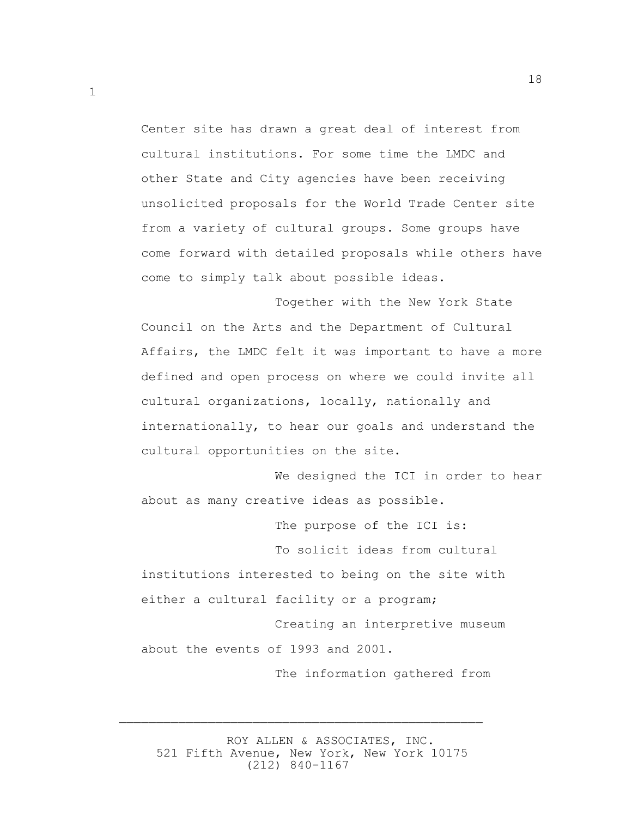Center site has drawn a great deal of interest from cultural institutions. For some time the LMDC and other State and City agencies have been receiving unsolicited proposals for the World Trade Center site from a variety of cultural groups. Some groups have come forward with detailed proposals while others have come to simply talk about possible ideas.

 Together with the New York State Council on the Arts and the Department of Cultural Affairs, the LMDC felt it was important to have a more defined and open process on where we could invite all cultural organizations, locally, nationally and internationally, to hear our goals and understand the cultural opportunities on the site.

 We designed the ICI in order to hear about as many creative ideas as possible.

The purpose of the ICI is:

 To solicit ideas from cultural institutions interested to being on the site with either a cultural facility or a program;

 Creating an interpretive museum about the events of 1993 and 2001.

The information gathered from

 ROY ALLEN & ASSOCIATES, INC. 521 Fifth Avenue, New York, New York 10175 (212) 840-1167

 $\overline{\phantom{a}}$  , and the contract of the contract of the contract of the contract of the contract of the contract of the contract of the contract of the contract of the contract of the contract of the contract of the contrac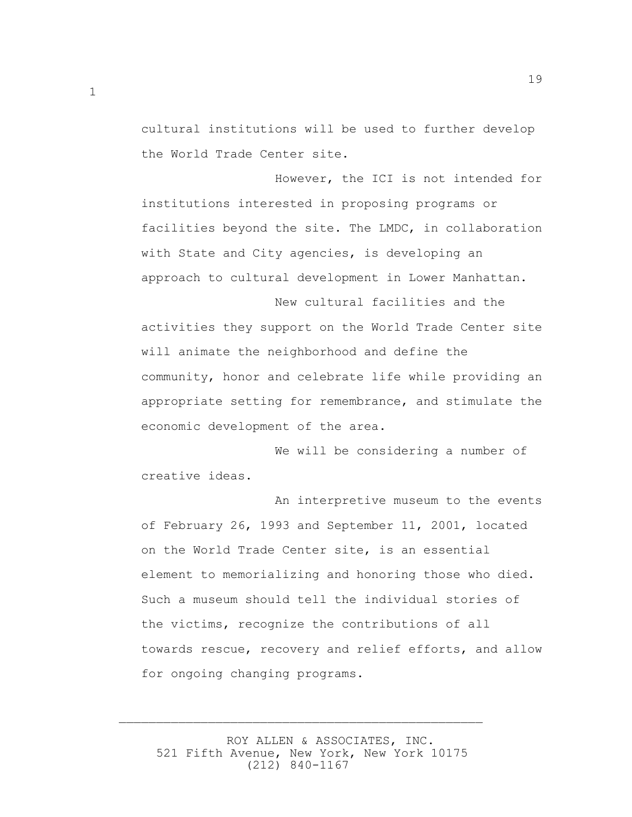cultural institutions will be used to further develop the World Trade Center site.

19

 However, the ICI is not intended for institutions interested in proposing programs or facilities beyond the site. The LMDC, in collaboration with State and City agencies, is developing an approach to cultural development in Lower Manhattan.

 New cultural facilities and the activities they support on the World Trade Center site will animate the neighborhood and define the community, honor and celebrate life while providing an appropriate setting for remembrance, and stimulate the economic development of the area.

 We will be considering a number of creative ideas.

 An interpretive museum to the events of February 26, 1993 and September 11, 2001, located on the World Trade Center site, is an essential element to memorializing and honoring those who died. Such a museum should tell the individual stories of the victims, recognize the contributions of all towards rescue, recovery and relief efforts, and allow for ongoing changing programs.

 ROY ALLEN & ASSOCIATES, INC. 521 Fifth Avenue, New York, New York 10175 (212) 840-1167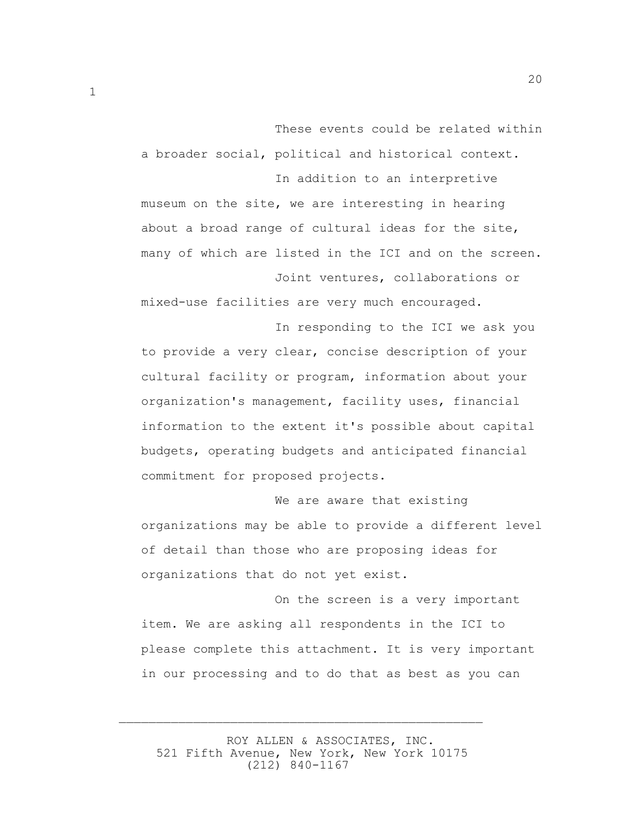These events could be related within a broader social, political and historical context.

 In addition to an interpretive museum on the site, we are interesting in hearing about a broad range of cultural ideas for the site, many of which are listed in the ICI and on the screen.

 Joint ventures, collaborations or mixed-use facilities are very much encouraged.

 In responding to the ICI we ask you to provide a very clear, concise description of your cultural facility or program, information about your organization's management, facility uses, financial information to the extent it's possible about capital budgets, operating budgets and anticipated financial commitment for proposed projects.

 We are aware that existing organizations may be able to provide a different level of detail than those who are proposing ideas for organizations that do not yet exist.

 On the screen is a very important item. We are asking all respondents in the ICI to please complete this attachment. It is very important in our processing and to do that as best as you can

 ROY ALLEN & ASSOCIATES, INC. 521 Fifth Avenue, New York, New York 10175 (212) 840-1167

 $\overline{\phantom{a}}$  , and the contract of the contract of the contract of the contract of the contract of the contract of the contract of the contract of the contract of the contract of the contract of the contract of the contrac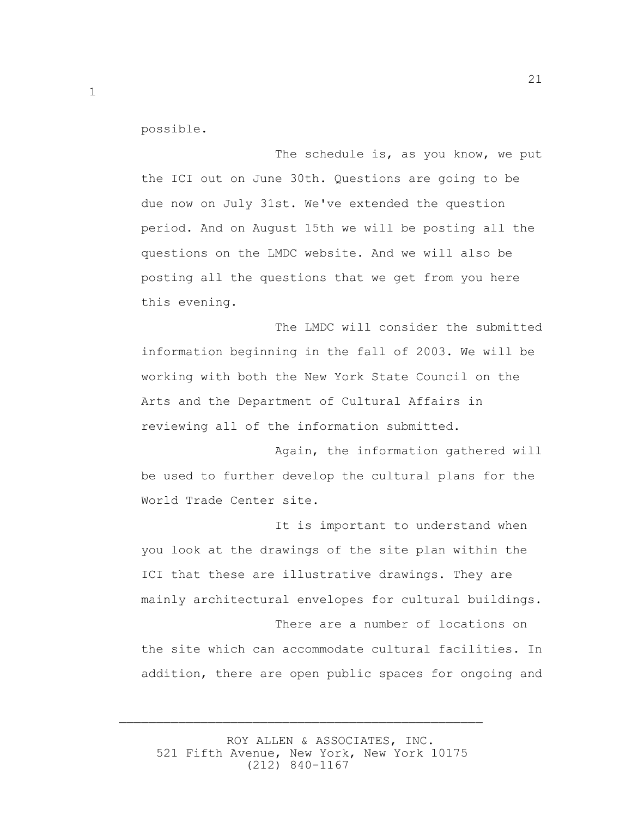possible.

The schedule is, as you know, we put the ICI out on June 30th. Questions are going to be due now on July 31st. We've extended the question period. And on August 15th we will be posting all the questions on the LMDC website. And we will also be posting all the questions that we get from you here this evening.

 The LMDC will consider the submitted information beginning in the fall of 2003. We will be working with both the New York State Council on the Arts and the Department of Cultural Affairs in reviewing all of the information submitted.

 Again, the information gathered will be used to further develop the cultural plans for the World Trade Center site.

 It is important to understand when you look at the drawings of the site plan within the ICI that these are illustrative drawings. They are mainly architectural envelopes for cultural buildings.

 There are a number of locations on the site which can accommodate cultural facilities. In addition, there are open public spaces for ongoing and

 ROY ALLEN & ASSOCIATES, INC. 521 Fifth Avenue, New York, New York 10175 (212) 840-1167

 $\overline{\phantom{a}}$  , and the contract of the contract of the contract of the contract of the contract of the contract of the contract of the contract of the contract of the contract of the contract of the contract of the contrac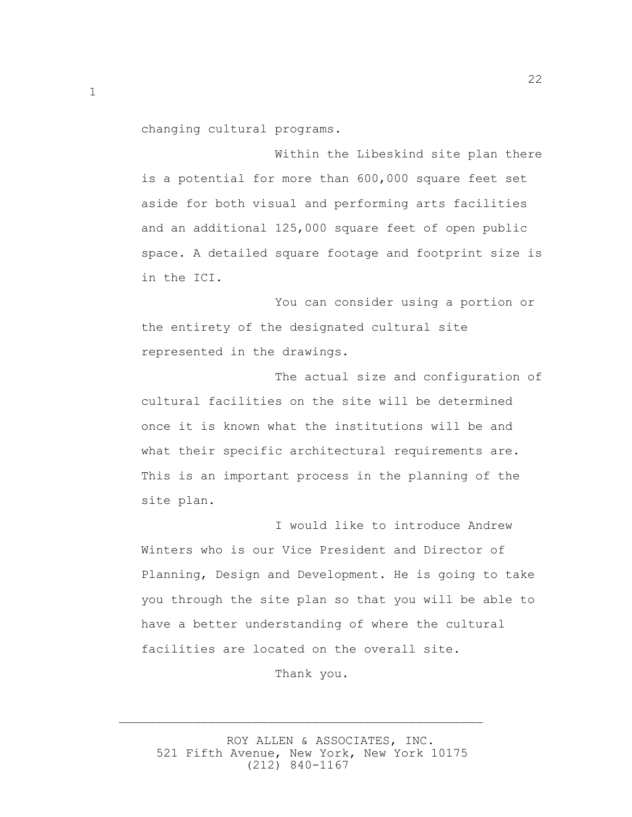changing cultural programs.

 Within the Libeskind site plan there is a potential for more than 600,000 square feet set aside for both visual and performing arts facilities and an additional 125,000 square feet of open public space. A detailed square footage and footprint size is in the ICI.

 You can consider using a portion or the entirety of the designated cultural site represented in the drawings.

 The actual size and configuration of cultural facilities on the site will be determined once it is known what the institutions will be and what their specific architectural requirements are. This is an important process in the planning of the site plan.

 I would like to introduce Andrew Winters who is our Vice President and Director of Planning, Design and Development. He is going to take you through the site plan so that you will be able to have a better understanding of where the cultural facilities are located on the overall site.

Thank you.

 ROY ALLEN & ASSOCIATES, INC. 521 Fifth Avenue, New York, New York 10175 (212) 840-1167

 $\overline{\phantom{a}}$  , and the contract of the contract of the contract of the contract of the contract of the contract of the contract of the contract of the contract of the contract of the contract of the contract of the contrac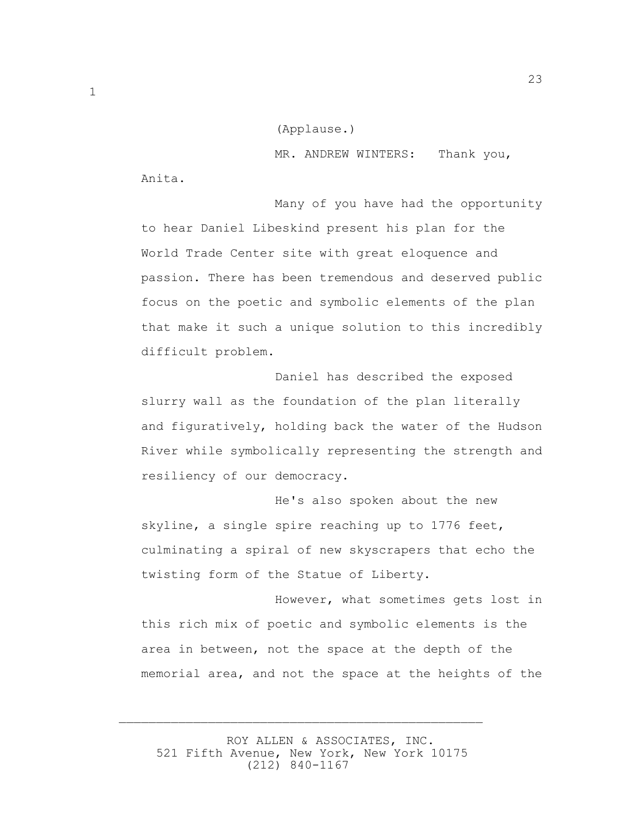(Applause.)

 MR. ANDREW WINTERS: Thank you, Anita.

 Many of you have had the opportunity to hear Daniel Libeskind present his plan for the World Trade Center site with great eloquence and passion. There has been tremendous and deserved public focus on the poetic and symbolic elements of the plan that make it such a unique solution to this incredibly difficult problem.

 Daniel has described the exposed slurry wall as the foundation of the plan literally and figuratively, holding back the water of the Hudson River while symbolically representing the strength and resiliency of our democracy.

 He's also spoken about the new skyline, a single spire reaching up to 1776 feet, culminating a spiral of new skyscrapers that echo the twisting form of the Statue of Liberty.

 However, what sometimes gets lost in this rich mix of poetic and symbolic elements is the area in between, not the space at the depth of the memorial area, and not the space at the heights of the

 ROY ALLEN & ASSOCIATES, INC. 521 Fifth Avenue, New York, New York 10175 (212) 840-1167

 $\overline{\phantom{a}}$  , and the contract of the contract of the contract of the contract of the contract of the contract of the contract of the contract of the contract of the contract of the contract of the contract of the contrac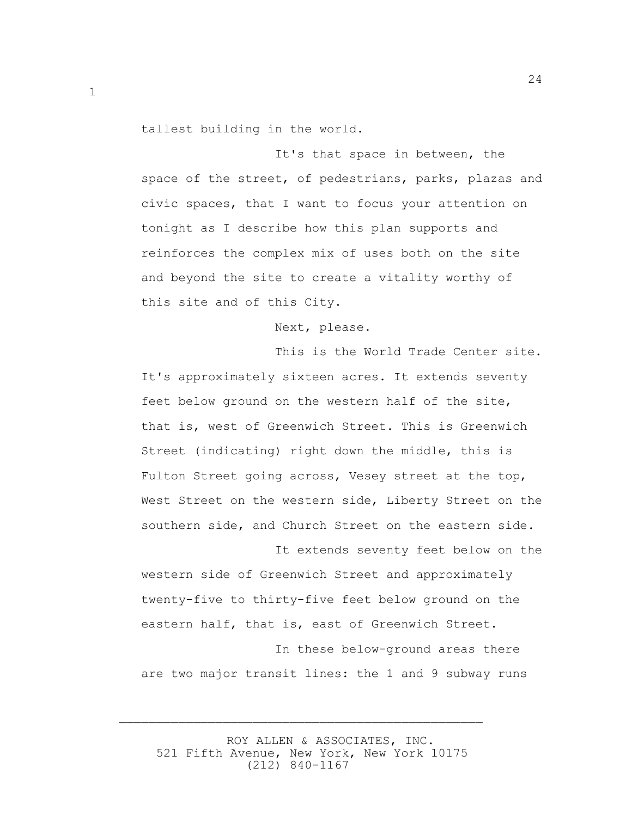tallest building in the world.

1

 It's that space in between, the space of the street, of pedestrians, parks, plazas and civic spaces, that I want to focus your attention on tonight as I describe how this plan supports and reinforces the complex mix of uses both on the site and beyond the site to create a vitality worthy of this site and of this City.

Next, please.

 This is the World Trade Center site. It's approximately sixteen acres. It extends seventy feet below ground on the western half of the site, that is, west of Greenwich Street. This is Greenwich Street (indicating) right down the middle, this is Fulton Street going across, Vesey street at the top, West Street on the western side, Liberty Street on the southern side, and Church Street on the eastern side.

 It extends seventy feet below on the western side of Greenwich Street and approximately twenty-five to thirty-five feet below ground on the eastern half, that is, east of Greenwich Street.

 In these below-ground areas there are two major transit lines: the 1 and 9 subway runs

 ROY ALLEN & ASSOCIATES, INC. 521 Fifth Avenue, New York, New York 10175 (212) 840-1167

 $\overline{\phantom{a}}$  , and the contract of the contract of the contract of the contract of the contract of the contract of the contract of the contract of the contract of the contract of the contract of the contract of the contrac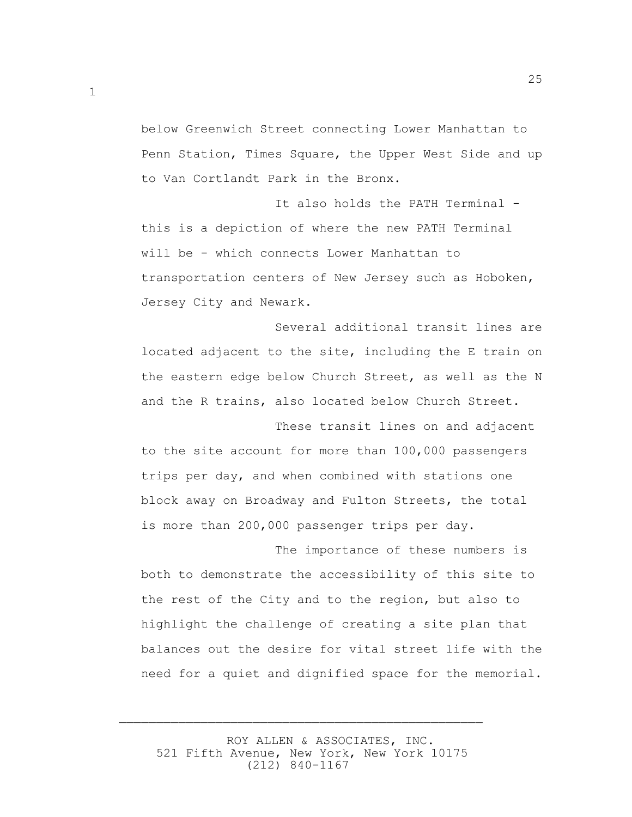below Greenwich Street connecting Lower Manhattan to Penn Station, Times Square, the Upper West Side and up to Van Cortlandt Park in the Bronx.

It also holds the PATH Terminal this is a depiction of where the new PATH Terminal will be - which connects Lower Manhattan to transportation centers of New Jersey such as Hoboken, Jersey City and Newark.

 Several additional transit lines are located adjacent to the site, including the E train on the eastern edge below Church Street, as well as the N and the R trains, also located below Church Street.

 These transit lines on and adjacent to the site account for more than 100,000 passengers trips per day, and when combined with stations one block away on Broadway and Fulton Streets, the total is more than 200,000 passenger trips per day.

 The importance of these numbers is both to demonstrate the accessibility of this site to the rest of the City and to the region, but also to highlight the challenge of creating a site plan that balances out the desire for vital street life with the need for a quiet and dignified space for the memorial.

 ROY ALLEN & ASSOCIATES, INC. 521 Fifth Avenue, New York, New York 10175 (212) 840-1167

 $\overline{\phantom{a}}$  , and the contract of the contract of the contract of the contract of the contract of the contract of the contract of the contract of the contract of the contract of the contract of the contract of the contrac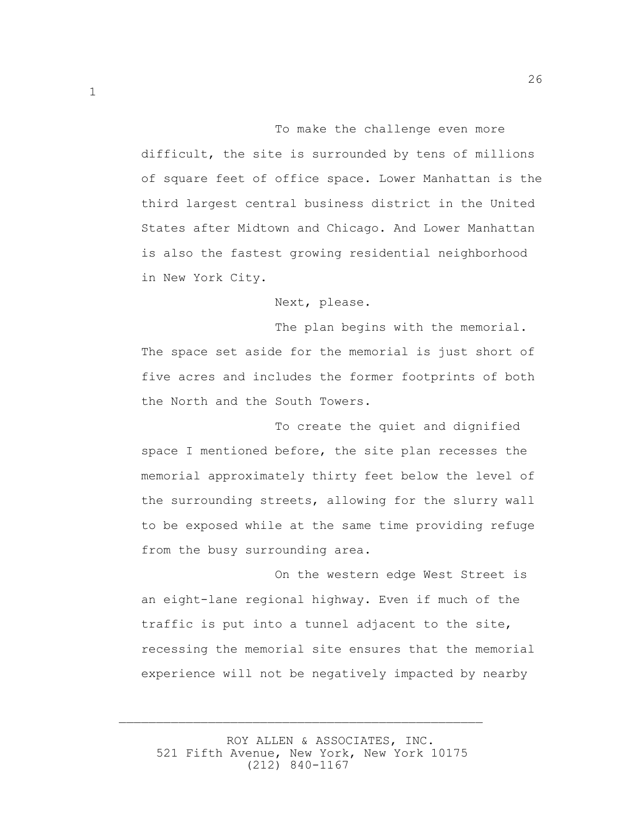To make the challenge even more difficult, the site is surrounded by tens of millions of square feet of office space. Lower Manhattan is the third largest central business district in the United States after Midtown and Chicago. And Lower Manhattan is also the fastest growing residential neighborhood in New York City.

26

Next, please.

The plan begins with the memorial. The space set aside for the memorial is just short of five acres and includes the former footprints of both the North and the South Towers.

 To create the quiet and dignified space I mentioned before, the site plan recesses the memorial approximately thirty feet below the level of the surrounding streets, allowing for the slurry wall to be exposed while at the same time providing refuge from the busy surrounding area.

 On the western edge West Street is an eight-lane regional highway. Even if much of the traffic is put into a tunnel adjacent to the site, recessing the memorial site ensures that the memorial experience will not be negatively impacted by nearby

 ROY ALLEN & ASSOCIATES, INC. 521 Fifth Avenue, New York, New York 10175 (212) 840-1167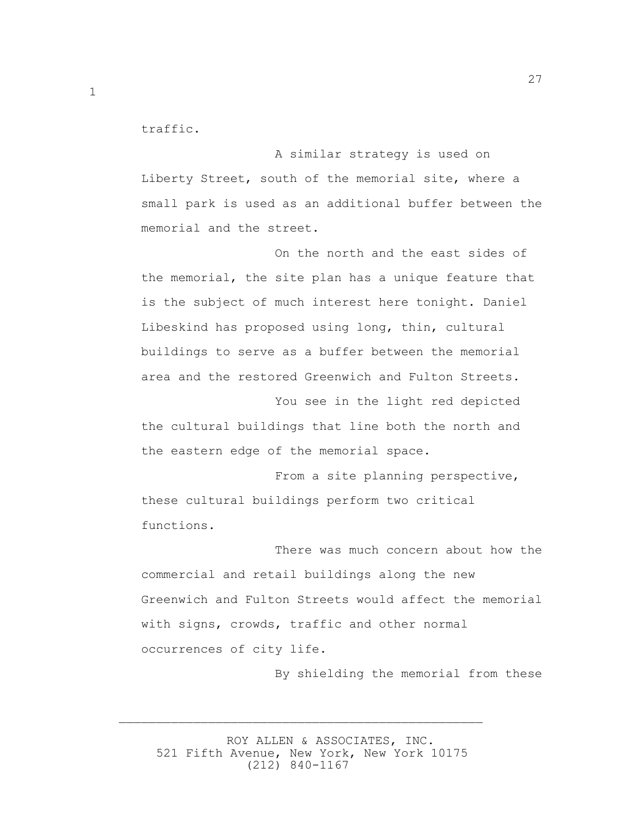traffic.

 A similar strategy is used on Liberty Street, south of the memorial site, where a small park is used as an additional buffer between the memorial and the street.

 On the north and the east sides of the memorial, the site plan has a unique feature that is the subject of much interest here tonight. Daniel Libeskind has proposed using long, thin, cultural buildings to serve as a buffer between the memorial area and the restored Greenwich and Fulton Streets.

 You see in the light red depicted the cultural buildings that line both the north and the eastern edge of the memorial space.

 From a site planning perspective, these cultural buildings perform two critical functions.

 There was much concern about how the commercial and retail buildings along the new Greenwich and Fulton Streets would affect the memorial with signs, crowds, traffic and other normal occurrences of city life.

By shielding the memorial from these

 ROY ALLEN & ASSOCIATES, INC. 521 Fifth Avenue, New York, New York 10175 (212) 840-1167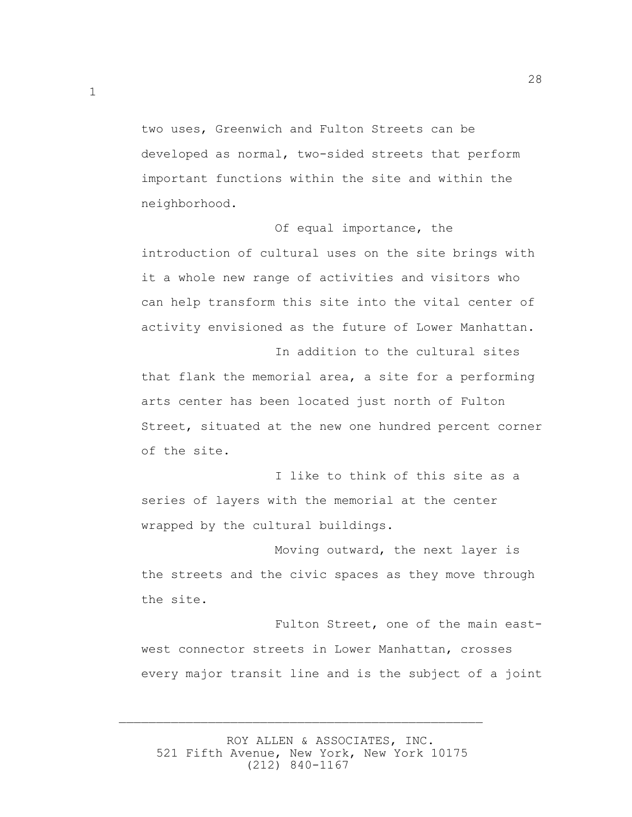two uses, Greenwich and Fulton Streets can be developed as normal, two-sided streets that perform important functions within the site and within the neighborhood.

28

 Of equal importance, the introduction of cultural uses on the site brings with it a whole new range of activities and visitors who can help transform this site into the vital center of activity envisioned as the future of Lower Manhattan.

 In addition to the cultural sites that flank the memorial area, a site for a performing arts center has been located just north of Fulton Street, situated at the new one hundred percent corner of the site.

 I like to think of this site as a series of layers with the memorial at the center wrapped by the cultural buildings.

 Moving outward, the next layer is the streets and the civic spaces as they move through the site.

 Fulton Street, one of the main eastwest connector streets in Lower Manhattan, crosses every major transit line and is the subject of a joint

 ROY ALLEN & ASSOCIATES, INC. 521 Fifth Avenue, New York, New York 10175 (212) 840-1167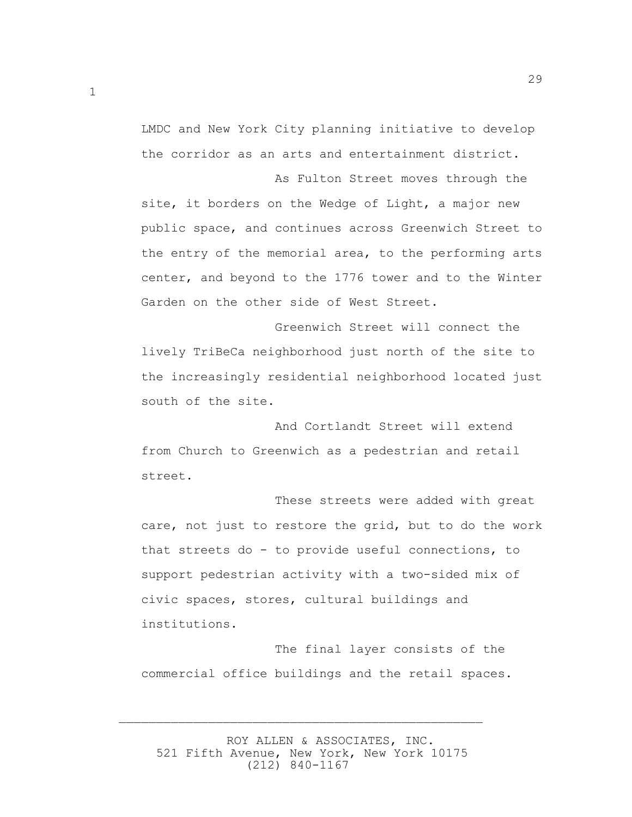LMDC and New York City planning initiative to develop the corridor as an arts and entertainment district.

29

 As Fulton Street moves through the site, it borders on the Wedge of Light, a major new public space, and continues across Greenwich Street to the entry of the memorial area, to the performing arts center, and beyond to the 1776 tower and to the Winter Garden on the other side of West Street.

 Greenwich Street will connect the lively TriBeCa neighborhood just north of the site to the increasingly residential neighborhood located just south of the site.

 And Cortlandt Street will extend from Church to Greenwich as a pedestrian and retail street.

 These streets were added with great care, not just to restore the grid, but to do the work that streets do - to provide useful connections, to support pedestrian activity with a two-sided mix of civic spaces, stores, cultural buildings and institutions.

 The final layer consists of the commercial office buildings and the retail spaces.

 ROY ALLEN & ASSOCIATES, INC. 521 Fifth Avenue, New York, New York 10175 (212) 840-1167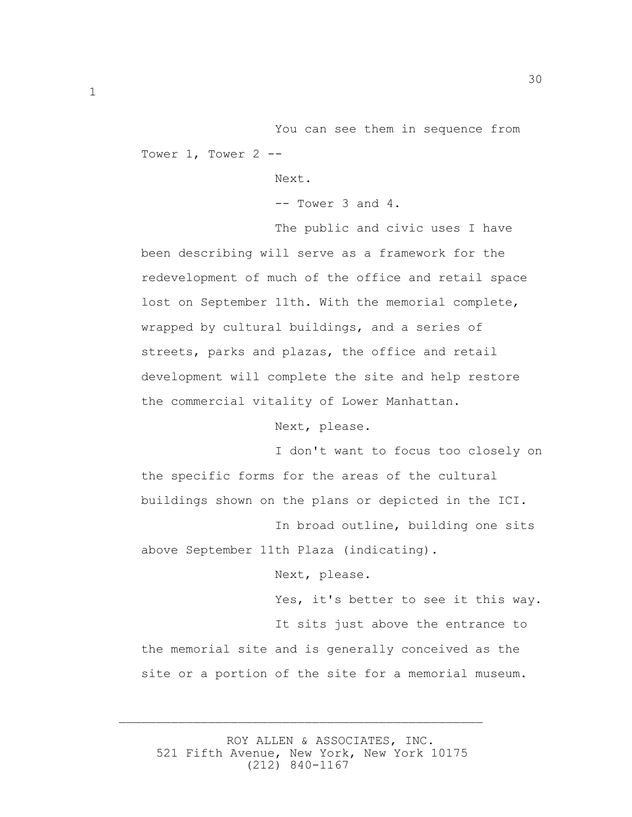You can see them in sequence from Tower 1, Tower 2 --

Next.

-- Tower 3 and 4.

 The public and civic uses I have been describing will serve as a framework for the redevelopment of much of the office and retail space lost on September 11th. With the memorial complete, wrapped by cultural buildings, and a series of streets, parks and plazas, the office and retail development will complete the site and help restore the commercial vitality of Lower Manhattan.

Next, please.

 I don't want to focus too closely on the specific forms for the areas of the cultural buildings shown on the plans or depicted in the ICI.

 In broad outline, building one sits above September 11th Plaza (indicating).

Next, please.

 Yes, it's better to see it this way. It sits just above the entrance to the memorial site and is generally conceived as the site or a portion of the site for a memorial museum.

 ROY ALLEN & ASSOCIATES, INC. 521 Fifth Avenue, New York, New York 10175 (212) 840-1167

 $\overline{\phantom{a}}$  , and the contract of the contract of the contract of the contract of the contract of the contract of the contract of the contract of the contract of the contract of the contract of the contract of the contrac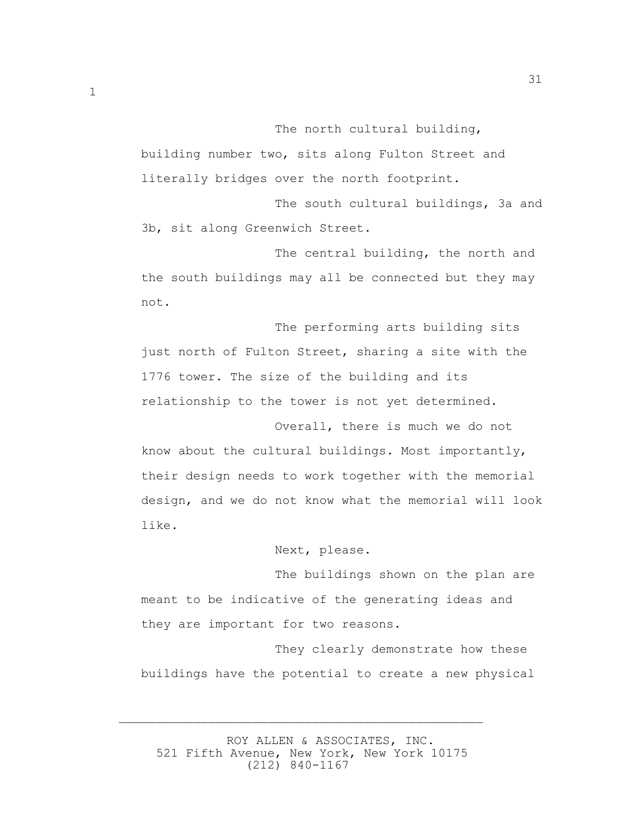The north cultural building,

31

building number two, sits along Fulton Street and literally bridges over the north footprint.

 The south cultural buildings, 3a and 3b, sit along Greenwich Street.

 The central building, the north and the south buildings may all be connected but they may not.

 The performing arts building sits just north of Fulton Street, sharing a site with the 1776 tower. The size of the building and its relationship to the tower is not yet determined.

 Overall, there is much we do not know about the cultural buildings. Most importantly, their design needs to work together with the memorial design, and we do not know what the memorial will look like.

Next, please.

 The buildings shown on the plan are meant to be indicative of the generating ideas and they are important for two reasons.

 They clearly demonstrate how these buildings have the potential to create a new physical

 ROY ALLEN & ASSOCIATES, INC. 521 Fifth Avenue, New York, New York 10175 (212) 840-1167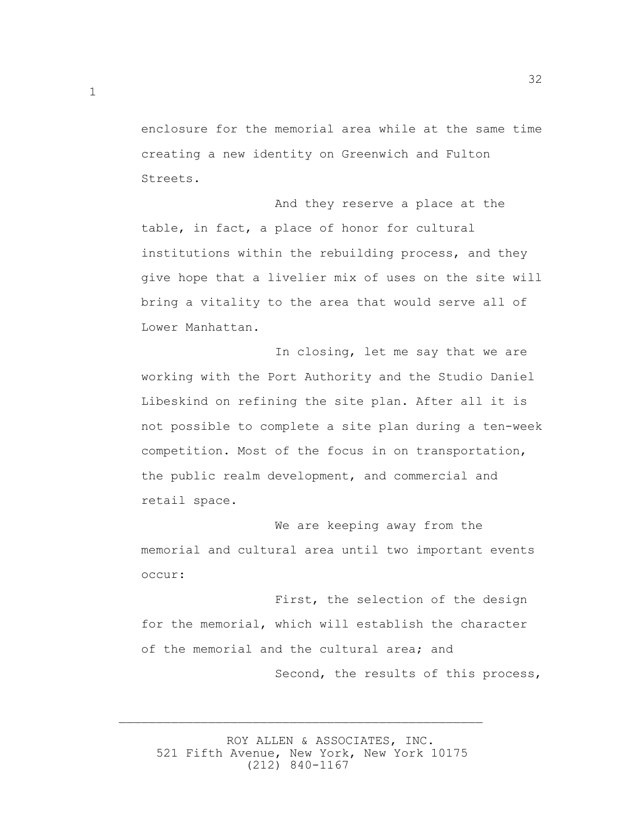enclosure for the memorial area while at the same time creating a new identity on Greenwich and Fulton Streets.

32

 And they reserve a place at the table, in fact, a place of honor for cultural institutions within the rebuilding process, and they give hope that a livelier mix of uses on the site will bring a vitality to the area that would serve all of Lower Manhattan.

 In closing, let me say that we are working with the Port Authority and the Studio Daniel Libeskind on refining the site plan. After all it is not possible to complete a site plan during a ten-week competition. Most of the focus in on transportation, the public realm development, and commercial and retail space.

 We are keeping away from the memorial and cultural area until two important events occur:

 First, the selection of the design for the memorial, which will establish the character of the memorial and the cultural area; and Second, the results of this process,

 ROY ALLEN & ASSOCIATES, INC. 521 Fifth Avenue, New York, New York 10175 (212) 840-1167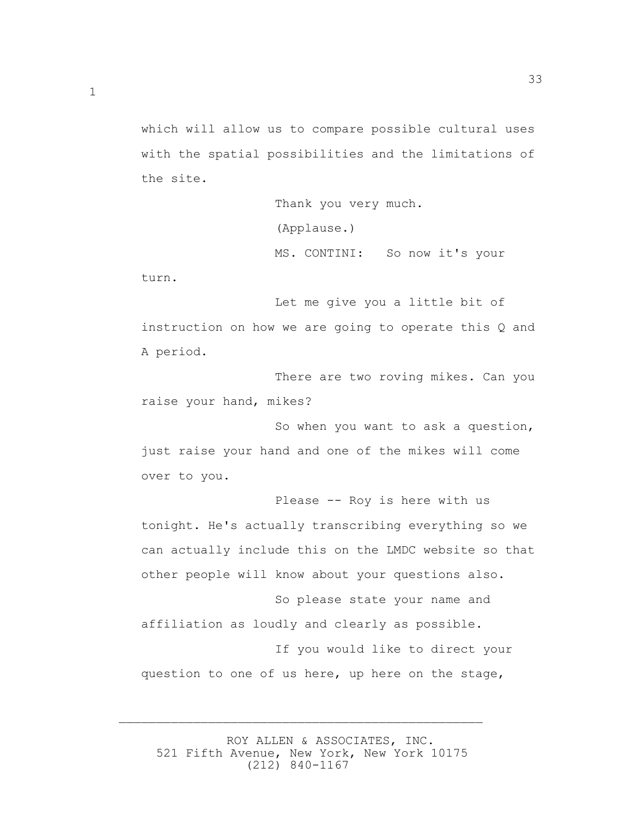which will allow us to compare possible cultural uses with the spatial possibilities and the limitations of the site.

```
 Thank you very much. 
(Applause.) 
MS. CONTINI: So now it's your
```
33

turn.

 Let me give you a little bit of instruction on how we are going to operate this Q and A period.

 There are two roving mikes. Can you raise your hand, mikes?

 So when you want to ask a question, just raise your hand and one of the mikes will come over to you.

 Please -- Roy is here with us tonight. He's actually transcribing everything so we can actually include this on the LMDC website so that other people will know about your questions also. So please state your name and affiliation as loudly and clearly as possible. If you would like to direct your question to one of us here, up here on the stage,

 ROY ALLEN & ASSOCIATES, INC. 521 Fifth Avenue, New York, New York 10175 (212) 840-1167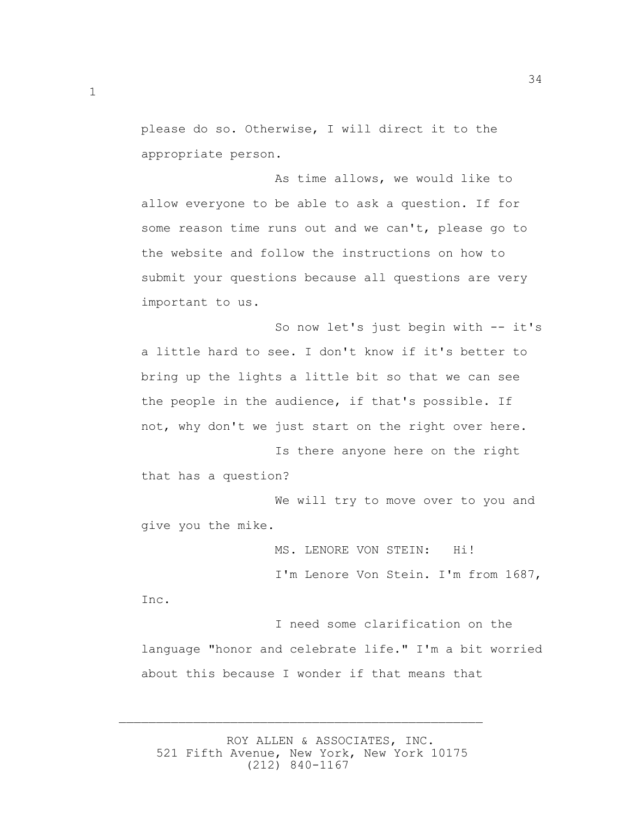please do so. Otherwise, I will direct it to the appropriate person.

 As time allows, we would like to allow everyone to be able to ask a question. If for some reason time runs out and we can't, please go to the website and follow the instructions on how to submit your questions because all questions are very important to us.

 So now let's just begin with -- it's a little hard to see. I don't know if it's better to bring up the lights a little bit so that we can see the people in the audience, if that's possible. If not, why don't we just start on the right over here.

 Is there anyone here on the right that has a question?

 We will try to move over to you and give you the mike.

MS. LENORE VON STEIN: Hi!

I'm Lenore Von Stein. I'm from 1687,

Inc.

 I need some clarification on the language "honor and celebrate life." I'm a bit worried about this because I wonder if that means that

 ROY ALLEN & ASSOCIATES, INC. 521 Fifth Avenue, New York, New York 10175 (212) 840-1167

 $\overline{\phantom{a}}$  , and the contract of the contract of the contract of the contract of the contract of the contract of the contract of the contract of the contract of the contract of the contract of the contract of the contrac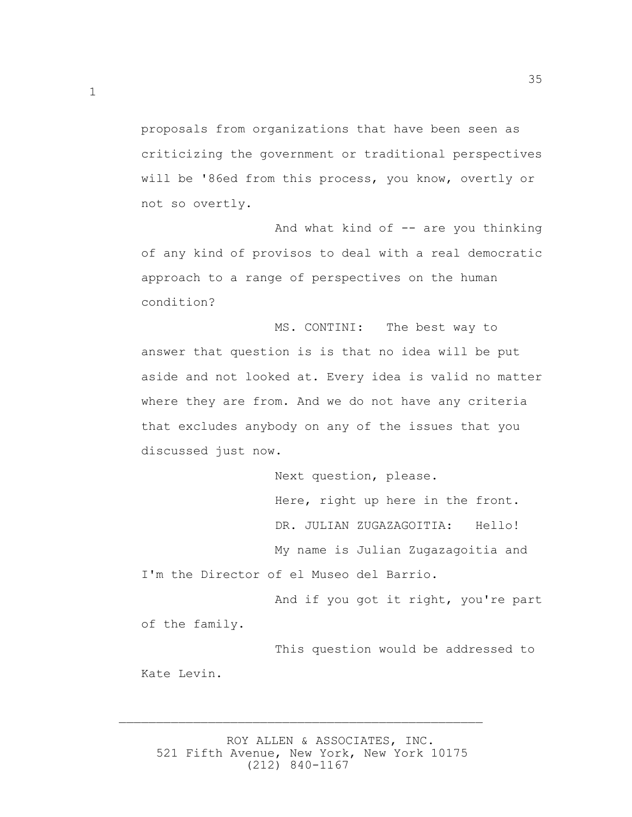proposals from organizations that have been seen as criticizing the government or traditional perspectives will be '86ed from this process, you know, overtly or not so overtly.

And what kind of  $-$  are you thinking of any kind of provisos to deal with a real democratic approach to a range of perspectives on the human condition?

 MS. CONTINI: The best way to answer that question is is that no idea will be put aside and not looked at. Every idea is valid no matter where they are from. And we do not have any criteria that excludes anybody on any of the issues that you discussed just now.

 Next question, please. Here, right up here in the front. DR. JULIAN ZUGAZAGOITIA: Hello! My name is Julian Zugazagoitia and I'm the Director of el Museo del Barrio.

 And if you got it right, you're part of the family.

 This question would be addressed to Kate Levin.

 ROY ALLEN & ASSOCIATES, INC. 521 Fifth Avenue, New York, New York 10175 (212) 840-1167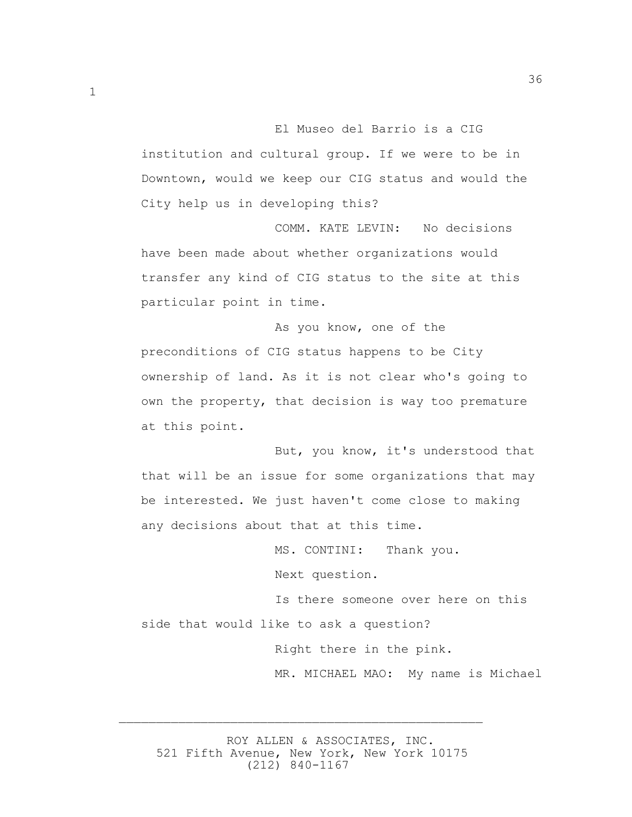institution and cultural group. If we were to be in Downtown, would we keep our CIG status and would the City help us in developing this?

 COMM. KATE LEVIN: No decisions have been made about whether organizations would transfer any kind of CIG status to the site at this particular point in time.

 As you know, one of the preconditions of CIG status happens to be City ownership of land. As it is not clear who's going to own the property, that decision is way too premature at this point.

 But, you know, it's understood that that will be an issue for some organizations that may be interested. We just haven't come close to making any decisions about that at this time.

> MS. CONTINI: Thank you. Next question.

 Is there someone over here on this side that would like to ask a question?

> Right there in the pink. MR. MICHAEL MAO: My name is Michael

 ROY ALLEN & ASSOCIATES, INC. 521 Fifth Avenue, New York, New York 10175 (212) 840-1167

 $\overline{\phantom{a}}$  , and the contract of the contract of the contract of the contract of the contract of the contract of the contract of the contract of the contract of the contract of the contract of the contract of the contrac

El Museo del Barrio is a CIG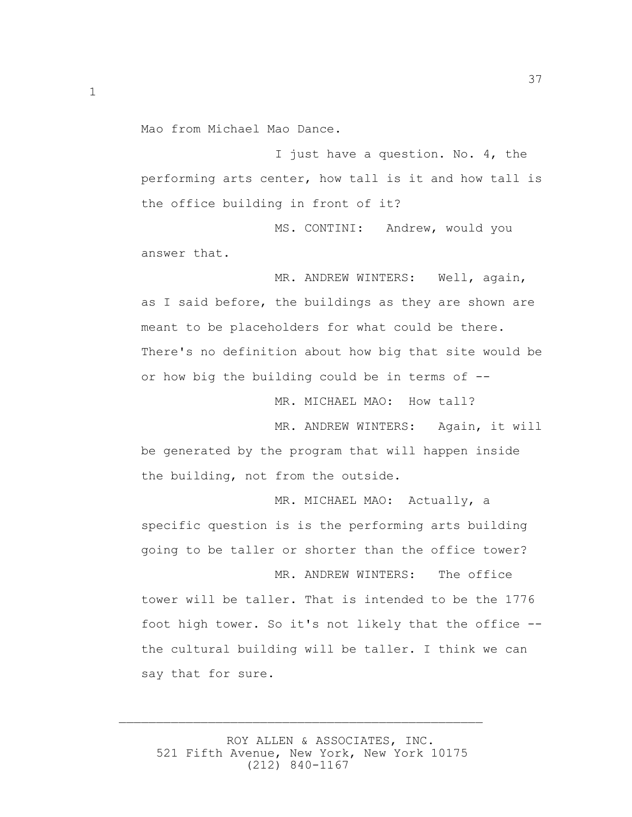Mao from Michael Mao Dance.

 I just have a question. No. 4, the performing arts center, how tall is it and how tall is the office building in front of it?

 MS. CONTINI: Andrew, would you answer that.

 MR. ANDREW WINTERS: Well, again, as I said before, the buildings as they are shown are meant to be placeholders for what could be there. There's no definition about how big that site would be or how big the building could be in terms of --

MR. MICHAEL MAO: How tall?

MR. ANDREW WINTERS: Again, it will

be generated by the program that will happen inside the building, not from the outside.

 MR. MICHAEL MAO: Actually, a specific question is is the performing arts building going to be taller or shorter than the office tower?

 MR. ANDREW WINTERS: The office tower will be taller. That is intended to be the 1776 foot high tower. So it's not likely that the office - the cultural building will be taller. I think we can say that for sure.

 ROY ALLEN & ASSOCIATES, INC. 521 Fifth Avenue, New York, New York 10175 (212) 840-1167

 $\overline{\phantom{a}}$  , and the contract of the contract of the contract of the contract of the contract of the contract of the contract of the contract of the contract of the contract of the contract of the contract of the contrac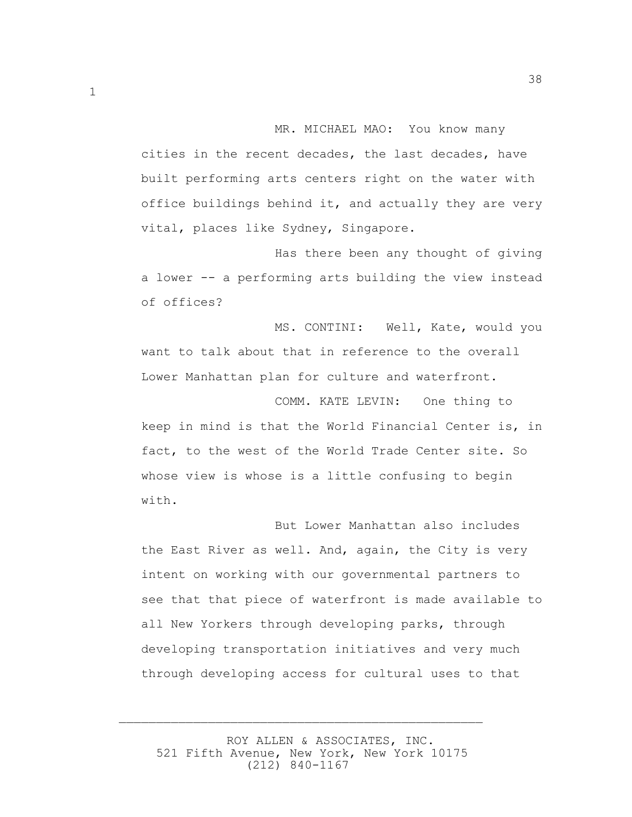MR. MICHAEL MAO: You know many cities in the recent decades, the last decades, have built performing arts centers right on the water with office buildings behind it, and actually they are very vital, places like Sydney, Singapore.

 Has there been any thought of giving a lower -- a performing arts building the view instead of offices?

 MS. CONTINI: Well, Kate, would you want to talk about that in reference to the overall Lower Manhattan plan for culture and waterfront.

 COMM. KATE LEVIN: One thing to keep in mind is that the World Financial Center is, in fact, to the west of the World Trade Center site. So whose view is whose is a little confusing to begin with.

 But Lower Manhattan also includes the East River as well. And, again, the City is very intent on working with our governmental partners to see that that piece of waterfront is made available to all New Yorkers through developing parks, through developing transportation initiatives and very much through developing access for cultural uses to that

 ROY ALLEN & ASSOCIATES, INC. 521 Fifth Avenue, New York, New York 10175 (212) 840-1167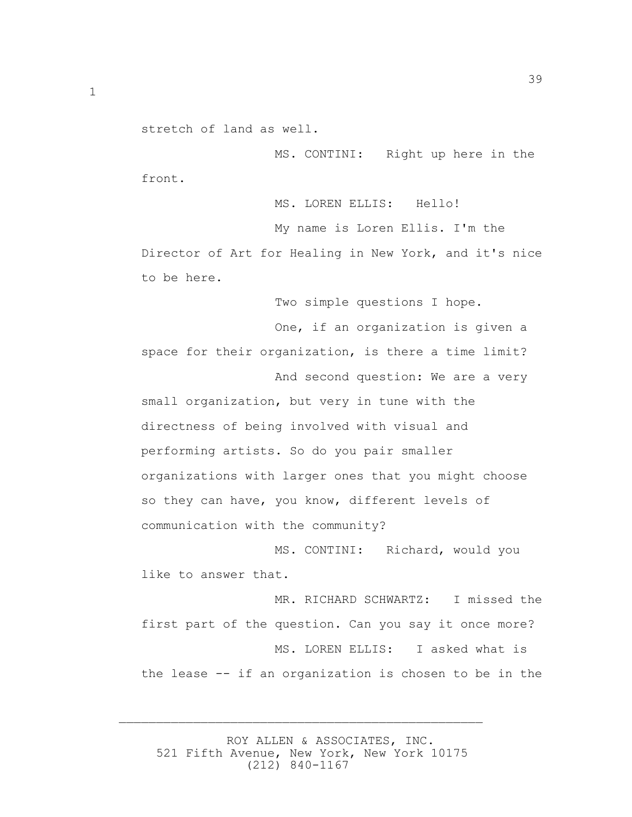stretch of land as well.

 MS. CONTINI: Right up here in the front.

MS. LOREN ELLIS: Hello!

 My name is Loren Ellis. I'm the Director of Art for Healing in New York, and it's nice to be here.

Two simple questions I hope.

 One, if an organization is given a space for their organization, is there a time limit? And second question: We are a very small organization, but very in tune with the directness of being involved with visual and performing artists. So do you pair smaller organizations with larger ones that you might choose so they can have, you know, different levels of communication with the community?

 MS. CONTINI: Richard, would you like to answer that.

MR. RICHARD SCHWARTZ: I missed the first part of the question. Can you say it once more? MS. LOREN ELLIS: I asked what is the lease -- if an organization is chosen to be in the

 ROY ALLEN & ASSOCIATES, INC. 521 Fifth Avenue, New York, New York 10175 (212) 840-1167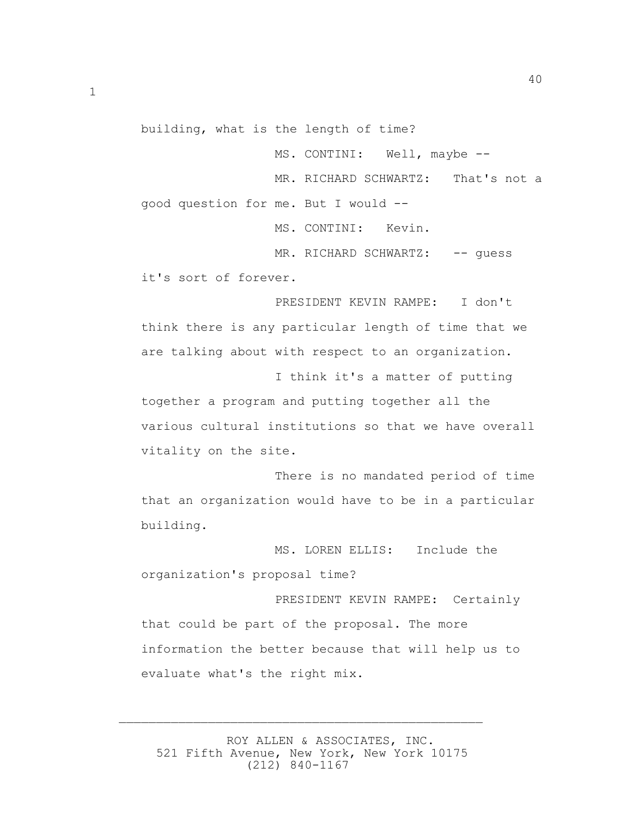building, what is the length of time?

MS. CONTINI: Well, maybe --

MR. RICHARD SCHWARTZ: That's not a good question for me. But I would --

MS. CONTINI: Kevin.

MR. RICHARD SCHWARTZ: -- quess it's sort of forever.

 PRESIDENT KEVIN RAMPE: I don't think there is any particular length of time that we are talking about with respect to an organization.

 I think it's a matter of putting together a program and putting together all the various cultural institutions so that we have overall vitality on the site.

 There is no mandated period of time that an organization would have to be in a particular building.

 MS. LOREN ELLIS: Include the organization's proposal time?

 PRESIDENT KEVIN RAMPE: Certainly that could be part of the proposal. The more information the better because that will help us to evaluate what's the right mix.

 ROY ALLEN & ASSOCIATES, INC. 521 Fifth Avenue, New York, New York 10175 (212) 840-1167

 $\overline{\phantom{a}}$  , and the contract of the contract of the contract of the contract of the contract of the contract of the contract of the contract of the contract of the contract of the contract of the contract of the contrac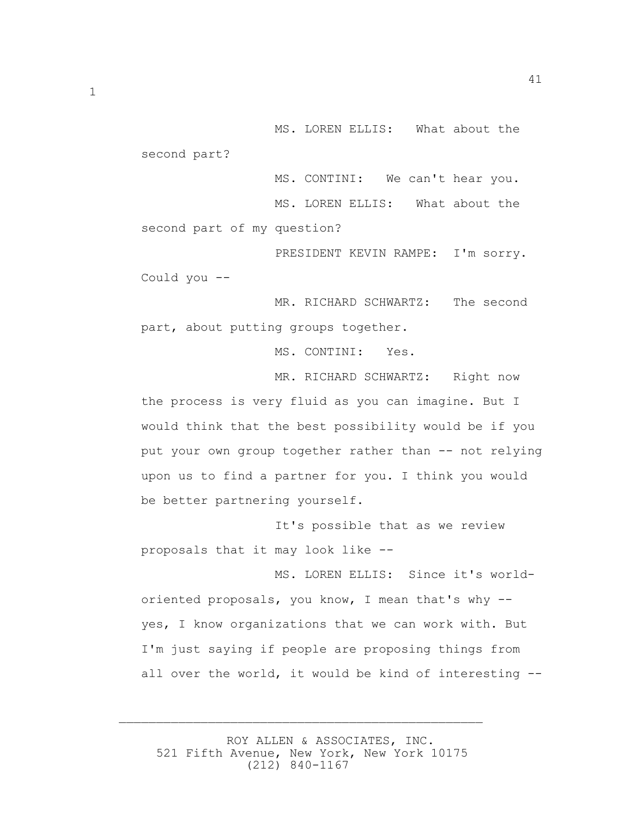MS. LOREN ELLIS: What about the second part?

 MS. CONTINI: We can't hear you. MS. LOREN ELLIS: What about the second part of my question?

 PRESIDENT KEVIN RAMPE: I'm sorry. Could you --

 MR. RICHARD SCHWARTZ: The second part, about putting groups together.

MS. CONTINI: Yes.

MR. RICHARD SCHWARTZ: Right now

the process is very fluid as you can imagine. But I would think that the best possibility would be if you put your own group together rather than -- not relying upon us to find a partner for you. I think you would be better partnering yourself.

 It's possible that as we review proposals that it may look like --

 MS. LOREN ELLIS: Since it's worldoriented proposals, you know, I mean that's why - yes, I know organizations that we can work with. But I'm just saying if people are proposing things from all over the world, it would be kind of interesting --

 ROY ALLEN & ASSOCIATES, INC. 521 Fifth Avenue, New York, New York 10175 (212) 840-1167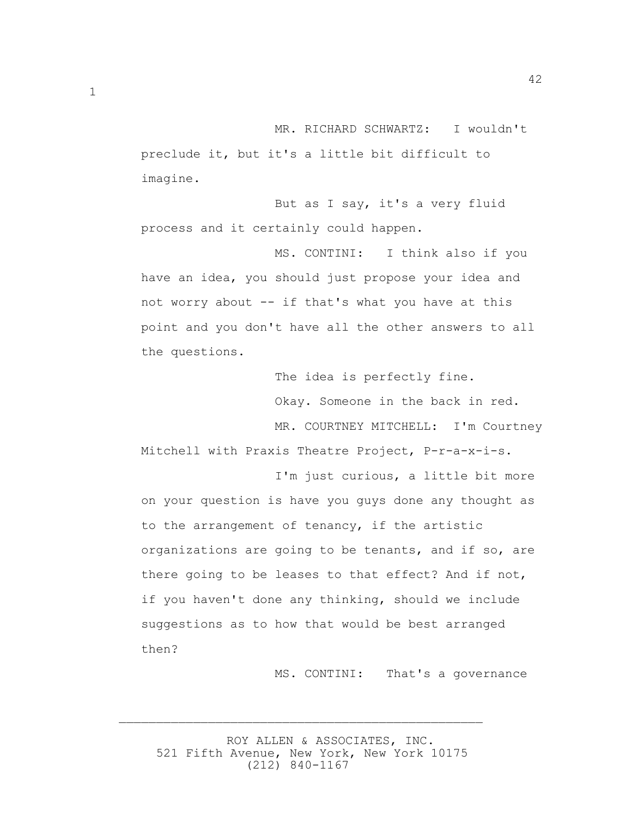MR. RICHARD SCHWARTZ: I wouldn't preclude it, but it's a little bit difficult to imagine.

 But as I say, it's a very fluid process and it certainly could happen.

 MS. CONTINI: I think also if you have an idea, you should just propose your idea and not worry about -- if that's what you have at this point and you don't have all the other answers to all the questions.

> The idea is perfectly fine. Okay. Someone in the back in red. MR. COURTNEY MITCHELL: I'm Courtney

42

Mitchell with Praxis Theatre Project, P-r-a-x-i-s.

 I'm just curious, a little bit more on your question is have you guys done any thought as to the arrangement of tenancy, if the artistic organizations are going to be tenants, and if so, are there going to be leases to that effect? And if not, if you haven't done any thinking, should we include suggestions as to how that would be best arranged then?

MS. CONTINI: That's a governance

 ROY ALLEN & ASSOCIATES, INC. 521 Fifth Avenue, New York, New York 10175 (212) 840-1167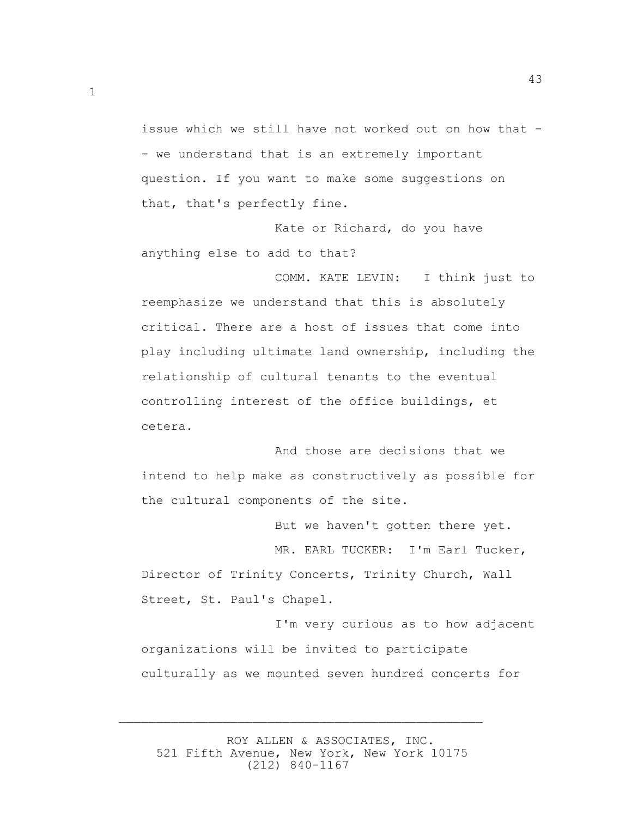issue which we still have not worked out on how that - - we understand that is an extremely important question. If you want to make some suggestions on that, that's perfectly fine.

43

 Kate or Richard, do you have anything else to add to that?

 COMM. KATE LEVIN: I think just to reemphasize we understand that this is absolutely critical. There are a host of issues that come into play including ultimate land ownership, including the relationship of cultural tenants to the eventual controlling interest of the office buildings, et cetera.

 And those are decisions that we intend to help make as constructively as possible for the cultural components of the site.

 But we haven't gotten there yet. MR. EARL TUCKER: I'm Earl Tucker, Director of Trinity Concerts, Trinity Church, Wall Street, St. Paul's Chapel.

 I'm very curious as to how adjacent organizations will be invited to participate culturally as we mounted seven hundred concerts for

 ROY ALLEN & ASSOCIATES, INC. 521 Fifth Avenue, New York, New York 10175 (212) 840-1167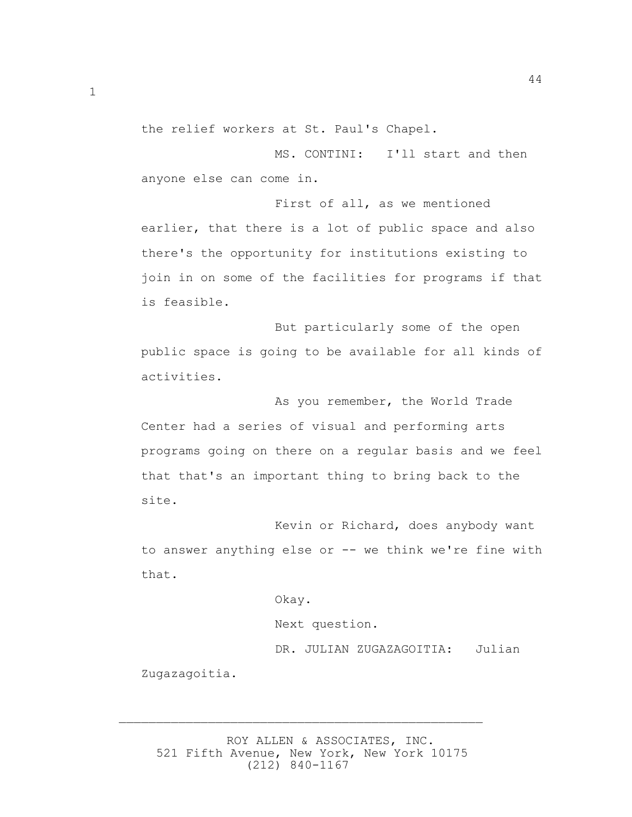the relief workers at St. Paul's Chapel.

 MS. CONTINI: I'll start and then anyone else can come in.

 First of all, as we mentioned earlier, that there is a lot of public space and also there's the opportunity for institutions existing to join in on some of the facilities for programs if that is feasible.

 But particularly some of the open public space is going to be available for all kinds of activities.

 As you remember, the World Trade Center had a series of visual and performing arts programs going on there on a regular basis and we feel that that's an important thing to bring back to the site.

 Kevin or Richard, does anybody want to answer anything else or -- we think we're fine with that.

Okay.

Next question.

 DR. JULIAN ZUGAZAGOITIA: Julian Zugazagoitia.

 ROY ALLEN & ASSOCIATES, INC. 521 Fifth Avenue, New York, New York 10175 (212) 840-1167

 $\overline{\phantom{a}}$  , and the contract of the contract of the contract of the contract of the contract of the contract of the contract of the contract of the contract of the contract of the contract of the contract of the contrac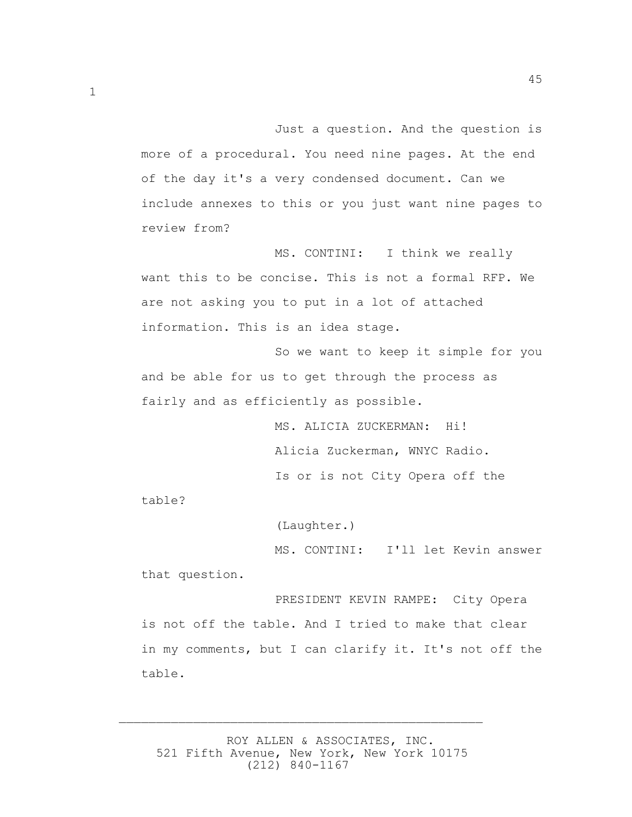45

 Just a question. And the question is more of a procedural. You need nine pages. At the end of the day it's a very condensed document. Can we include annexes to this or you just want nine pages to review from?

 MS. CONTINI: I think we really want this to be concise. This is not a formal RFP. We are not asking you to put in a lot of attached information. This is an idea stage.

 So we want to keep it simple for you and be able for us to get through the process as fairly and as efficiently as possible.

> MS. ALICIA ZUCKERMAN: Hi! Alicia Zuckerman, WNYC Radio. Is or is not City Opera off the

table?

(Laughter.)

 MS. CONTINI: I'll let Kevin answer that question.

 PRESIDENT KEVIN RAMPE: City Opera is not off the table. And I tried to make that clear in my comments, but I can clarify it. It's not off the table.

 ROY ALLEN & ASSOCIATES, INC. 521 Fifth Avenue, New York, New York 10175 (212) 840-1167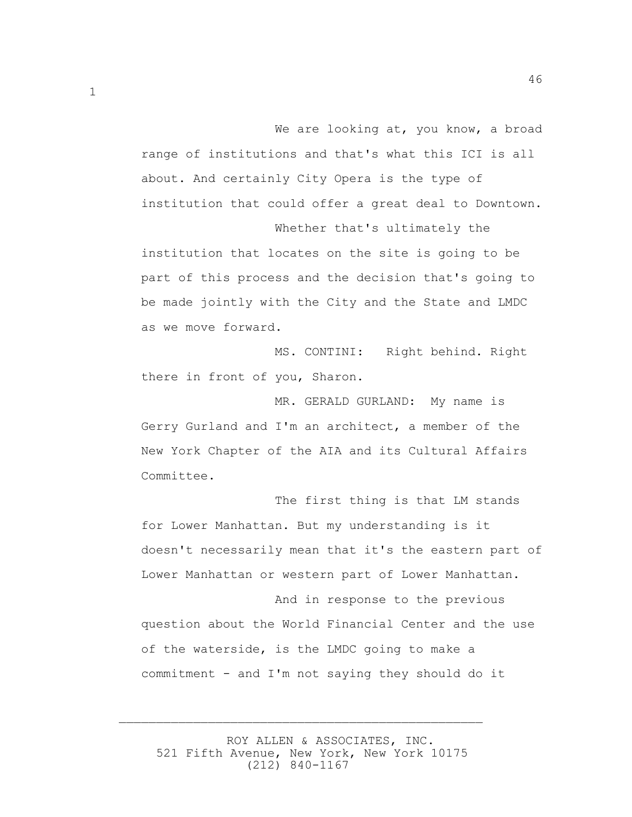We are looking at, you know, a broad range of institutions and that's what this ICI is all about. And certainly City Opera is the type of institution that could offer a great deal to Downtown. Whether that's ultimately the

institution that locates on the site is going to be part of this process and the decision that's going to be made jointly with the City and the State and LMDC as we move forward.

 MS. CONTINI: Right behind. Right there in front of you, Sharon.

 MR. GERALD GURLAND: My name is Gerry Gurland and I'm an architect, a member of the New York Chapter of the AIA and its Cultural Affairs Committee.

 The first thing is that LM stands for Lower Manhattan. But my understanding is it doesn't necessarily mean that it's the eastern part of Lower Manhattan or western part of Lower Manhattan.

 And in response to the previous question about the World Financial Center and the use of the waterside, is the LMDC going to make a commitment - and I'm not saying they should do it

 ROY ALLEN & ASSOCIATES, INC. 521 Fifth Avenue, New York, New York 10175 (212) 840-1167

 $\overline{\phantom{a}}$  , and the contract of the contract of the contract of the contract of the contract of the contract of the contract of the contract of the contract of the contract of the contract of the contract of the contrac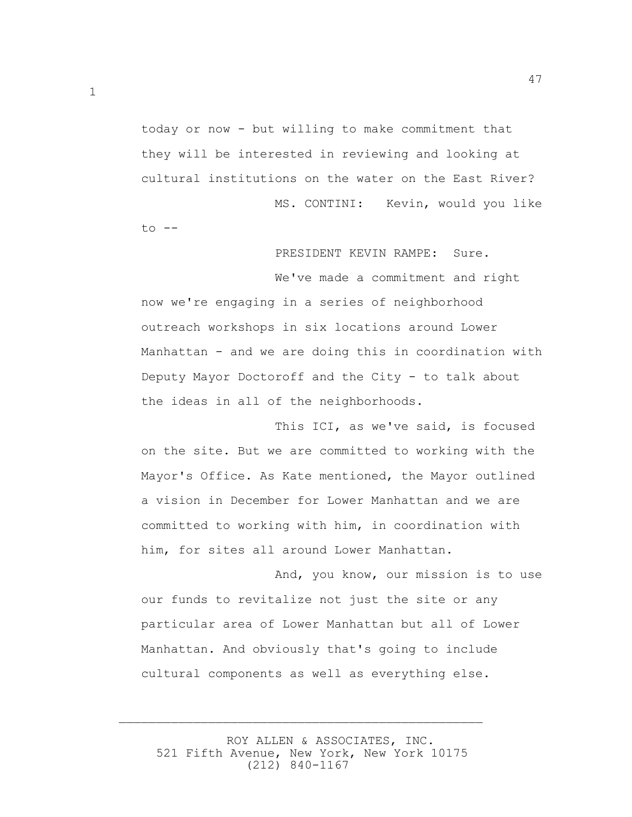today or now - but willing to make commitment that they will be interested in reviewing and looking at cultural institutions on the water on the East River? MS. CONTINI: Kevin, would you like

 $to$   $--$ 

## PRESIDENT KEVIN RAMPE: Sure.

 We've made a commitment and right now we're engaging in a series of neighborhood outreach workshops in six locations around Lower Manhattan - and we are doing this in coordination with Deputy Mayor Doctoroff and the City - to talk about the ideas in all of the neighborhoods.

 This ICI, as we've said, is focused on the site. But we are committed to working with the Mayor's Office. As Kate mentioned, the Mayor outlined a vision in December for Lower Manhattan and we are committed to working with him, in coordination with him, for sites all around Lower Manhattan.

 And, you know, our mission is to use our funds to revitalize not just the site or any particular area of Lower Manhattan but all of Lower Manhattan. And obviously that's going to include cultural components as well as everything else.

 ROY ALLEN & ASSOCIATES, INC. 521 Fifth Avenue, New York, New York 10175 (212) 840-1167

 $\overline{\phantom{a}}$  , and the contract of the contract of the contract of the contract of the contract of the contract of the contract of the contract of the contract of the contract of the contract of the contract of the contrac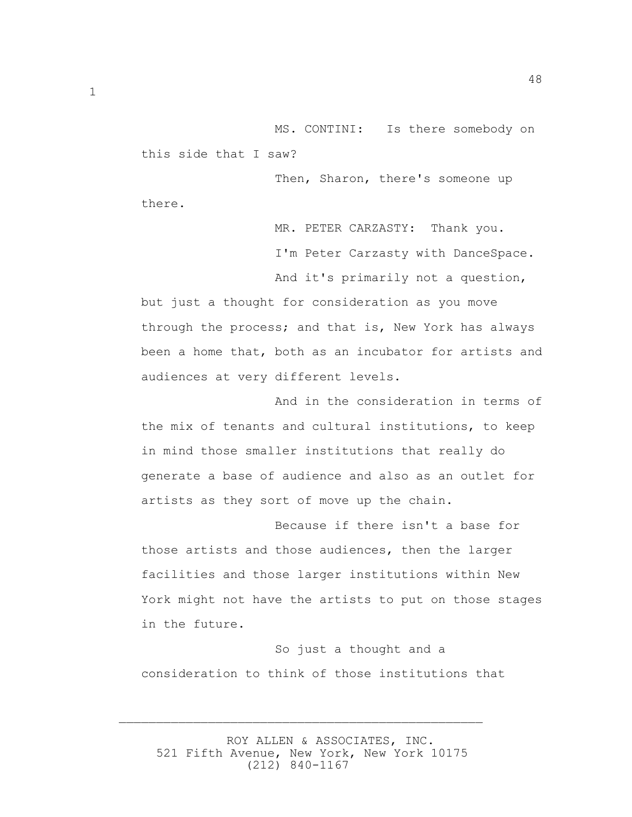MS. CONTINI: Is there somebody on this side that I saw?

 Then, Sharon, there's someone up there.

> MR. PETER CARZASTY: Thank you. I'm Peter Carzasty with DanceSpace.

And it's primarily not a question,

but just a thought for consideration as you move through the process; and that is, New York has always been a home that, both as an incubator for artists and audiences at very different levels.

 And in the consideration in terms of the mix of tenants and cultural institutions, to keep in mind those smaller institutions that really do generate a base of audience and also as an outlet for artists as they sort of move up the chain.

 Because if there isn't a base for those artists and those audiences, then the larger facilities and those larger institutions within New York might not have the artists to put on those stages in the future.

 So just a thought and a consideration to think of those institutions that

 ROY ALLEN & ASSOCIATES, INC. 521 Fifth Avenue, New York, New York 10175 (212) 840-1167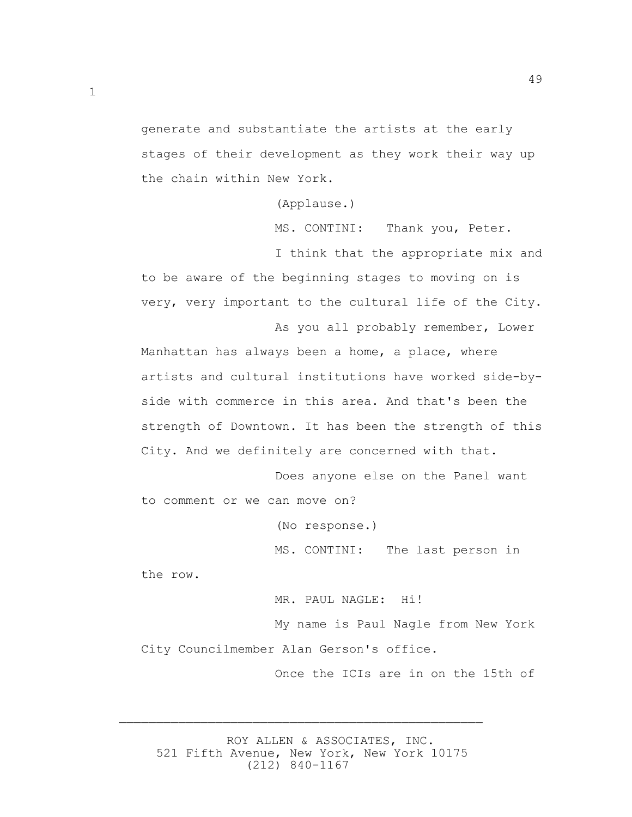generate and substantiate the artists at the early stages of their development as they work their way up the chain within New York.

(Applause.)

MS. CONTINI: Thank you, Peter.

 I think that the appropriate mix and to be aware of the beginning stages to moving on is very, very important to the cultural life of the City.

 As you all probably remember, Lower Manhattan has always been a home, a place, where artists and cultural institutions have worked side-byside with commerce in this area. And that's been the strength of Downtown. It has been the strength of this City. And we definitely are concerned with that.

 Does anyone else on the Panel want to comment or we can move on?

(No response.)

MS. CONTINI: The last person in

the row.

 MR. PAUL NAGLE: Hi! My name is Paul Nagle from New York City Councilmember Alan Gerson's office.

Once the ICIs are in on the 15th of

 ROY ALLEN & ASSOCIATES, INC. 521 Fifth Avenue, New York, New York 10175 (212) 840-1167

 $\overline{\phantom{a}}$  , and the contract of the contract of the contract of the contract of the contract of the contract of the contract of the contract of the contract of the contract of the contract of the contract of the contrac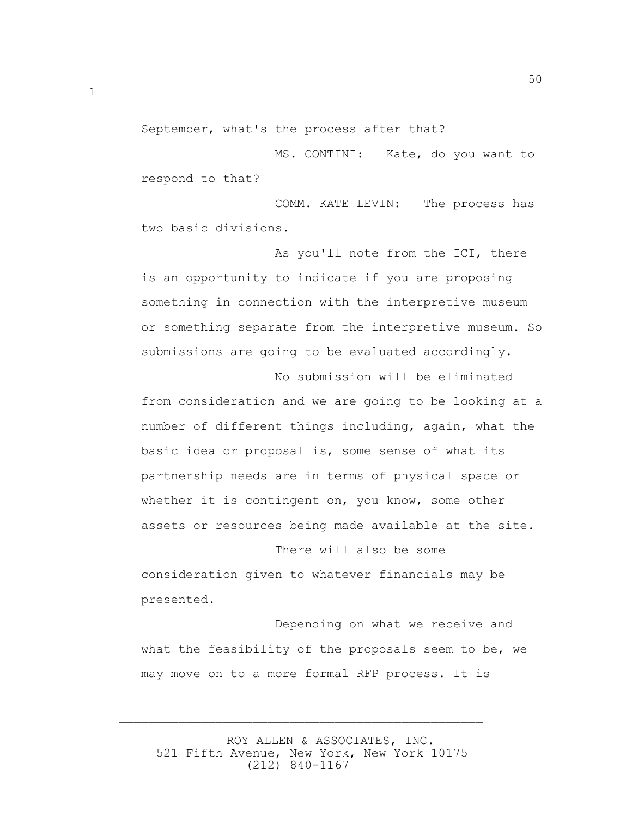September, what's the process after that?

 MS. CONTINI: Kate, do you want to respond to that?

 COMM. KATE LEVIN: The process has two basic divisions.

 As you'll note from the ICI, there is an opportunity to indicate if you are proposing something in connection with the interpretive museum or something separate from the interpretive museum. So submissions are going to be evaluated accordingly. No submission will be eliminated

from consideration and we are going to be looking at a number of different things including, again, what the basic idea or proposal is, some sense of what its partnership needs are in terms of physical space or whether it is contingent on, you know, some other assets or resources being made available at the site.

 There will also be some consideration given to whatever financials may be presented.

 Depending on what we receive and what the feasibility of the proposals seem to be, we may move on to a more formal RFP process. It is

 ROY ALLEN & ASSOCIATES, INC. 521 Fifth Avenue, New York, New York 10175 (212) 840-1167

 $\overline{\phantom{a}}$  , and the contract of the contract of the contract of the contract of the contract of the contract of the contract of the contract of the contract of the contract of the contract of the contract of the contrac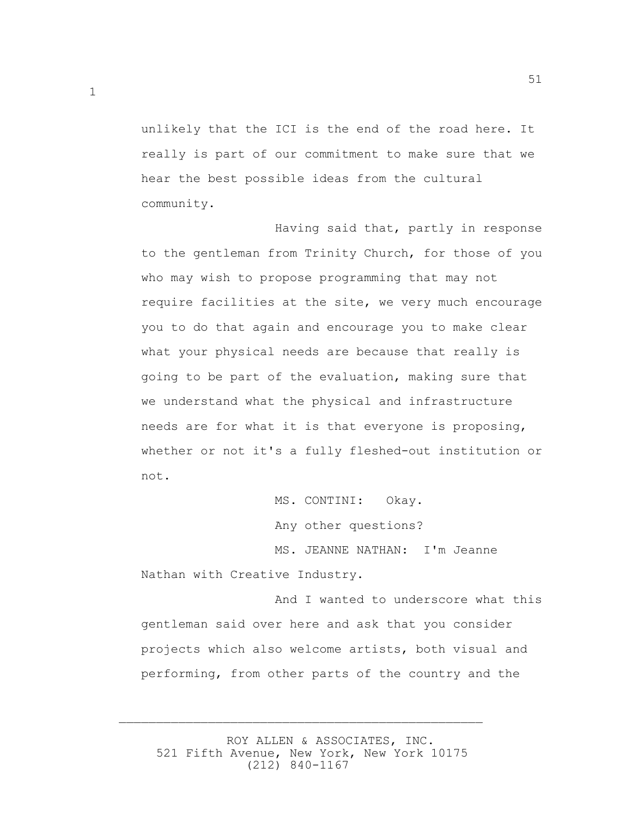unlikely that the ICI is the end of the road here. It really is part of our commitment to make sure that we hear the best possible ideas from the cultural community.

 Having said that, partly in response to the gentleman from Trinity Church, for those of you who may wish to propose programming that may not require facilities at the site, we very much encourage you to do that again and encourage you to make clear what your physical needs are because that really is going to be part of the evaluation, making sure that we understand what the physical and infrastructure needs are for what it is that everyone is proposing, whether or not it's a fully fleshed-out institution or not.

> MS. CONTINI: Okay. Any other questions?

 MS. JEANNE NATHAN: I'm Jeanne Nathan with Creative Industry.

 And I wanted to underscore what this gentleman said over here and ask that you consider projects which also welcome artists, both visual and performing, from other parts of the country and the

 ROY ALLEN & ASSOCIATES, INC. 521 Fifth Avenue, New York, New York 10175 (212) 840-1167

 $\overline{\phantom{a}}$  , and the contract of the contract of the contract of the contract of the contract of the contract of the contract of the contract of the contract of the contract of the contract of the contract of the contrac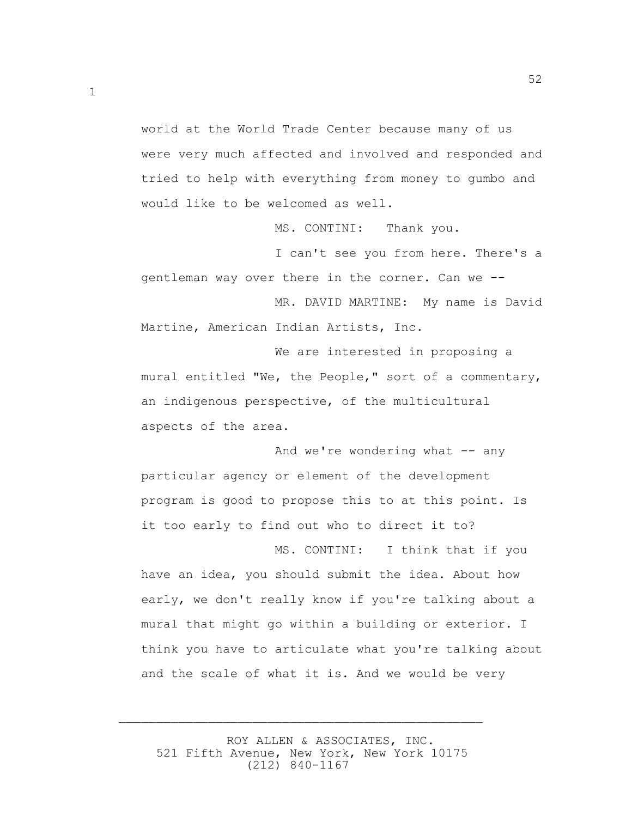world at the World Trade Center because many of us were very much affected and involved and responded and tried to help with everything from money to gumbo and would like to be welcomed as well.

1

MS. CONTINI: Thank you.

 I can't see you from here. There's a gentleman way over there in the corner. Can we --

 MR. DAVID MARTINE: My name is David Martine, American Indian Artists, Inc.

 We are interested in proposing a mural entitled "We, the People," sort of a commentary, an indigenous perspective, of the multicultural aspects of the area.

And we're wondering what  $--$  any particular agency or element of the development program is good to propose this to at this point. Is it too early to find out who to direct it to?

 MS. CONTINI: I think that if you have an idea, you should submit the idea. About how early, we don't really know if you're talking about a mural that might go within a building or exterior. I think you have to articulate what you're talking about and the scale of what it is. And we would be very

 ROY ALLEN & ASSOCIATES, INC. 521 Fifth Avenue, New York, New York 10175 (212) 840-1167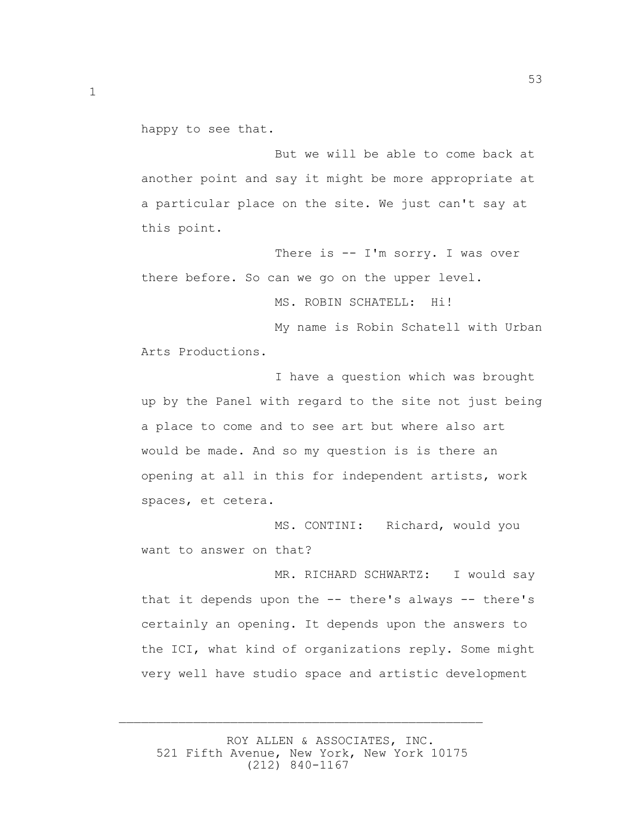happy to see that.

 But we will be able to come back at another point and say it might be more appropriate at a particular place on the site. We just can't say at this point.

There is -- I'm sorry. I was over there before. So can we go on the upper level.

MS. ROBIN SCHATELL: Hi!

 My name is Robin Schatell with Urban Arts Productions.

 I have a question which was brought up by the Panel with regard to the site not just being a place to come and to see art but where also art would be made. And so my question is is there an opening at all in this for independent artists, work spaces, et cetera.

 MS. CONTINI: Richard, would you want to answer on that?

MR. RICHARD SCHWARTZ: I would say that it depends upon the -- there's always -- there's certainly an opening. It depends upon the answers to the ICI, what kind of organizations reply. Some might very well have studio space and artistic development

 ROY ALLEN & ASSOCIATES, INC. 521 Fifth Avenue, New York, New York 10175 (212) 840-1167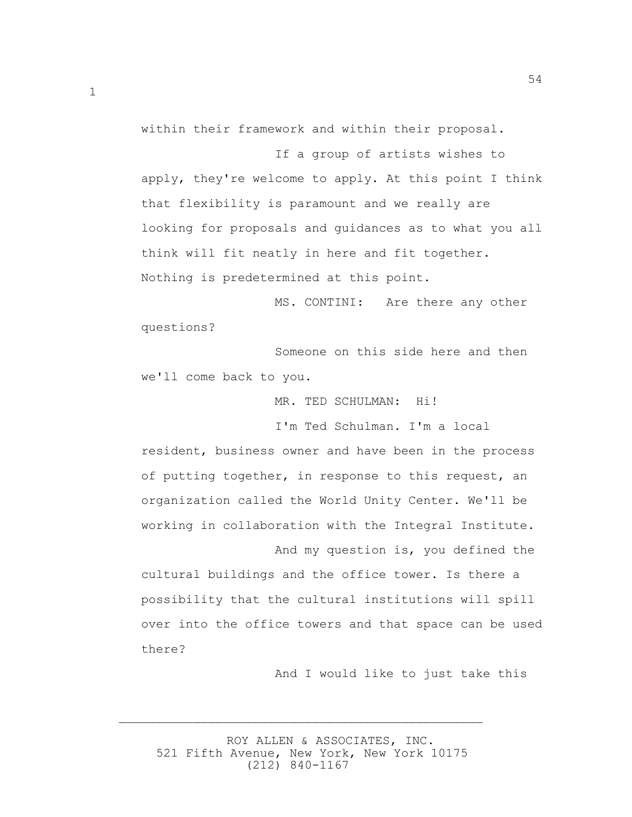within their framework and within their proposal.

 If a group of artists wishes to apply, they're welcome to apply. At this point I think that flexibility is paramount and we really are looking for proposals and guidances as to what you all think will fit neatly in here and fit together. Nothing is predetermined at this point.

 MS. CONTINI: Are there any other questions?

 Someone on this side here and then we'll come back to you.

MR. TED SCHULMAN: Hi!

I'm Ted Schulman. I'm a local

resident, business owner and have been in the process of putting together, in response to this request, an organization called the World Unity Center. We'll be working in collaboration with the Integral Institute.

 And my question is, you defined the cultural buildings and the office tower. Is there a possibility that the cultural institutions will spill over into the office towers and that space can be used there?

And I would like to just take this

 ROY ALLEN & ASSOCIATES, INC. 521 Fifth Avenue, New York, New York 10175 (212) 840-1167

 $\overline{\phantom{a}}$  , and the contract of the contract of the contract of the contract of the contract of the contract of the contract of the contract of the contract of the contract of the contract of the contract of the contrac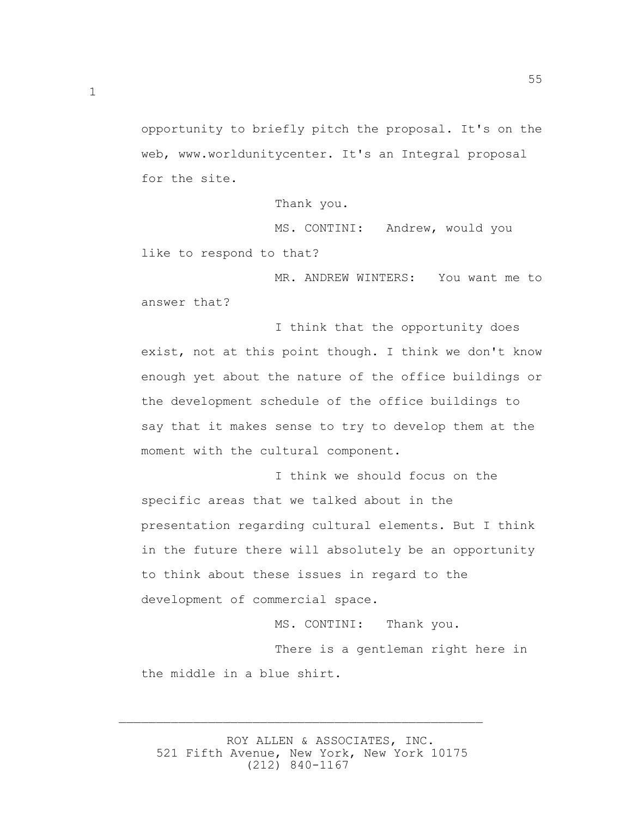opportunity to briefly pitch the proposal. It's on the web, www.worldunitycenter. It's an Integral proposal for the site.

Thank you.

 MS. CONTINI: Andrew, would you like to respond to that?

 MR. ANDREW WINTERS: You want me to answer that?

 I think that the opportunity does exist, not at this point though. I think we don't know enough yet about the nature of the office buildings or the development schedule of the office buildings to say that it makes sense to try to develop them at the moment with the cultural component.

 I think we should focus on the specific areas that we talked about in the presentation regarding cultural elements. But I think in the future there will absolutely be an opportunity to think about these issues in regard to the development of commercial space.

MS. CONTINI: Thank you.

 There is a gentleman right here in the middle in a blue shirt.

 ROY ALLEN & ASSOCIATES, INC. 521 Fifth Avenue, New York, New York 10175 (212) 840-1167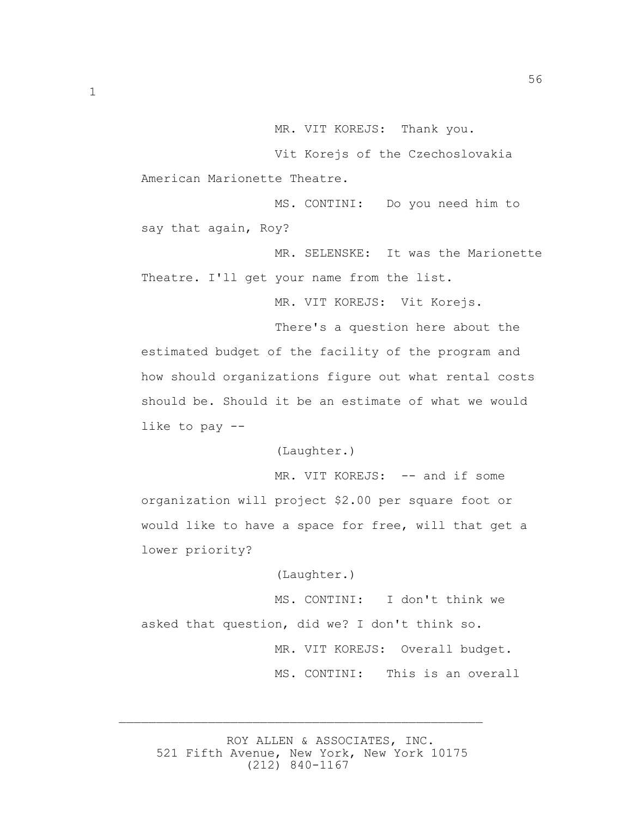MR. VIT KOREJS: Thank you.

56

 Vit Korejs of the Czechoslovakia American Marionette Theatre.

 MS. CONTINI: Do you need him to say that again, Roy?

 MR. SELENSKE: It was the Marionette Theatre. I'll get your name from the list.

MR. VIT KOREJS: Vit Korejs.

 There's a question here about the estimated budget of the facility of the program and how should organizations figure out what rental costs should be. Should it be an estimate of what we would like to pay --

(Laughter.)

MR. VIT KOREJS: -- and if some organization will project \$2.00 per square foot or would like to have a space for free, will that get a lower priority?

(Laughter.)

 MS. CONTINI: I don't think we asked that question, did we? I don't think so. MR. VIT KOREJS: Overall budget. MS. CONTINI: This is an overall

 ROY ALLEN & ASSOCIATES, INC. 521 Fifth Avenue, New York, New York 10175 (212) 840-1167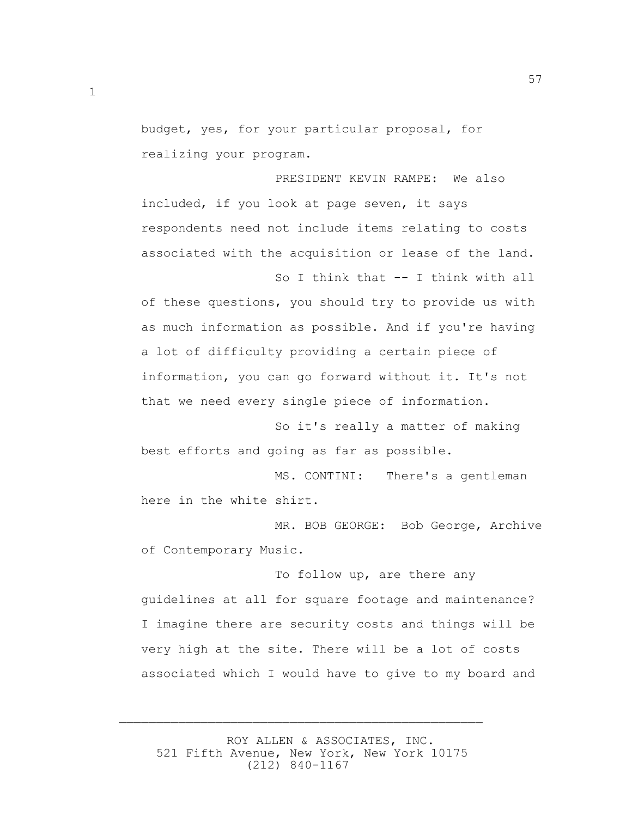budget, yes, for your particular proposal, for realizing your program.

57

 PRESIDENT KEVIN RAMPE: We also included, if you look at page seven, it says respondents need not include items relating to costs associated with the acquisition or lease of the land. So I think that -- I think with all of these questions, you should try to provide us with as much information as possible. And if you're having a lot of difficulty providing a certain piece of information, you can go forward without it. It's not

 So it's really a matter of making best efforts and going as far as possible.

that we need every single piece of information.

 MS. CONTINI: There's a gentleman here in the white shirt.

 MR. BOB GEORGE: Bob George, Archive of Contemporary Music.

 To follow up, are there any guidelines at all for square footage and maintenance? I imagine there are security costs and things will be very high at the site. There will be a lot of costs associated which I would have to give to my board and

 ROY ALLEN & ASSOCIATES, INC. 521 Fifth Avenue, New York, New York 10175 (212) 840-1167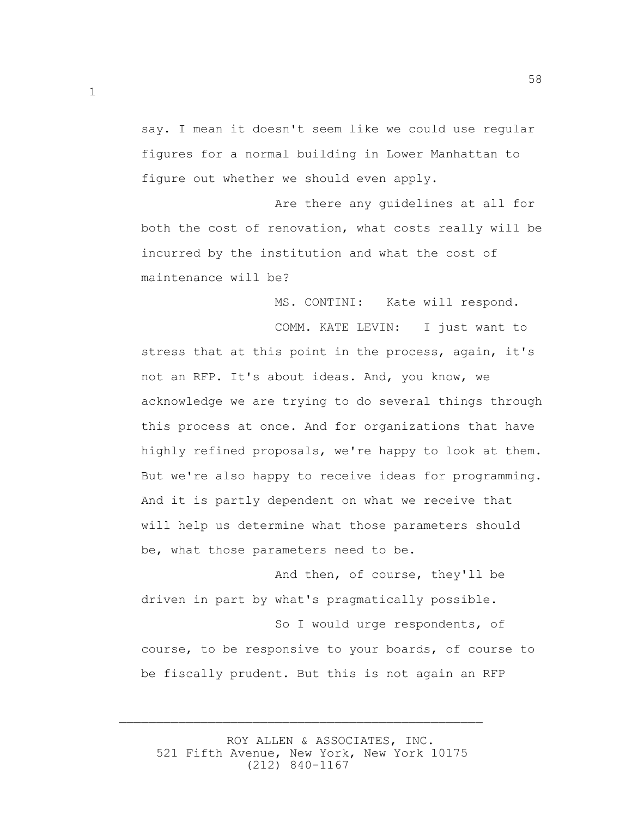say. I mean it doesn't seem like we could use regular figures for a normal building in Lower Manhattan to figure out whether we should even apply.

 Are there any guidelines at all for both the cost of renovation, what costs really will be incurred by the institution and what the cost of maintenance will be?

MS. CONTINI: Kate will respond.

 COMM. KATE LEVIN: I just want to stress that at this point in the process, again, it's not an RFP. It's about ideas. And, you know, we acknowledge we are trying to do several things through this process at once. And for organizations that have highly refined proposals, we're happy to look at them. But we're also happy to receive ideas for programming. And it is partly dependent on what we receive that will help us determine what those parameters should be, what those parameters need to be.

 And then, of course, they'll be driven in part by what's pragmatically possible.

 So I would urge respondents, of course, to be responsive to your boards, of course to be fiscally prudent. But this is not again an RFP

 ROY ALLEN & ASSOCIATES, INC. 521 Fifth Avenue, New York, New York 10175 (212) 840-1167

 $\overline{\phantom{a}}$  , and the contract of the contract of the contract of the contract of the contract of the contract of the contract of the contract of the contract of the contract of the contract of the contract of the contrac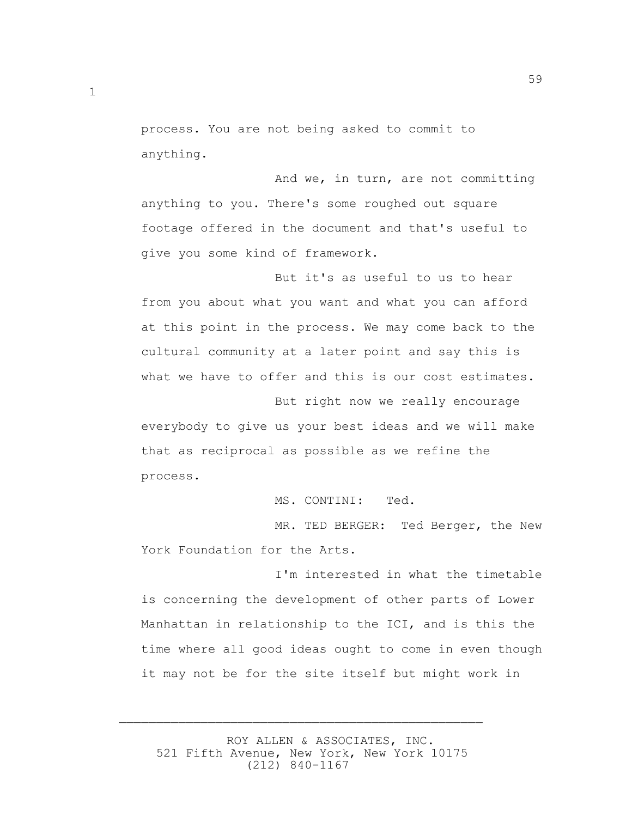process. You are not being asked to commit to anything.

 And we, in turn, are not committing anything to you. There's some roughed out square footage offered in the document and that's useful to give you some kind of framework.

59

 But it's as useful to us to hear from you about what you want and what you can afford at this point in the process. We may come back to the cultural community at a later point and say this is what we have to offer and this is our cost estimates.

 But right now we really encourage everybody to give us your best ideas and we will make that as reciprocal as possible as we refine the process.

MS. CONTINI: Ted.

 MR. TED BERGER: Ted Berger, the New York Foundation for the Arts.

 I'm interested in what the timetable is concerning the development of other parts of Lower Manhattan in relationship to the ICI, and is this the time where all good ideas ought to come in even though it may not be for the site itself but might work in

 ROY ALLEN & ASSOCIATES, INC. 521 Fifth Avenue, New York, New York 10175 (212) 840-1167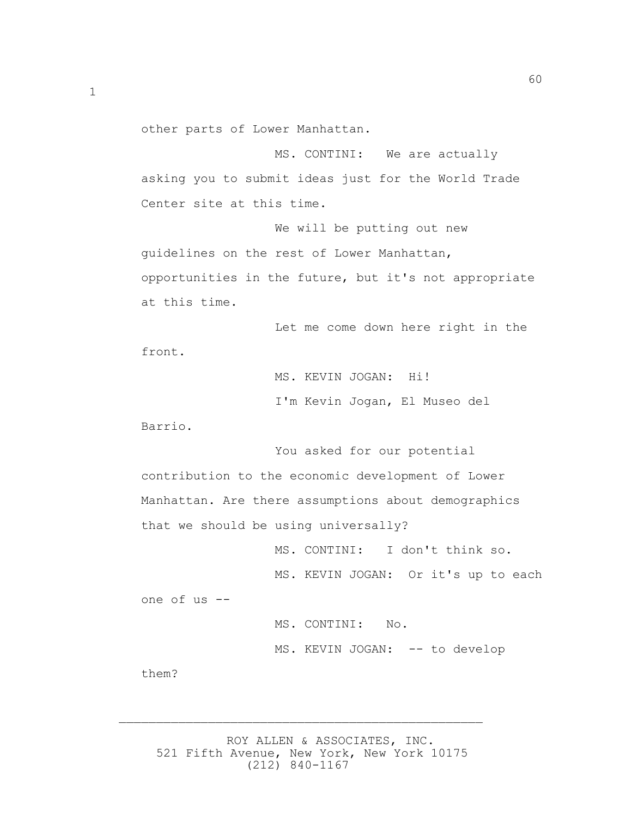other parts of Lower Manhattan.

 MS. CONTINI: We are actually asking you to submit ideas just for the World Trade Center site at this time.

 We will be putting out new guidelines on the rest of Lower Manhattan, opportunities in the future, but it's not appropriate at this time.

 Let me come down here right in the front.

> MS. KEVIN JOGAN: Hi! I'm Kevin Jogan, El Museo del

Barrio.

 You asked for our potential contribution to the economic development of Lower Manhattan. Are there assumptions about demographics that we should be using universally?

 MS. CONTINI: I don't think so. MS. KEVIN JOGAN: Or it's up to each one of us -- MS. CONTINI: No. MS. KEVIN JOGAN: -- to develop

them?

 ROY ALLEN & ASSOCIATES, INC. 521 Fifth Avenue, New York, New York 10175 (212) 840-1167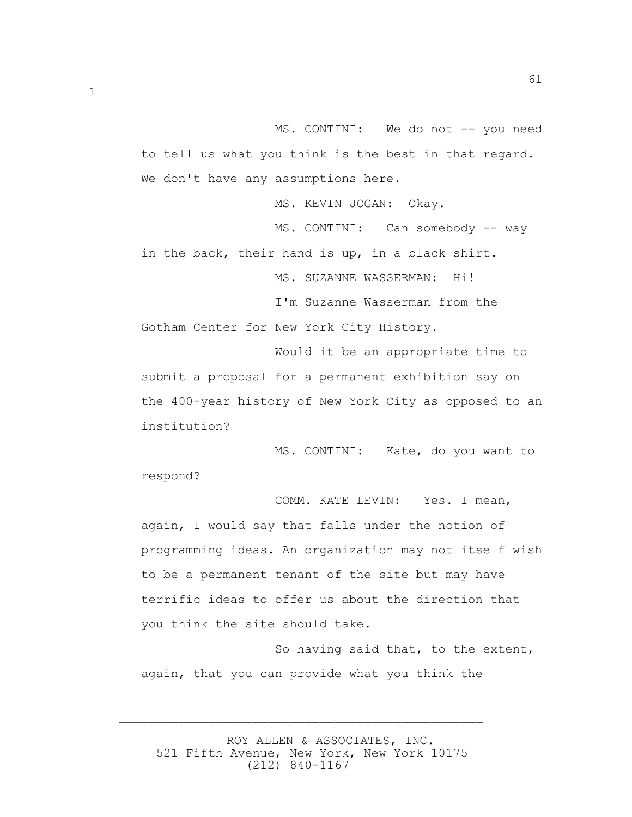MS. CONTINI: We do not -- you need to tell us what you think is the best in that regard. We don't have any assumptions here.

MS. KEVIN JOGAN: Okay.

MS. CONTINI: Can somebody -- way in the back, their hand is up, in a black shirt.

MS. SUZANNE WASSERMAN: Hi!

 I'm Suzanne Wasserman from the Gotham Center for New York City History.

 Would it be an appropriate time to submit a proposal for a permanent exhibition say on the 400-year history of New York City as opposed to an institution?

 MS. CONTINI: Kate, do you want to respond?

 COMM. KATE LEVIN: Yes. I mean, again, I would say that falls under the notion of programming ideas. An organization may not itself wish to be a permanent tenant of the site but may have terrific ideas to offer us about the direction that you think the site should take.

 So having said that, to the extent, again, that you can provide what you think the

 ROY ALLEN & ASSOCIATES, INC. 521 Fifth Avenue, New York, New York 10175 (212) 840-1167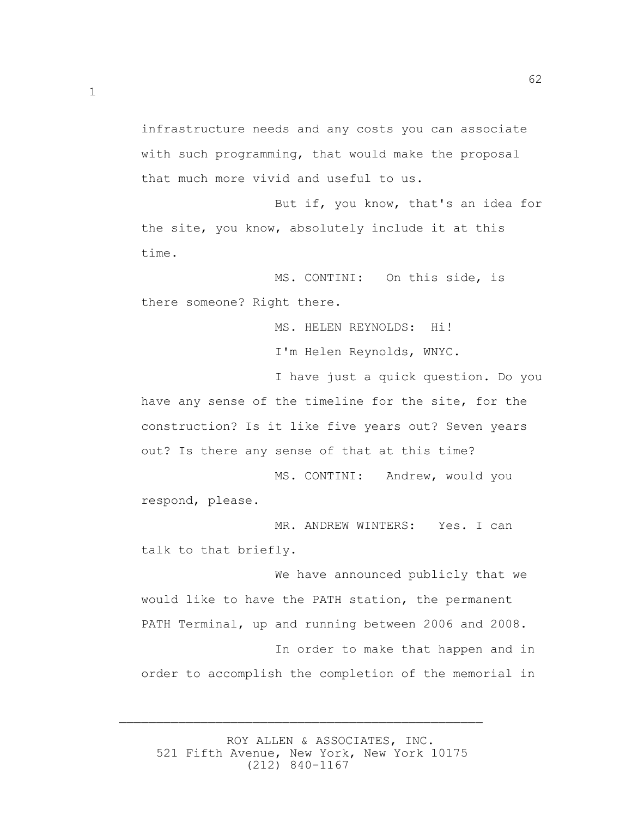infrastructure needs and any costs you can associate with such programming, that would make the proposal that much more vivid and useful to us.

 But if, you know, that's an idea for the site, you know, absolutely include it at this time.

 MS. CONTINI: On this side, is there someone? Right there.

MS. HELEN REYNOLDS: Hi!

I'm Helen Reynolds, WNYC.

 I have just a quick question. Do you have any sense of the timeline for the site, for the construction? Is it like five years out? Seven years out? Is there any sense of that at this time?

 MS. CONTINI: Andrew, would you respond, please.

 MR. ANDREW WINTERS: Yes. I can talk to that briefly.

 We have announced publicly that we would like to have the PATH station, the permanent PATH Terminal, up and running between 2006 and 2008.

 In order to make that happen and in order to accomplish the completion of the memorial in

 ROY ALLEN & ASSOCIATES, INC. 521 Fifth Avenue, New York, New York 10175 (212) 840-1167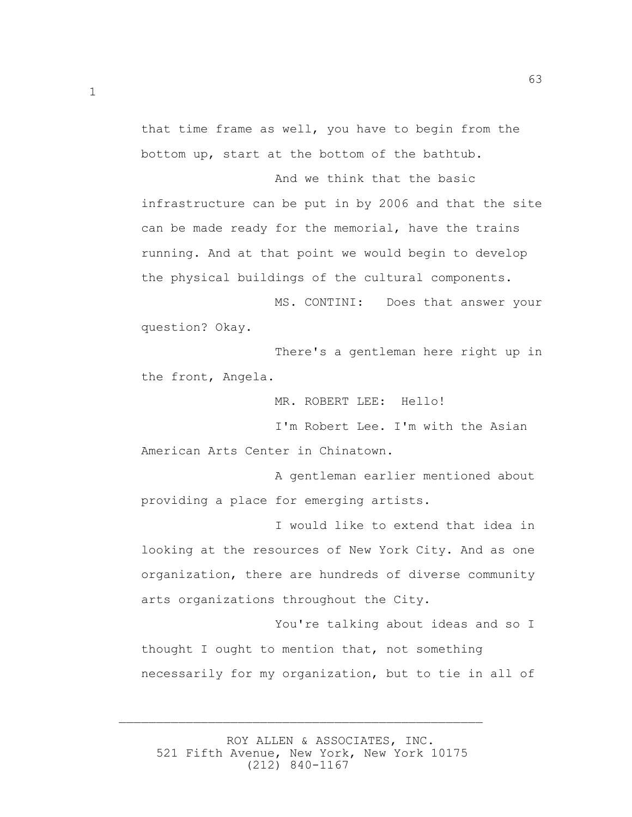that time frame as well, you have to begin from the bottom up, start at the bottom of the bathtub.

 And we think that the basic infrastructure can be put in by 2006 and that the site can be made ready for the memorial, have the trains running. And at that point we would begin to develop the physical buildings of the cultural components.

 MS. CONTINI: Does that answer your question? Okay.

 There's a gentleman here right up in the front, Angela.

MR. ROBERT LEE: Hello!

 I'm Robert Lee. I'm with the Asian American Arts Center in Chinatown.

 A gentleman earlier mentioned about providing a place for emerging artists.

 I would like to extend that idea in looking at the resources of New York City. And as one organization, there are hundreds of diverse community arts organizations throughout the City.

 You're talking about ideas and so I thought I ought to mention that, not something necessarily for my organization, but to tie in all of

 ROY ALLEN & ASSOCIATES, INC. 521 Fifth Avenue, New York, New York 10175 (212) 840-1167

 $\overline{\phantom{a}}$  , and the contract of the contract of the contract of the contract of the contract of the contract of the contract of the contract of the contract of the contract of the contract of the contract of the contrac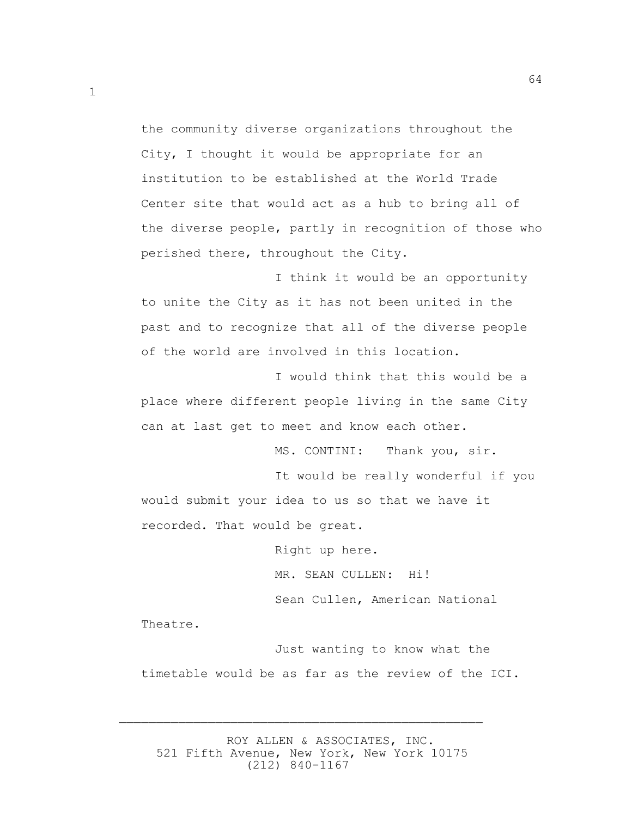the community diverse organizations throughout the City, I thought it would be appropriate for an institution to be established at the World Trade Center site that would act as a hub to bring all of the diverse people, partly in recognition of those who perished there, throughout the City.

 I think it would be an opportunity to unite the City as it has not been united in the past and to recognize that all of the diverse people of the world are involved in this location.

 I would think that this would be a place where different people living in the same City can at last get to meet and know each other.

MS. CONTINI: Thank you, sir.

 It would be really wonderful if you would submit your idea to us so that we have it recorded. That would be great.

Right up here.

MR. SEAN CULLEN: Hi!

Sean Cullen, American National

Theatre.

 Just wanting to know what the timetable would be as far as the review of the ICI.

 ROY ALLEN & ASSOCIATES, INC. 521 Fifth Avenue, New York, New York 10175 (212) 840-1167

 $\overline{\phantom{a}}$  , and the contract of the contract of the contract of the contract of the contract of the contract of the contract of the contract of the contract of the contract of the contract of the contract of the contrac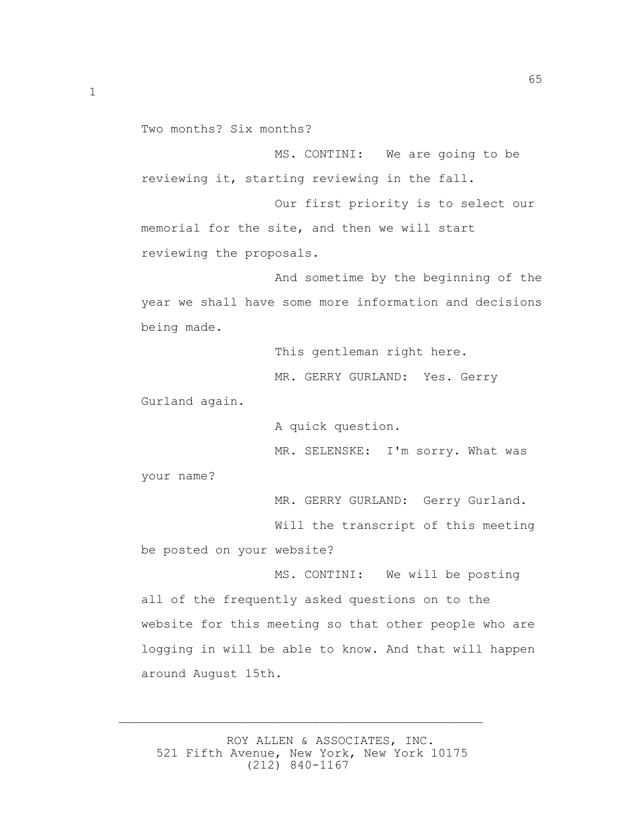Two months? Six months?

 MS. CONTINI: We are going to be reviewing it, starting reviewing in the fall.

 Our first priority is to select our memorial for the site, and then we will start reviewing the proposals.

 And sometime by the beginning of the year we shall have some more information and decisions being made.

This gentleman right here.

MR. GERRY GURLAND: Yes. Gerry

Gurland again.

A quick question.

MR. SELENSKE: I'm sorry. What was

your name?

MR. GERRY GURLAND: Gerry Gurland.

Will the transcript of this meeting

be posted on your website?

MS. CONTINI: We will be posting

all of the frequently asked questions on to the website for this meeting so that other people who are logging in will be able to know. And that will happen around August 15th.

 ROY ALLEN & ASSOCIATES, INC. 521 Fifth Avenue, New York, New York 10175 (212) 840-1167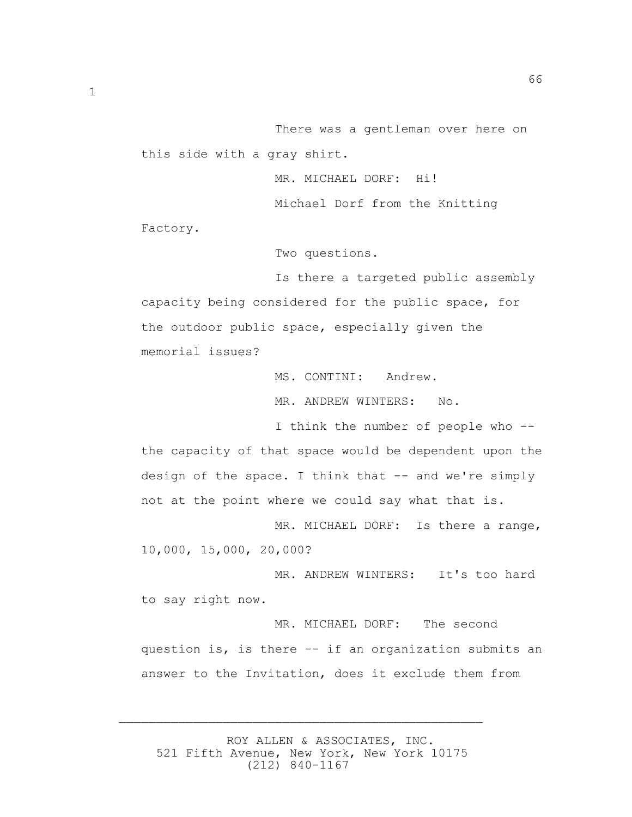There was a gentleman over here on this side with a gray shirt.

MR. MICHAEL DORF: Hi!

Michael Dorf from the Knitting

Factory.

Two questions.

 Is there a targeted public assembly capacity being considered for the public space, for the outdoor public space, especially given the memorial issues?

> MS. CONTINI: Andrew. MR. ANDREW WINTERS: No.

 I think the number of people who - the capacity of that space would be dependent upon the design of the space. I think that -- and we're simply not at the point where we could say what that is.

 MR. MICHAEL DORF: Is there a range, 10,000, 15,000, 20,000?

MR. ANDREW WINTERS: It's too hard to say right now.

 MR. MICHAEL DORF: The second question is, is there -- if an organization submits an answer to the Invitation, does it exclude them from

 ROY ALLEN & ASSOCIATES, INC. 521 Fifth Avenue, New York, New York 10175 (212) 840-1167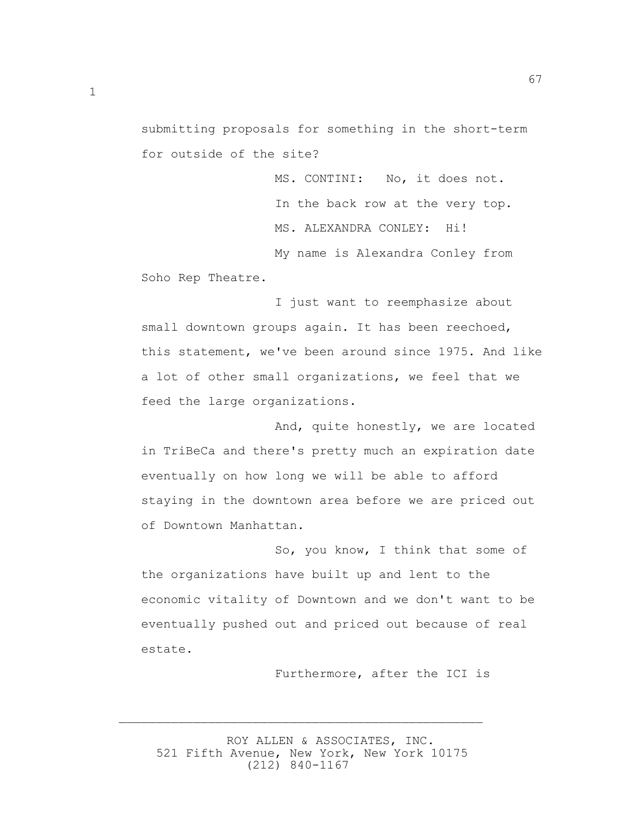submitting proposals for something in the short-term for outside of the site?

> MS. CONTINI: No, it does not. In the back row at the very top. MS. ALEXANDRA CONLEY: Hi! My name is Alexandra Conley from

67

Soho Rep Theatre.

 I just want to reemphasize about small downtown groups again. It has been reechoed, this statement, we've been around since 1975. And like a lot of other small organizations, we feel that we feed the large organizations.

 And, quite honestly, we are located in TriBeCa and there's pretty much an expiration date eventually on how long we will be able to afford staying in the downtown area before we are priced out of Downtown Manhattan.

 So, you know, I think that some of the organizations have built up and lent to the economic vitality of Downtown and we don't want to be eventually pushed out and priced out because of real estate.

Furthermore, after the ICI is

 ROY ALLEN & ASSOCIATES, INC. 521 Fifth Avenue, New York, New York 10175 (212) 840-1167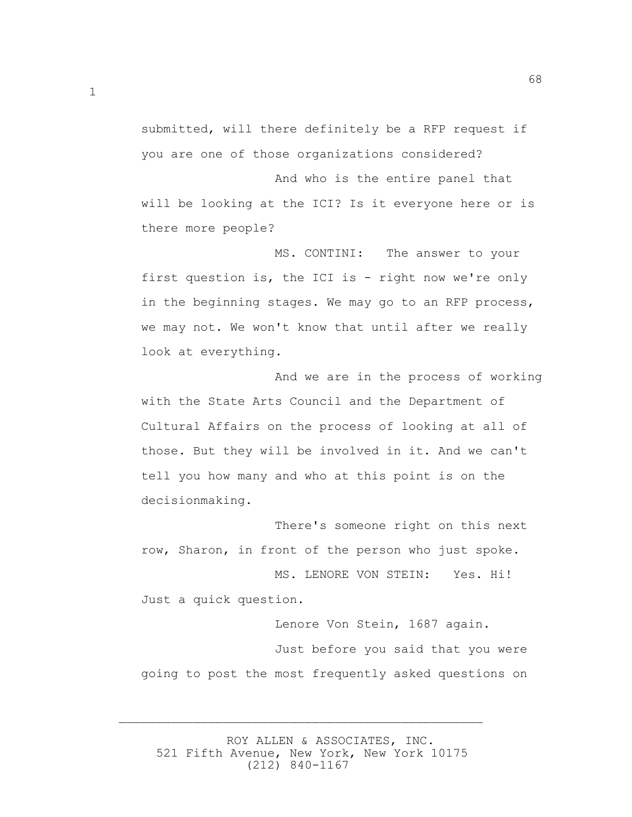submitted, will there definitely be a RFP request if you are one of those organizations considered? And who is the entire panel that

68

will be looking at the ICI? Is it everyone here or is there more people?

 MS. CONTINI: The answer to your first question is, the ICI is - right now we're only in the beginning stages. We may go to an RFP process, we may not. We won't know that until after we really look at everything.

 And we are in the process of working with the State Arts Council and the Department of Cultural Affairs on the process of looking at all of those. But they will be involved in it. And we can't tell you how many and who at this point is on the decisionmaking.

 There's someone right on this next row, Sharon, in front of the person who just spoke.

 MS. LENORE VON STEIN: Yes. Hi! Just a quick question.

 Lenore Von Stein, 1687 again. Just before you said that you were going to post the most frequently asked questions on

 ROY ALLEN & ASSOCIATES, INC. 521 Fifth Avenue, New York, New York 10175 (212) 840-1167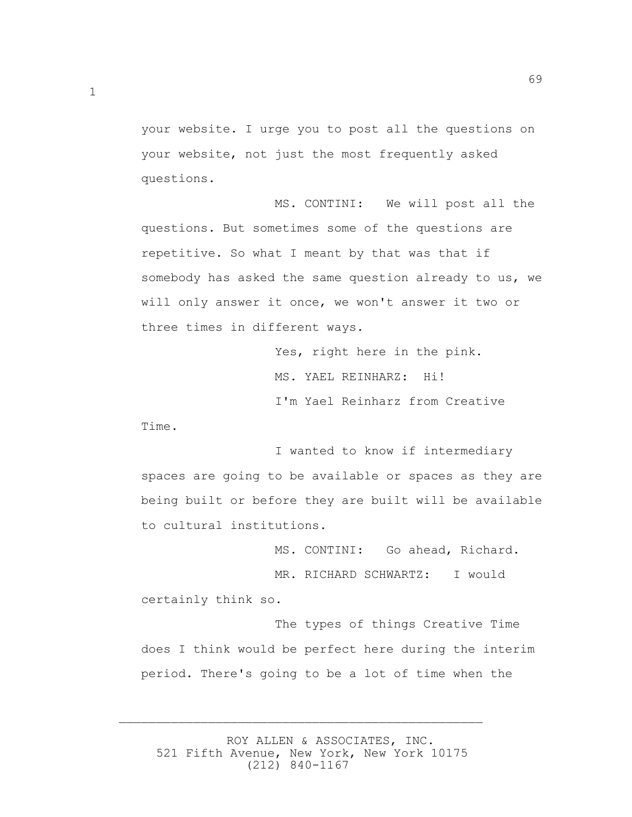your website. I urge you to post all the questions on your website, not just the most frequently asked questions.

 MS. CONTINI: We will post all the questions. But sometimes some of the questions are repetitive. So what I meant by that was that if somebody has asked the same question already to us, we will only answer it once, we won't answer it two or three times in different ways.

> Yes, right here in the pink. MS. YAEL REINHARZ: Hi! I'm Yael Reinharz from Creative

Time.

 I wanted to know if intermediary spaces are going to be available or spaces as they are being built or before they are built will be available to cultural institutions.

MS. CONTINI: Go ahead, Richard.

 MR. RICHARD SCHWARTZ: I would certainly think so.

 The types of things Creative Time does I think would be perfect here during the interim period. There's going to be a lot of time when the

 ROY ALLEN & ASSOCIATES, INC. 521 Fifth Avenue, New York, New York 10175 (212) 840-1167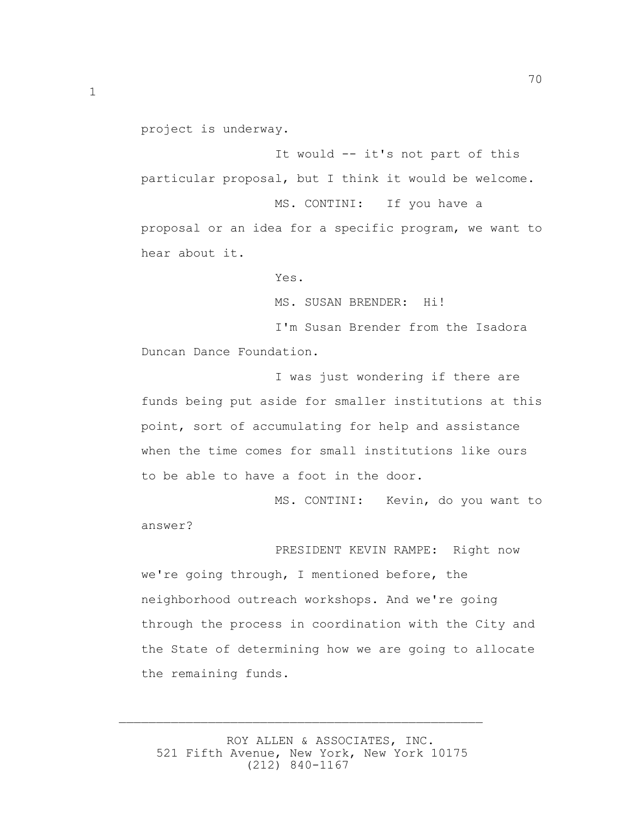project is underway.

 It would -- it's not part of this particular proposal, but I think it would be welcome. MS. CONTINI: If you have a proposal or an idea for a specific program, we want to hear about it.

Yes.

MS. SUSAN BRENDER: Hi!

 I'm Susan Brender from the Isadora Duncan Dance Foundation.

 I was just wondering if there are funds being put aside for smaller institutions at this point, sort of accumulating for help and assistance when the time comes for small institutions like ours to be able to have a foot in the door.

 MS. CONTINI: Kevin, do you want to answer?

 PRESIDENT KEVIN RAMPE: Right now we're going through, I mentioned before, the neighborhood outreach workshops. And we're going through the process in coordination with the City and the State of determining how we are going to allocate the remaining funds.

 ROY ALLEN & ASSOCIATES, INC. 521 Fifth Avenue, New York, New York 10175 (212) 840-1167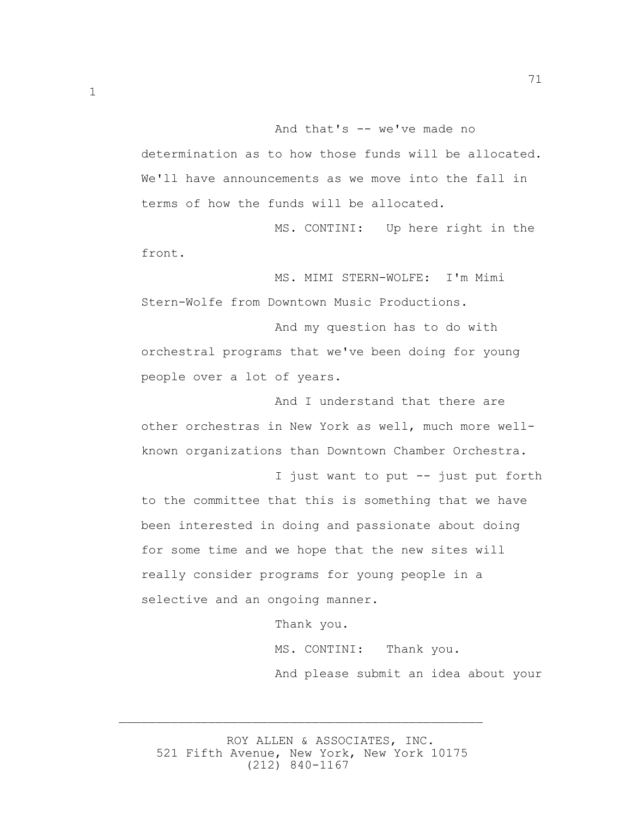And that's -- we've made no determination as to how those funds will be allocated. We'll have announcements as we move into the fall in terms of how the funds will be allocated.

 MS. CONTINI: Up here right in the front.

 MS. MIMI STERN-WOLFE: I'm Mimi Stern-Wolfe from Downtown Music Productions.

 And my question has to do with orchestral programs that we've been doing for young people over a lot of years.

 And I understand that there are other orchestras in New York as well, much more wellknown organizations than Downtown Chamber Orchestra.

 I just want to put -- just put forth to the committee that this is something that we have been interested in doing and passionate about doing for some time and we hope that the new sites will really consider programs for young people in a selective and an ongoing manner.

Thank you.

 MS. CONTINI: Thank you. And please submit an idea about your

 ROY ALLEN & ASSOCIATES, INC. 521 Fifth Avenue, New York, New York 10175 (212) 840-1167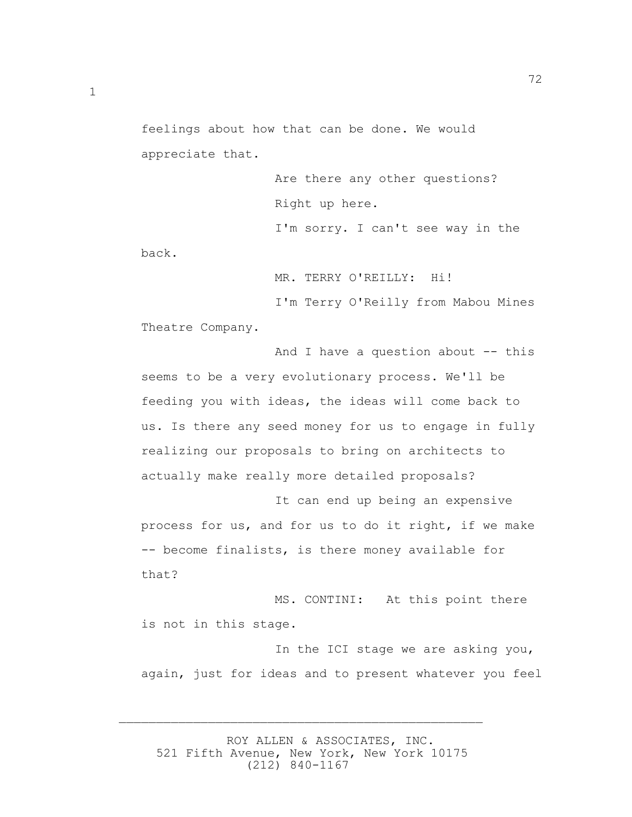feelings about how that can be done. We would appreciate that.

 Are there any other questions? Right up here. I'm sorry. I can't see way in the back.

72

MR. TERRY O'REILLY: Hi!

 I'm Terry O'Reilly from Mabou Mines Theatre Company.

And I have a question about  $-$ - this seems to be a very evolutionary process. We'll be feeding you with ideas, the ideas will come back to us. Is there any seed money for us to engage in fully realizing our proposals to bring on architects to actually make really more detailed proposals?

 It can end up being an expensive process for us, and for us to do it right, if we make -- become finalists, is there money available for that?

 MS. CONTINI: At this point there is not in this stage.

 In the ICI stage we are asking you, again, just for ideas and to present whatever you feel

 ROY ALLEN & ASSOCIATES, INC. 521 Fifth Avenue, New York, New York 10175 (212) 840-1167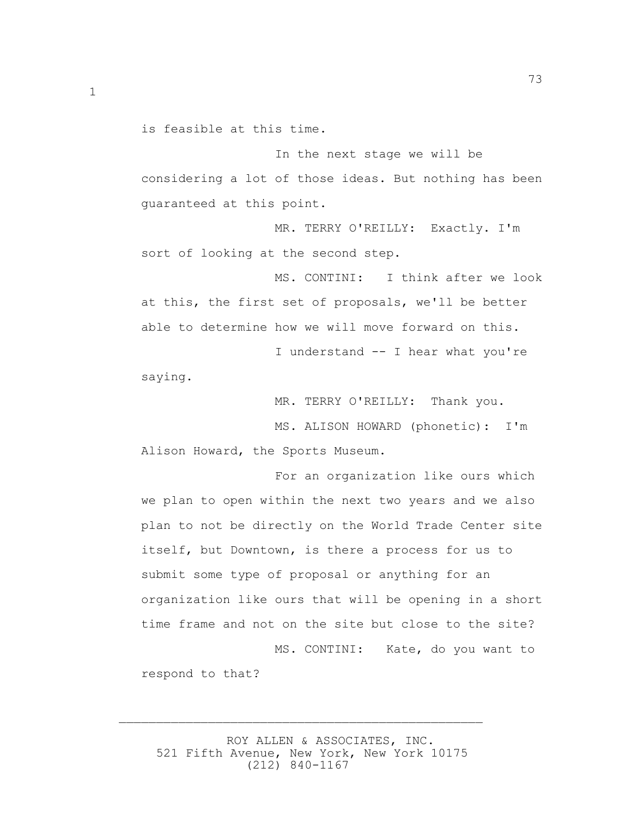is feasible at this time.

 In the next stage we will be considering a lot of those ideas. But nothing has been guaranteed at this point.

 MR. TERRY O'REILLY: Exactly. I'm sort of looking at the second step.

 MS. CONTINI: I think after we look at this, the first set of proposals, we'll be better able to determine how we will move forward on this.

 I understand -- I hear what you're saying.

MR. TERRY O'REILLY: Thank you.

 MS. ALISON HOWARD (phonetic): I'm Alison Howard, the Sports Museum.

 For an organization like ours which we plan to open within the next two years and we also plan to not be directly on the World Trade Center site itself, but Downtown, is there a process for us to submit some type of proposal or anything for an organization like ours that will be opening in a short time frame and not on the site but close to the site? MS. CONTINI: Kate, do you want to

respond to that?

 ROY ALLEN & ASSOCIATES, INC. 521 Fifth Avenue, New York, New York 10175 (212) 840-1167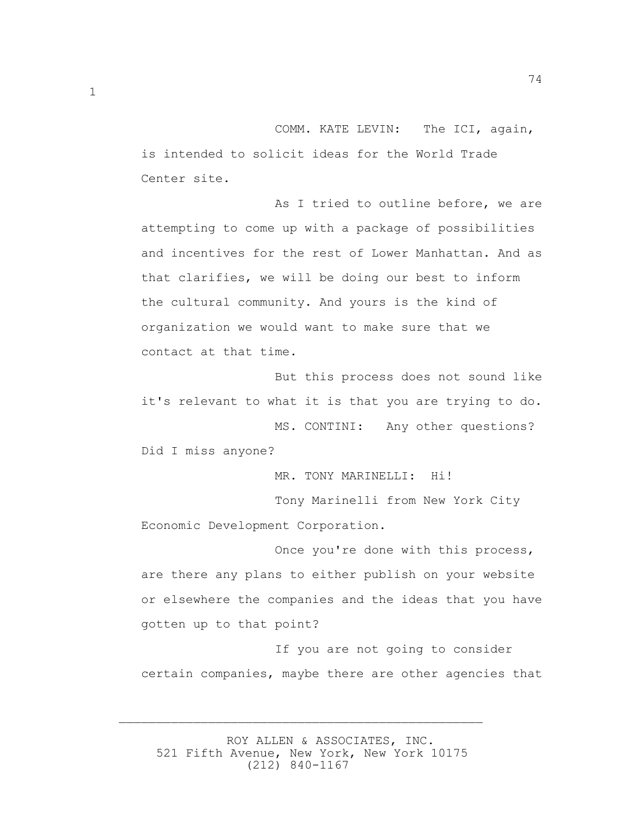COMM. KATE LEVIN: The ICI, again, is intended to solicit ideas for the World Trade Center site.

 As I tried to outline before, we are attempting to come up with a package of possibilities and incentives for the rest of Lower Manhattan. And as that clarifies, we will be doing our best to inform the cultural community. And yours is the kind of organization we would want to make sure that we contact at that time.

 But this process does not sound like it's relevant to what it is that you are trying to do. MS. CONTINI: Any other questions?

Did I miss anyone?

MR. TONY MARINELLI: Hi!

 Tony Marinelli from New York City Economic Development Corporation.

 Once you're done with this process, are there any plans to either publish on your website or elsewhere the companies and the ideas that you have gotten up to that point?

 If you are not going to consider certain companies, maybe there are other agencies that

 ROY ALLEN & ASSOCIATES, INC. 521 Fifth Avenue, New York, New York 10175 (212) 840-1167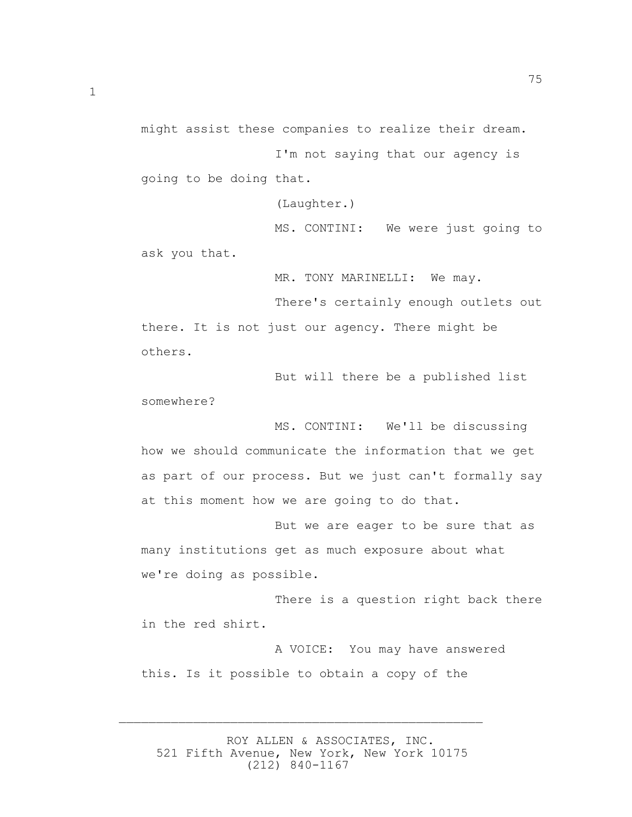75

might assist these companies to realize their dream.

 I'm not saying that our agency is going to be doing that.

(Laughter.)

 MS. CONTINI: We were just going to ask you that.

MR. TONY MARINELLI: We may.

 There's certainly enough outlets out there. It is not just our agency. There might be others.

 But will there be a published list somewhere?

 MS. CONTINI: We'll be discussing how we should communicate the information that we get as part of our process. But we just can't formally say at this moment how we are going to do that.

 But we are eager to be sure that as many institutions get as much exposure about what we're doing as possible.

 There is a question right back there in the red shirt.

 A VOICE: You may have answered this. Is it possible to obtain a copy of the

 ROY ALLEN & ASSOCIATES, INC. 521 Fifth Avenue, New York, New York 10175 (212) 840-1167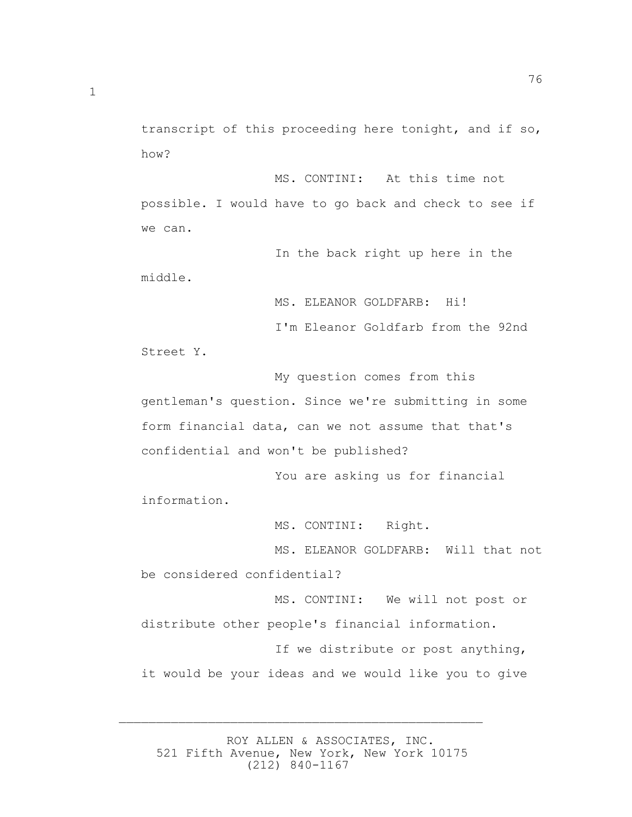76

transcript of this proceeding here tonight, and if so, how? MS. CONTINI: At this time not

possible. I would have to go back and check to see if we can.

 In the back right up here in the middle.

MS. ELEANOR GOLDFARB: Hi!

I'm Eleanor Goldfarb from the 92nd

Street Y.

 My question comes from this gentleman's question. Since we're submitting in some form financial data, can we not assume that that's confidential and won't be published?

 You are asking us for financial information.

MS. CONTINI: Right.

 MS. ELEANOR GOLDFARB: Will that not be considered confidential?

 MS. CONTINI: We will not post or distribute other people's financial information.

 If we distribute or post anything, it would be your ideas and we would like you to give

 ROY ALLEN & ASSOCIATES, INC. 521 Fifth Avenue, New York, New York 10175 (212) 840-1167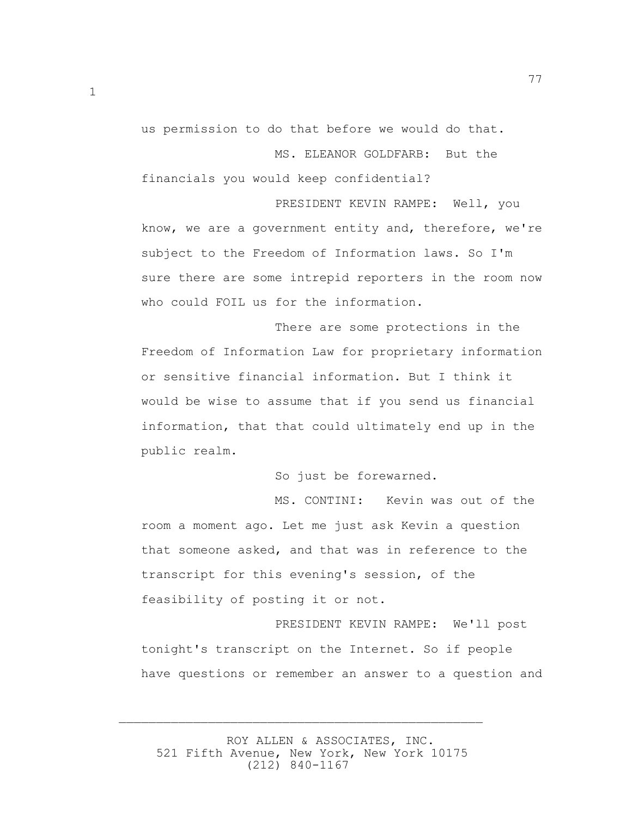us permission to do that before we would do that.

MS. ELEANOR GOLDFARB: But the

77

financials you would keep confidential?

 PRESIDENT KEVIN RAMPE: Well, you know, we are a government entity and, therefore, we're subject to the Freedom of Information laws. So I'm sure there are some intrepid reporters in the room now who could FOIL us for the information.

 There are some protections in the Freedom of Information Law for proprietary information or sensitive financial information. But I think it would be wise to assume that if you send us financial information, that that could ultimately end up in the public realm.

So just be forewarned.

 MS. CONTINI: Kevin was out of the room a moment ago. Let me just ask Kevin a question that someone asked, and that was in reference to the transcript for this evening's session, of the feasibility of posting it or not.

 PRESIDENT KEVIN RAMPE: We'll post tonight's transcript on the Internet. So if people have questions or remember an answer to a question and

 ROY ALLEN & ASSOCIATES, INC. 521 Fifth Avenue, New York, New York 10175 (212) 840-1167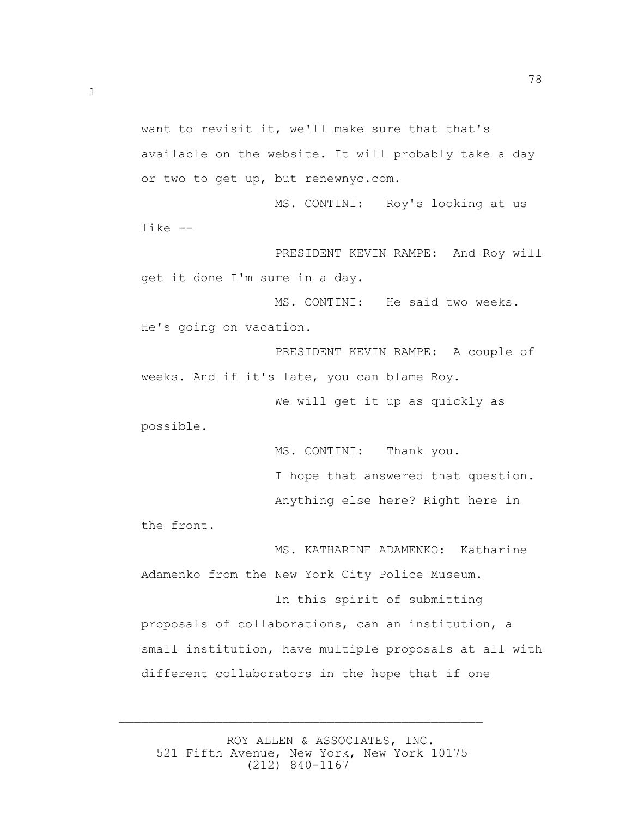want to revisit it, we'll make sure that that's available on the website. It will probably take a day or two to get up, but renewnyc.com.

 MS. CONTINI: Roy's looking at us like --

 PRESIDENT KEVIN RAMPE: And Roy will get it done I'm sure in a day.

 MS. CONTINI: He said two weeks. He's going on vacation.

 PRESIDENT KEVIN RAMPE: A couple of weeks. And if it's late, you can blame Roy.

 We will get it up as quickly as possible.

> MS. CONTINI: Thank you. I hope that answered that question. Anything else here? Right here in

the front.

 MS. KATHARINE ADAMENKO: Katharine Adamenko from the New York City Police Museum.

 In this spirit of submitting proposals of collaborations, can an institution, a small institution, have multiple proposals at all with different collaborators in the hope that if one

 ROY ALLEN & ASSOCIATES, INC. 521 Fifth Avenue, New York, New York 10175 (212) 840-1167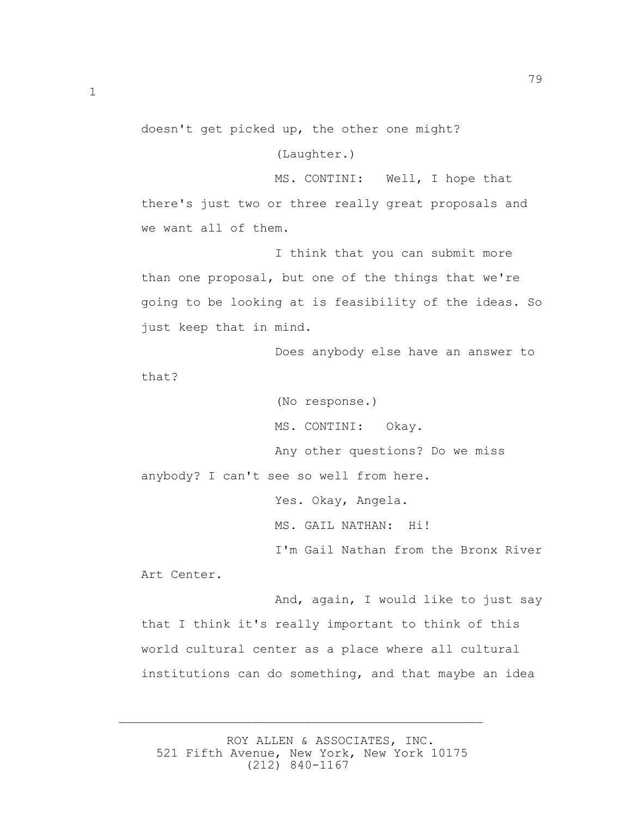doesn't get picked up, the other one might?

(Laughter.)

 MS. CONTINI: Well, I hope that there's just two or three really great proposals and we want all of them.

 I think that you can submit more than one proposal, but one of the things that we're going to be looking at is feasibility of the ideas. So just keep that in mind.

 Does anybody else have an answer to that?

 (No response.) MS. CONTINI: Okay. Any other questions? Do we miss anybody? I can't see so well from here. Yes. Okay, Angela. MS. GAIL NATHAN: Hi! I'm Gail Nathan from the Bronx River Art Center.

 And, again, I would like to just say that I think it's really important to think of this world cultural center as a place where all cultural institutions can do something, and that maybe an idea

 ROY ALLEN & ASSOCIATES, INC. 521 Fifth Avenue, New York, New York 10175 (212) 840-1167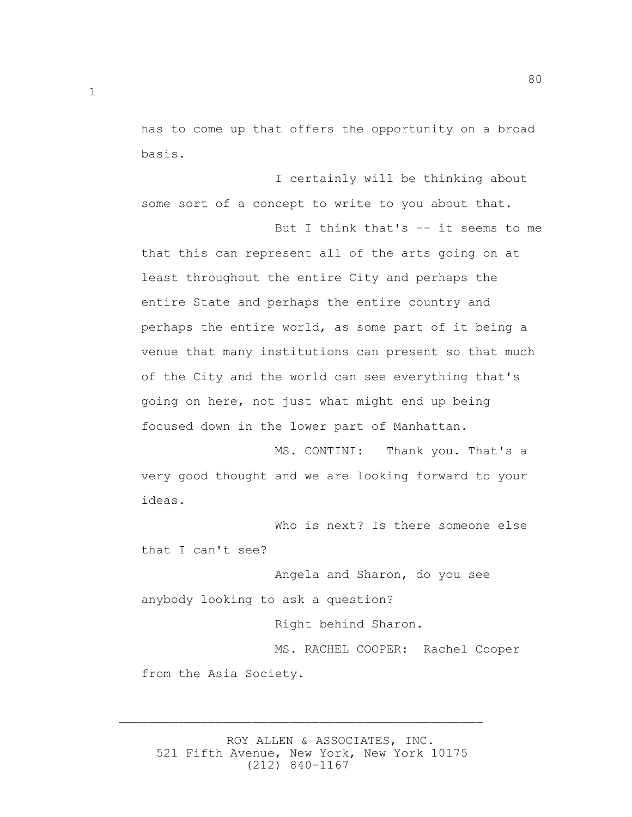has to come up that offers the opportunity on a broad basis.

80

 I certainly will be thinking about some sort of a concept to write to you about that. But I think that's -- it seems to me that this can represent all of the arts going on at least throughout the entire City and perhaps the entire State and perhaps the entire country and perhaps the entire world, as some part of it being a venue that many institutions can present so that much of the City and the world can see everything that's going on here, not just what might end up being focused down in the lower part of Manhattan.

 MS. CONTINI: Thank you. That's a very good thought and we are looking forward to your ideas.

 Who is next? Is there someone else that I can't see?

 Angela and Sharon, do you see anybody looking to ask a question?

Right behind Sharon.

 MS. RACHEL COOPER: Rachel Cooper from the Asia Society.

 ROY ALLEN & ASSOCIATES, INC. 521 Fifth Avenue, New York, New York 10175 (212) 840-1167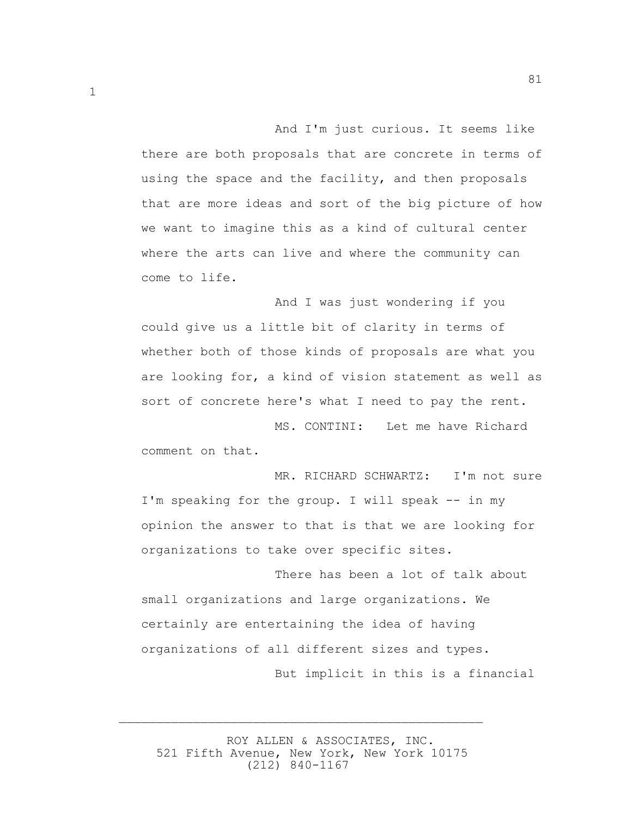And I'm just curious. It seems like there are both proposals that are concrete in terms of using the space and the facility, and then proposals that are more ideas and sort of the big picture of how we want to imagine this as a kind of cultural center where the arts can live and where the community can come to life.

81

 And I was just wondering if you could give us a little bit of clarity in terms of whether both of those kinds of proposals are what you are looking for, a kind of vision statement as well as sort of concrete here's what I need to pay the rent.

 MS. CONTINI: Let me have Richard comment on that.

MR. RICHARD SCHWARTZ: I'm not sure I'm speaking for the group. I will speak -- in my opinion the answer to that is that we are looking for organizations to take over specific sites.

 There has been a lot of talk about small organizations and large organizations. We certainly are entertaining the idea of having organizations of all different sizes and types. But implicit in this is a financial

 ROY ALLEN & ASSOCIATES, INC. 521 Fifth Avenue, New York, New York 10175 (212) 840-1167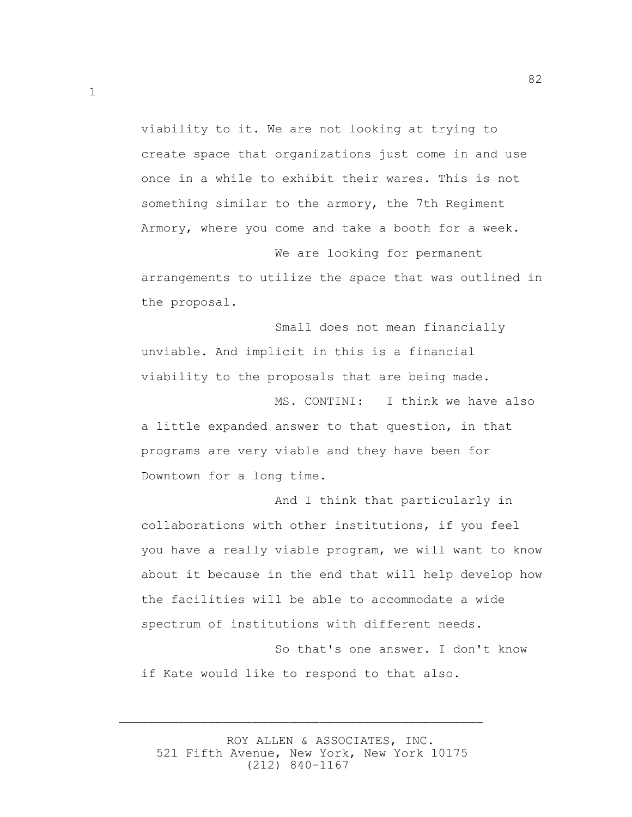viability to it. We are not looking at trying to create space that organizations just come in and use once in a while to exhibit their wares. This is not something similar to the armory, the 7th Regiment Armory, where you come and take a booth for a week.

 We are looking for permanent arrangements to utilize the space that was outlined in the proposal.

 Small does not mean financially unviable. And implicit in this is a financial viability to the proposals that are being made.

 MS. CONTINI: I think we have also a little expanded answer to that question, in that programs are very viable and they have been for Downtown for a long time.

 And I think that particularly in collaborations with other institutions, if you feel you have a really viable program, we will want to know about it because in the end that will help develop how the facilities will be able to accommodate a wide spectrum of institutions with different needs.

 So that's one answer. I don't know if Kate would like to respond to that also.

 ROY ALLEN & ASSOCIATES, INC. 521 Fifth Avenue, New York, New York 10175 (212) 840-1167

 $\overline{\phantom{a}}$  , and the contract of the contract of the contract of the contract of the contract of the contract of the contract of the contract of the contract of the contract of the contract of the contract of the contrac

1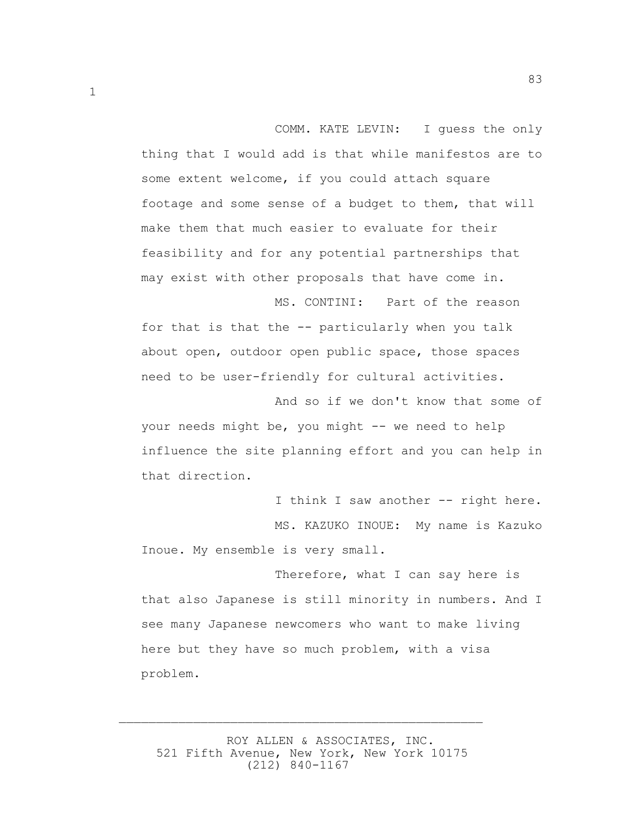COMM. KATE LEVIN: I guess the only thing that I would add is that while manifestos are to some extent welcome, if you could attach square footage and some sense of a budget to them, that will make them that much easier to evaluate for their feasibility and for any potential partnerships that may exist with other proposals that have come in.

MS. CONTINI: Part of the reason

83

for that is that the -- particularly when you talk about open, outdoor open public space, those spaces need to be user-friendly for cultural activities.

 And so if we don't know that some of your needs might be, you might -- we need to help influence the site planning effort and you can help in that direction.

I think I saw another -- right here. MS. KAZUKO INOUE: My name is Kazuko Inoue. My ensemble is very small.

 Therefore, what I can say here is that also Japanese is still minority in numbers. And I see many Japanese newcomers who want to make living here but they have so much problem, with a visa problem.

 ROY ALLEN & ASSOCIATES, INC. 521 Fifth Avenue, New York, New York 10175 (212) 840-1167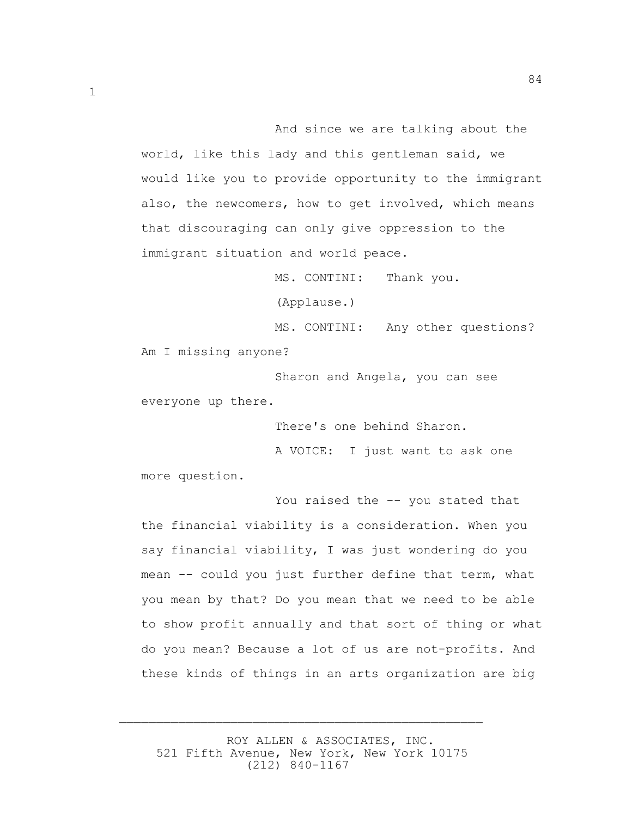And since we are talking about the world, like this lady and this gentleman said, we would like you to provide opportunity to the immigrant also, the newcomers, how to get involved, which means that discouraging can only give oppression to the immigrant situation and world peace.

MS. CONTINI: Thank you.

84

(Applause.)

 MS. CONTINI: Any other questions? Am I missing anyone?

 Sharon and Angela, you can see everyone up there.

There's one behind Sharon.

 A VOICE: I just want to ask one more question.

You raised the -- you stated that the financial viability is a consideration. When you say financial viability, I was just wondering do you mean -- could you just further define that term, what you mean by that? Do you mean that we need to be able to show profit annually and that sort of thing or what do you mean? Because a lot of us are not-profits. And these kinds of things in an arts organization are big

 ROY ALLEN & ASSOCIATES, INC. 521 Fifth Avenue, New York, New York 10175 (212) 840-1167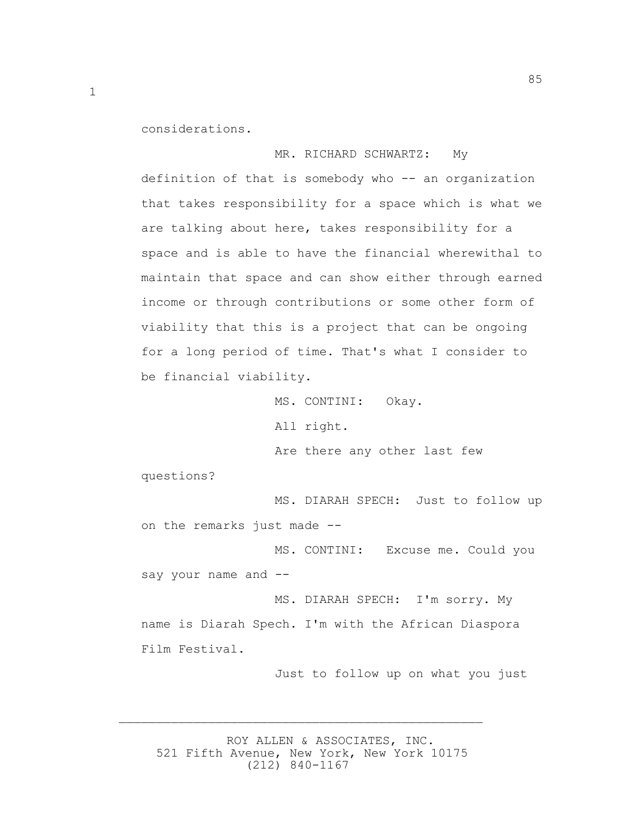considerations.

 MR. RICHARD SCHWARTZ: My definition of that is somebody who -- an organization that takes responsibility for a space which is what we are talking about here, takes responsibility for a space and is able to have the financial wherewithal to maintain that space and can show either through earned income or through contributions or some other form of viability that this is a project that can be ongoing for a long period of time. That's what I consider to be financial viability.

> MS. CONTINI: Okay. All right. Are there any other last few

questions?

 MS. DIARAH SPECH: Just to follow up on the remarks just made --

 MS. CONTINI: Excuse me. Could you say your name and --

 MS. DIARAH SPECH: I'm sorry. My name is Diarah Spech. I'm with the African Diaspora Film Festival.

Just to follow up on what you just

 ROY ALLEN & ASSOCIATES, INC. 521 Fifth Avenue, New York, New York 10175 (212) 840-1167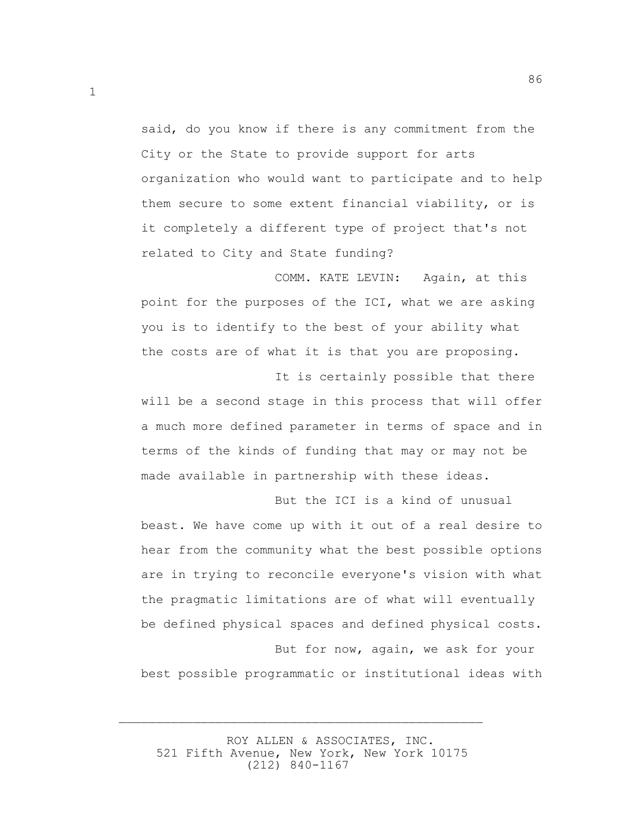said, do you know if there is any commitment from the City or the State to provide support for arts organization who would want to participate and to help them secure to some extent financial viability, or is it completely a different type of project that's not related to City and State funding?

86

 COMM. KATE LEVIN: Again, at this point for the purposes of the ICI, what we are asking you is to identify to the best of your ability what the costs are of what it is that you are proposing.

 It is certainly possible that there will be a second stage in this process that will offer a much more defined parameter in terms of space and in terms of the kinds of funding that may or may not be made available in partnership with these ideas.

 But the ICI is a kind of unusual beast. We have come up with it out of a real desire to hear from the community what the best possible options are in trying to reconcile everyone's vision with what the pragmatic limitations are of what will eventually be defined physical spaces and defined physical costs. But for now, again, we ask for your

best possible programmatic or institutional ideas with

 ROY ALLEN & ASSOCIATES, INC. 521 Fifth Avenue, New York, New York 10175 (212) 840-1167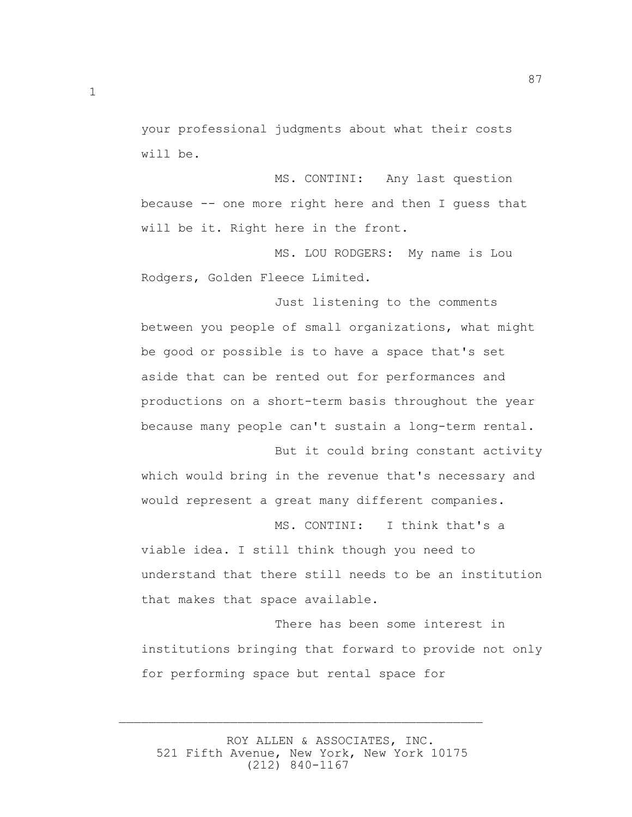your professional judgments about what their costs will be.

 MS. CONTINI: Any last question because -- one more right here and then I guess that will be it. Right here in the front.

 MS. LOU RODGERS: My name is Lou Rodgers, Golden Fleece Limited.

 Just listening to the comments between you people of small organizations, what might be good or possible is to have a space that's set aside that can be rented out for performances and productions on a short-term basis throughout the year because many people can't sustain a long-term rental.

 But it could bring constant activity which would bring in the revenue that's necessary and would represent a great many different companies.

viable idea. I still think though you need to understand that there still needs to be an institution that makes that space available.

MS. CONTINI: I think that's a

 There has been some interest in institutions bringing that forward to provide not only for performing space but rental space for

 ROY ALLEN & ASSOCIATES, INC. 521 Fifth Avenue, New York, New York 10175 (212) 840-1167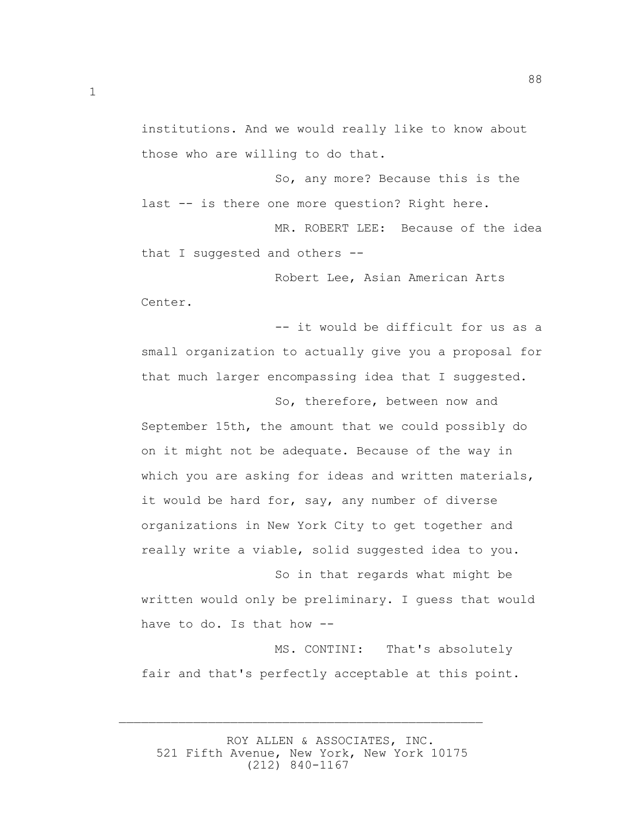institutions. And we would really like to know about those who are willing to do that.

 So, any more? Because this is the last -- is there one more question? Right here.

MR. ROBERT LEE: Because of the idea that I suggested and others --

 Robert Lee, Asian American Arts Center.

 -- it would be difficult for us as a small organization to actually give you a proposal for that much larger encompassing idea that I suggested.

 So, therefore, between now and September 15th, the amount that we could possibly do on it might not be adequate. Because of the way in which you are asking for ideas and written materials, it would be hard for, say, any number of diverse organizations in New York City to get together and really write a viable, solid suggested idea to you.

 So in that regards what might be written would only be preliminary. I guess that would have to do. Is that how --

 MS. CONTINI: That's absolutely fair and that's perfectly acceptable at this point.

 ROY ALLEN & ASSOCIATES, INC. 521 Fifth Avenue, New York, New York 10175 (212) 840-1167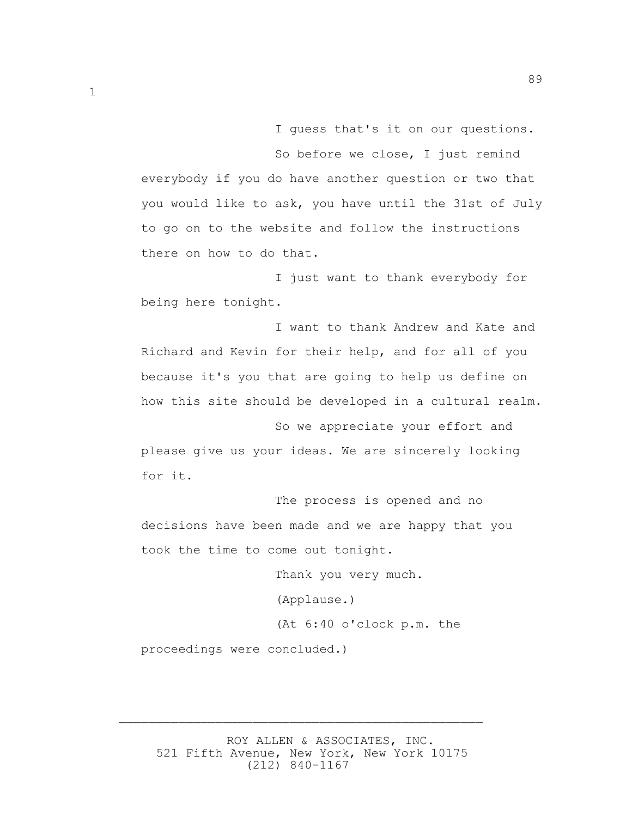I guess that's it on our questions. So before we close, I just remind everybody if you do have another question or two that you would like to ask, you have until the 31st of July to go on to the website and follow the instructions there on how to do that.

89

 I just want to thank everybody for being here tonight.

 I want to thank Andrew and Kate and Richard and Kevin for their help, and for all of you because it's you that are going to help us define on how this site should be developed in a cultural realm.

 So we appreciate your effort and please give us your ideas. We are sincerely looking for it.

 The process is opened and no decisions have been made and we are happy that you took the time to come out tonight.

> Thank you very much. (Applause.) (At 6:40 o'clock p.m. the

proceedings were concluded.)

 ROY ALLEN & ASSOCIATES, INC. 521 Fifth Avenue, New York, New York 10175 (212) 840-1167